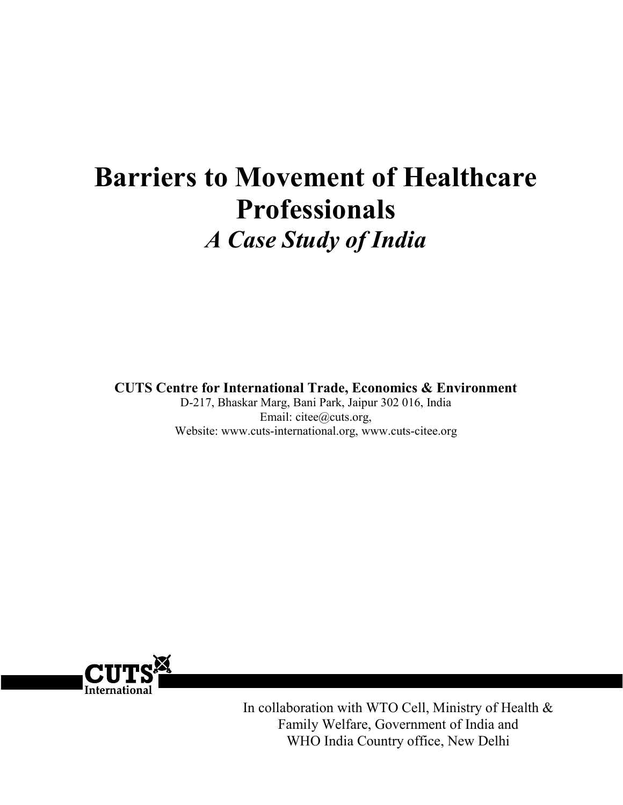# Barriers to Movement of Healthcare Professionals A Case Study of India

CUTS Centre for International Trade, Economics & Environment

D-217, Bhaskar Marg, Bani Park, Jaipur 302 016, India Email: citee@cuts.org, Website: www.cuts-international.org, www.cuts-citee.org



In collaboration with WTO Cell, Ministry of Health & Family Welfare, Government of India and WHO India Country office, New Delhi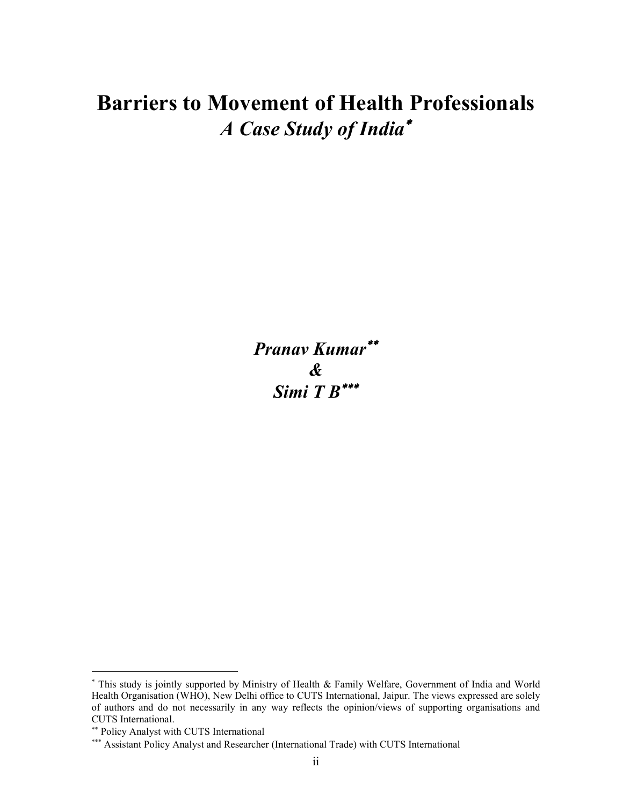## Barriers to Movement of Health Professionals A Case Study of India<sup>∗</sup>

Pranav Kumar∗∗ & Simi  $T R^{***}$ 

 $\overline{a}$ 

<sup>∗</sup> This study is jointly supported by Ministry of Health & Family Welfare, Government of India and World Health Organisation (WHO), New Delhi office to CUTS International, Jaipur. The views expressed are solely of authors and do not necessarily in any way reflects the opinion/views of supporting organisations and CUTS International.

<sup>∗∗</sup> Policy Analyst with CUTS International

<sup>∗∗∗</sup> Assistant Policy Analyst and Researcher (International Trade) with CUTS International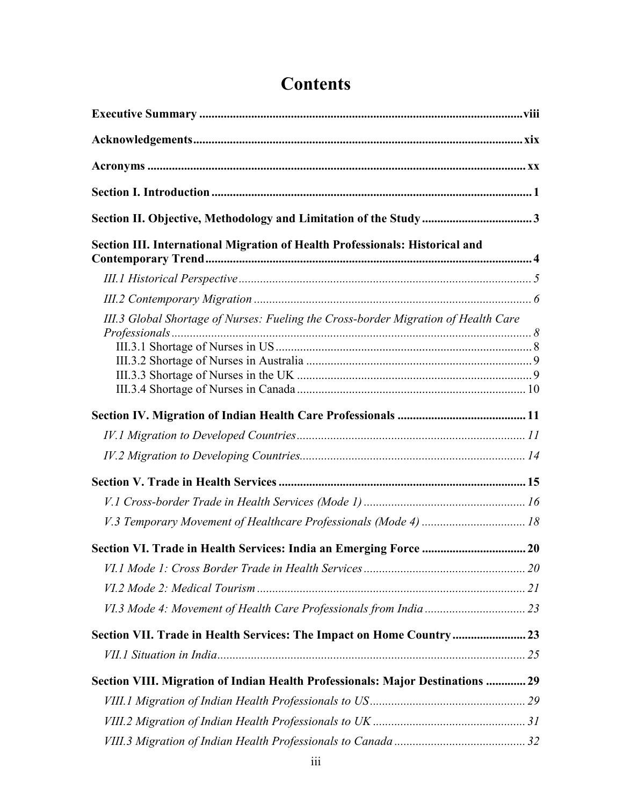| Section III. International Migration of Health Professionals: Historical and       |  |
|------------------------------------------------------------------------------------|--|
|                                                                                    |  |
|                                                                                    |  |
| III.3 Global Shortage of Nurses: Fueling the Cross-border Migration of Health Care |  |
|                                                                                    |  |
|                                                                                    |  |
|                                                                                    |  |
|                                                                                    |  |
|                                                                                    |  |
|                                                                                    |  |
|                                                                                    |  |
|                                                                                    |  |
| V.3 Temporary Movement of Healthcare Professionals (Mode 4)  18                    |  |
|                                                                                    |  |
|                                                                                    |  |
|                                                                                    |  |
|                                                                                    |  |
| Section VII. Trade in Health Services: The Impact on Home Country 23               |  |
|                                                                                    |  |
| Section VIII. Migration of Indian Health Professionals: Major Destinations  29     |  |
|                                                                                    |  |
|                                                                                    |  |
|                                                                                    |  |

## **Contents**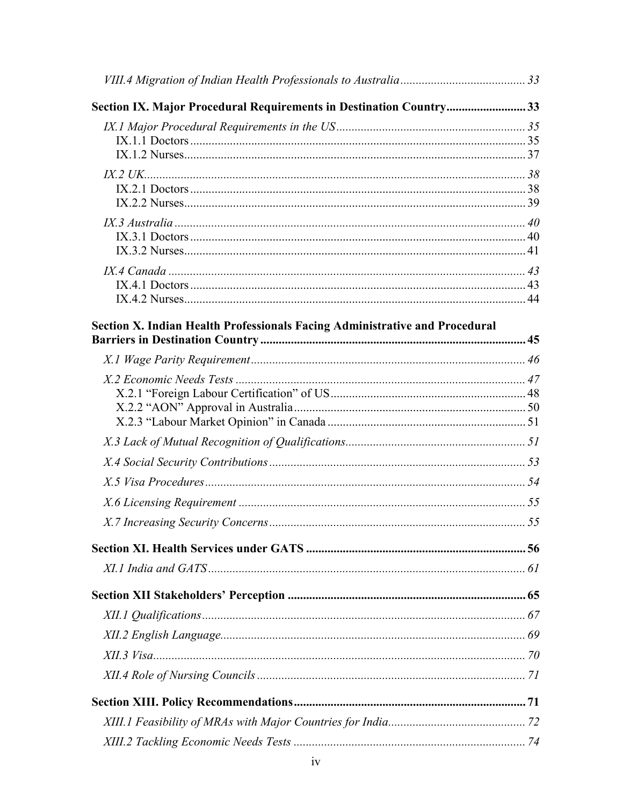| Section IX. Major Procedural Requirements in Destination Country33          |  |
|-----------------------------------------------------------------------------|--|
|                                                                             |  |
|                                                                             |  |
|                                                                             |  |
|                                                                             |  |
| Section X. Indian Health Professionals Facing Administrative and Procedural |  |
|                                                                             |  |
|                                                                             |  |
|                                                                             |  |
|                                                                             |  |
|                                                                             |  |
|                                                                             |  |
|                                                                             |  |
|                                                                             |  |
|                                                                             |  |
|                                                                             |  |
|                                                                             |  |
|                                                                             |  |
|                                                                             |  |
|                                                                             |  |
|                                                                             |  |
|                                                                             |  |
|                                                                             |  |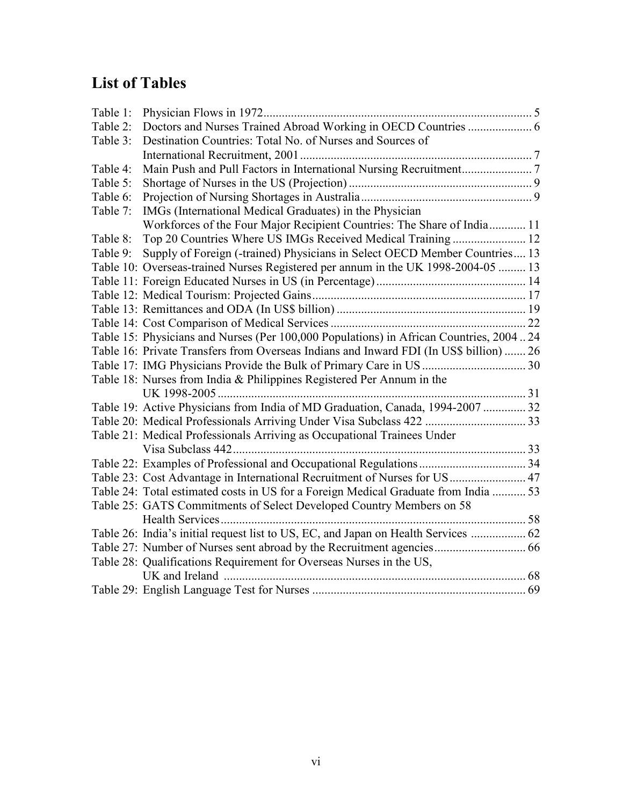## List of Tables

| Table 1: |                                                                                        |  |
|----------|----------------------------------------------------------------------------------------|--|
| Table 2: |                                                                                        |  |
| Table 3: | Destination Countries: Total No. of Nurses and Sources of                              |  |
|          |                                                                                        |  |
| Table 4: |                                                                                        |  |
| Table 5: |                                                                                        |  |
| Table 6: |                                                                                        |  |
| Table 7: | IMGs (International Medical Graduates) in the Physician                                |  |
|          | Workforces of the Four Major Recipient Countries: The Share of India 11                |  |
| Table 8: | Top 20 Countries Where US IMGs Received Medical Training 12                            |  |
| Table 9: | Supply of Foreign (-trained) Physicians in Select OECD Member Countries 13             |  |
|          | Table 10: Overseas-trained Nurses Registered per annum in the UK 1998-2004-05  13      |  |
|          |                                                                                        |  |
|          |                                                                                        |  |
|          |                                                                                        |  |
|          |                                                                                        |  |
|          | Table 15: Physicians and Nurses (Per 100,000 Populations) in African Countries, 200424 |  |
|          | Table 16: Private Transfers from Overseas Indians and Inward FDI (In US\$ billion)  26 |  |
|          |                                                                                        |  |
|          | Table 18: Nurses from India & Philippines Registered Per Annum in the                  |  |
|          |                                                                                        |  |
|          | Table 19: Active Physicians from India of MD Graduation, Canada, 1994-2007  32         |  |
|          |                                                                                        |  |
|          | Table 21: Medical Professionals Arriving as Occupational Trainees Under                |  |
|          | Visa Subclass 442.                                                                     |  |
|          |                                                                                        |  |
|          | Table 23: Cost Advantage in International Recruitment of Nurses for US 47              |  |
|          | Table 24: Total estimated costs in US for a Foreign Medical Graduate from India  53    |  |
|          | Table 25: GATS Commitments of Select Developed Country Members on 58                   |  |
|          |                                                                                        |  |
|          | Table 26: India's initial request list to US, EC, and Japan on Health Services  62     |  |
|          |                                                                                        |  |
|          | Table 28: Qualifications Requirement for Overseas Nurses in the US,                    |  |
|          | UK and Ireland                                                                         |  |
|          |                                                                                        |  |
|          |                                                                                        |  |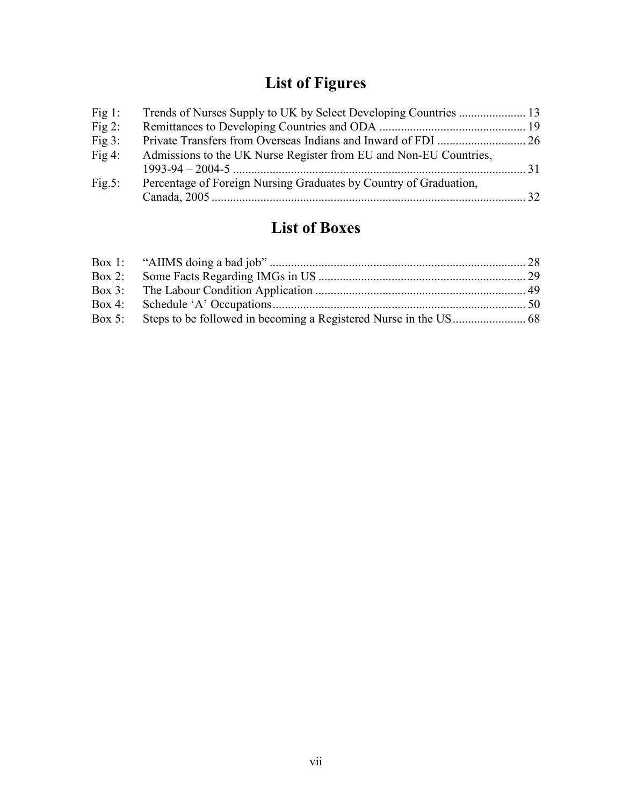## List of Figures

| Fig $1$ : |                                                                   |  |
|-----------|-------------------------------------------------------------------|--|
| Fig $2$ : |                                                                   |  |
| Fig $3$ : |                                                                   |  |
| Fig $4$ : | Admissions to the UK Nurse Register from EU and Non-EU Countries, |  |
|           |                                                                   |  |
| Fig.5:    | Percentage of Foreign Nursing Graduates by Country of Graduation, |  |
|           |                                                                   |  |

## List of Boxes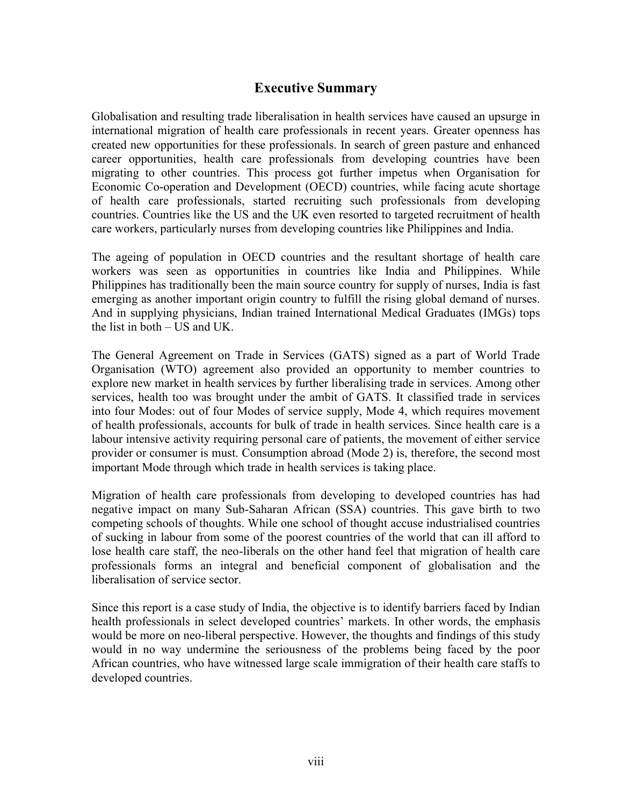## Executive Summary

Globalisation and resulting trade liberalisation in health services have caused an upsurge in international migration of health care professionals in recent years. Greater openness has created new opportunities for these professionals. In search of green pasture and enhanced career opportunities, health care professionals from developing countries have been migrating to other countries. This process got further impetus when Organisation for Economic Co-operation and Development (OECD) countries, while facing acute shortage of health care professionals, started recruiting such professionals from developing countries. Countries like the US and the UK even resorted to targeted recruitment of health care workers, particularly nurses from developing countries like Philippines and India.

The ageing of population in OECD countries and the resultant shortage of health care workers was seen as opportunities in countries like India and Philippines. While Philippines has traditionally been the main source country for supply of nurses, India is fast emerging as another important origin country to fulfill the rising global demand of nurses. And in supplying physicians, Indian trained International Medical Graduates (IMGs) tops the list in both – US and UK.

The General Agreement on Trade in Services (GATS) signed as a part of World Trade Organisation (WTO) agreement also provided an opportunity to member countries to explore new market in health services by further liberalising trade in services. Among other services, health too was brought under the ambit of GATS. It classified trade in services into four Modes: out of four Modes of service supply, Mode 4, which requires movement of health professionals, accounts for bulk of trade in health services. Since health care is a labour intensive activity requiring personal care of patients, the movement of either service provider or consumer is must. Consumption abroad (Mode 2) is, therefore, the second most important Mode through which trade in health services is taking place.

Migration of health care professionals from developing to developed countries has had negative impact on many Sub-Saharan African (SSA) countries. This gave birth to two competing schools of thoughts. While one school of thought accuse industrialised countries of sucking in labour from some of the poorest countries of the world that can ill afford to lose health care staff, the neo-liberals on the other hand feel that migration of health care professionals forms an integral and beneficial component of globalisation and the liberalisation of service sector.

Since this report is a case study of India, the objective is to identify barriers faced by Indian health professionals in select developed countries' markets. In other words, the emphasis would be more on neo-liberal perspective. However, the thoughts and findings of this study would in no way undermine the seriousness of the problems being faced by the poor African countries, who have witnessed large scale immigration of their health care staffs to developed countries.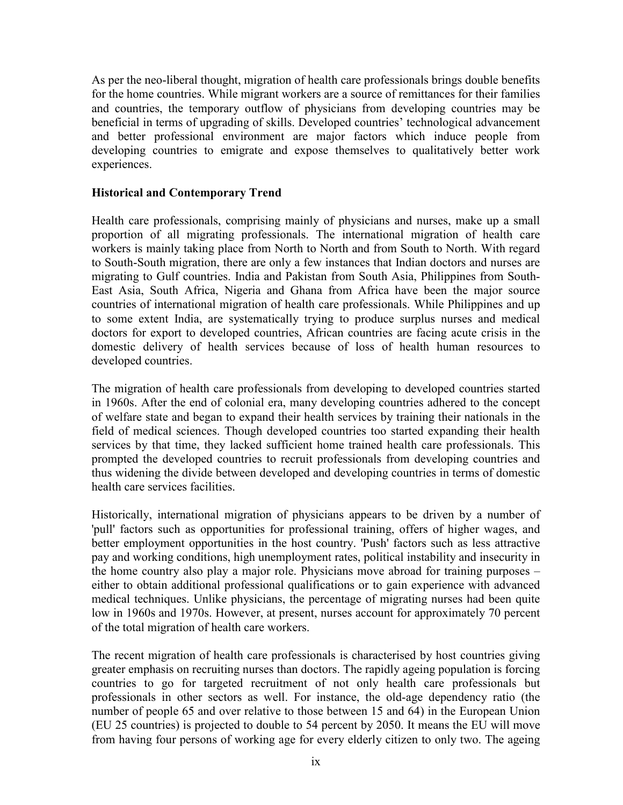As per the neo-liberal thought, migration of health care professionals brings double benefits for the home countries. While migrant workers are a source of remittances for their families and countries, the temporary outflow of physicians from developing countries may be beneficial in terms of upgrading of skills. Developed countries' technological advancement and better professional environment are major factors which induce people from developing countries to emigrate and expose themselves to qualitatively better work experiences.

### Historical and Contemporary Trend

Health care professionals, comprising mainly of physicians and nurses, make up a small proportion of all migrating professionals. The international migration of health care workers is mainly taking place from North to North and from South to North. With regard to South-South migration, there are only a few instances that Indian doctors and nurses are migrating to Gulf countries. India and Pakistan from South Asia, Philippines from South-East Asia, South Africa, Nigeria and Ghana from Africa have been the major source countries of international migration of health care professionals. While Philippines and up to some extent India, are systematically trying to produce surplus nurses and medical doctors for export to developed countries, African countries are facing acute crisis in the domestic delivery of health services because of loss of health human resources to developed countries.

The migration of health care professionals from developing to developed countries started in 1960s. After the end of colonial era, many developing countries adhered to the concept of welfare state and began to expand their health services by training their nationals in the field of medical sciences. Though developed countries too started expanding their health services by that time, they lacked sufficient home trained health care professionals. This prompted the developed countries to recruit professionals from developing countries and thus widening the divide between developed and developing countries in terms of domestic health care services facilities.

Historically, international migration of physicians appears to be driven by a number of 'pull' factors such as opportunities for professional training, offers of higher wages, and better employment opportunities in the host country. 'Push' factors such as less attractive pay and working conditions, high unemployment rates, political instability and insecurity in the home country also play a major role. Physicians move abroad for training purposes – either to obtain additional professional qualifications or to gain experience with advanced medical techniques. Unlike physicians, the percentage of migrating nurses had been quite low in 1960s and 1970s. However, at present, nurses account for approximately 70 percent of the total migration of health care workers.

The recent migration of health care professionals is characterised by host countries giving greater emphasis on recruiting nurses than doctors. The rapidly ageing population is forcing countries to go for targeted recruitment of not only health care professionals but professionals in other sectors as well. For instance, the old-age dependency ratio (the number of people 65 and over relative to those between 15 and 64) in the European Union (EU 25 countries) is projected to double to 54 percent by 2050. It means the EU will move from having four persons of working age for every elderly citizen to only two. The ageing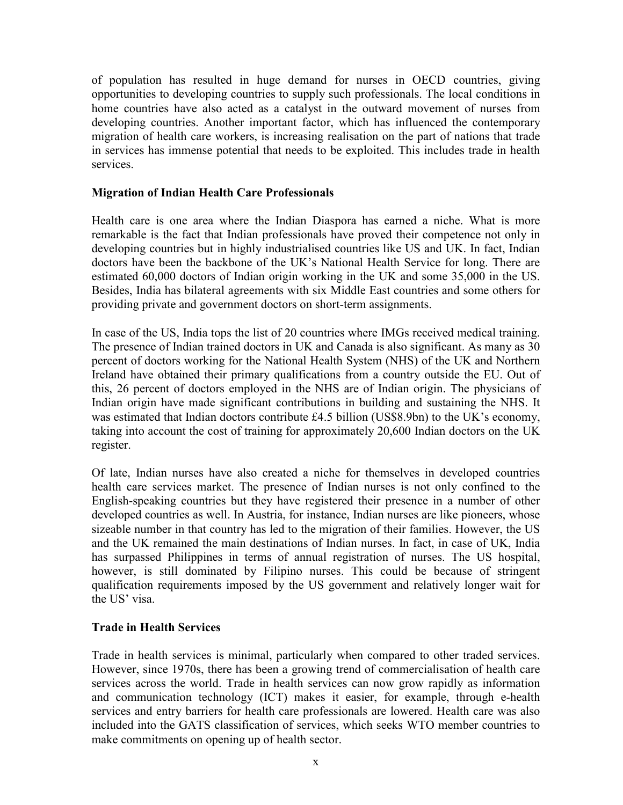of population has resulted in huge demand for nurses in OECD countries, giving opportunities to developing countries to supply such professionals. The local conditions in home countries have also acted as a catalyst in the outward movement of nurses from developing countries. Another important factor, which has influenced the contemporary migration of health care workers, is increasing realisation on the part of nations that trade in services has immense potential that needs to be exploited. This includes trade in health services.

## Migration of Indian Health Care Professionals

Health care is one area where the Indian Diaspora has earned a niche. What is more remarkable is the fact that Indian professionals have proved their competence not only in developing countries but in highly industrialised countries like US and UK. In fact, Indian doctors have been the backbone of the UK's National Health Service for long. There are estimated 60,000 doctors of Indian origin working in the UK and some 35,000 in the US. Besides, India has bilateral agreements with six Middle East countries and some others for providing private and government doctors on short-term assignments.

In case of the US, India tops the list of 20 countries where IMGs received medical training. The presence of Indian trained doctors in UK and Canada is also significant. As many as 30 percent of doctors working for the National Health System (NHS) of the UK and Northern Ireland have obtained their primary qualifications from a country outside the EU. Out of this, 26 percent of doctors employed in the NHS are of Indian origin. The physicians of Indian origin have made significant contributions in building and sustaining the NHS. It was estimated that Indian doctors contribute £4.5 billion (US\$8.9bn) to the UK's economy, taking into account the cost of training for approximately 20,600 Indian doctors on the UK register.

Of late, Indian nurses have also created a niche for themselves in developed countries health care services market. The presence of Indian nurses is not only confined to the English-speaking countries but they have registered their presence in a number of other developed countries as well. In Austria, for instance, Indian nurses are like pioneers, whose sizeable number in that country has led to the migration of their families. However, the US and the UK remained the main destinations of Indian nurses. In fact, in case of UK, India has surpassed Philippines in terms of annual registration of nurses. The US hospital, however, is still dominated by Filipino nurses. This could be because of stringent qualification requirements imposed by the US government and relatively longer wait for the US' visa.

#### Trade in Health Services

Trade in health services is minimal, particularly when compared to other traded services. However, since 1970s, there has been a growing trend of commercialisation of health care services across the world. Trade in health services can now grow rapidly as information and communication technology (ICT) makes it easier, for example, through e-health services and entry barriers for health care professionals are lowered. Health care was also included into the GATS classification of services, which seeks WTO member countries to make commitments on opening up of health sector.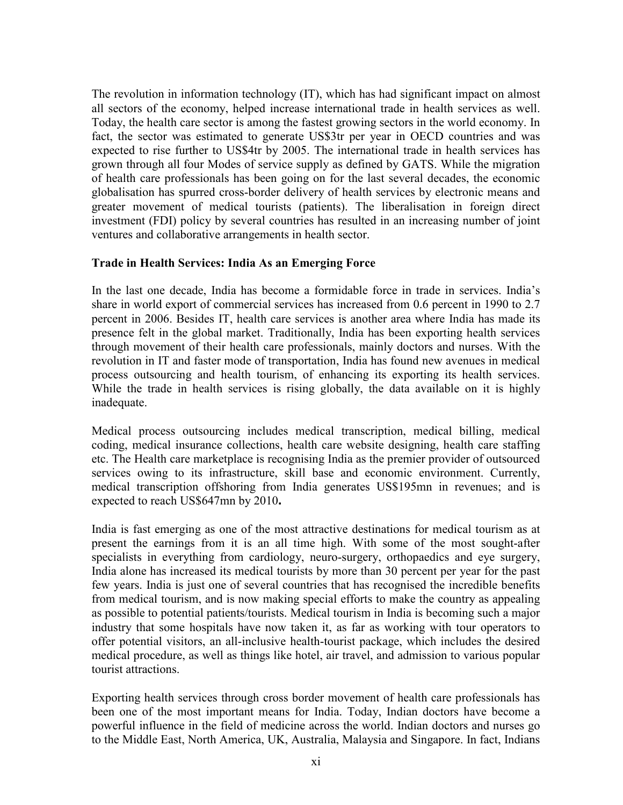The revolution in information technology (IT), which has had significant impact on almost all sectors of the economy, helped increase international trade in health services as well. Today, the health care sector is among the fastest growing sectors in the world economy. In fact, the sector was estimated to generate US\$3tr per year in OECD countries and was expected to rise further to US\$4tr by 2005. The international trade in health services has grown through all four Modes of service supply as defined by GATS. While the migration of health care professionals has been going on for the last several decades, the economic globalisation has spurred cross-border delivery of health services by electronic means and greater movement of medical tourists (patients). The liberalisation in foreign direct investment (FDI) policy by several countries has resulted in an increasing number of joint ventures and collaborative arrangements in health sector.

## Trade in Health Services: India As an Emerging Force

In the last one decade, India has become a formidable force in trade in services. India's share in world export of commercial services has increased from 0.6 percent in 1990 to 2.7 percent in 2006. Besides IT, health care services is another area where India has made its presence felt in the global market. Traditionally, India has been exporting health services through movement of their health care professionals, mainly doctors and nurses. With the revolution in IT and faster mode of transportation, India has found new avenues in medical process outsourcing and health tourism, of enhancing its exporting its health services. While the trade in health services is rising globally, the data available on it is highly inadequate.

Medical process outsourcing includes medical transcription, medical billing, medical coding, medical insurance collections, health care website designing, health care staffing etc. The Health care marketplace is recognising India as the premier provider of outsourced services owing to its infrastructure, skill base and economic environment. Currently, medical transcription offshoring from India generates US\$195mn in revenues; and is expected to reach US\$647mn by 2010.

India is fast emerging as one of the most attractive destinations for medical tourism as at present the earnings from it is an all time high. With some of the most sought-after specialists in everything from cardiology, neuro-surgery, orthopaedics and eye surgery, India alone has increased its medical tourists by more than 30 percent per year for the past few years. India is just one of several countries that has recognised the incredible benefits from medical tourism, and is now making special efforts to make the country as appealing as possible to potential patients/tourists. Medical tourism in India is becoming such a major industry that some hospitals have now taken it, as far as working with tour operators to offer potential visitors, an all-inclusive health-tourist package, which includes the desired medical procedure, as well as things like hotel, air travel, and admission to various popular tourist attractions.

Exporting health services through cross border movement of health care professionals has been one of the most important means for India. Today, Indian doctors have become a powerful influence in the field of medicine across the world. Indian doctors and nurses go to the Middle East, North America, UK, Australia, Malaysia and Singapore. In fact, Indians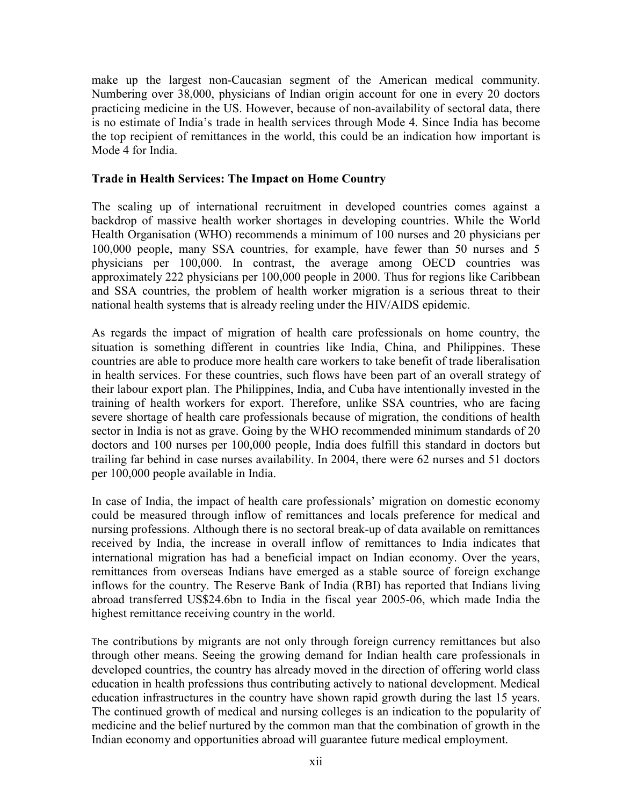make up the largest non-Caucasian segment of the American medical community. Numbering over 38,000, physicians of Indian origin account for one in every 20 doctors practicing medicine in the US. However, because of non-availability of sectoral data, there is no estimate of India's trade in health services through Mode 4. Since India has become the top recipient of remittances in the world, this could be an indication how important is Mode 4 for India.

### Trade in Health Services: The Impact on Home Country

The scaling up of international recruitment in developed countries comes against a backdrop of massive health worker shortages in developing countries. While the World Health Organisation (WHO) recommends a minimum of 100 nurses and 20 physicians per 100,000 people, many SSA countries, for example, have fewer than 50 nurses and 5 physicians per 100,000. In contrast, the average among OECD countries was approximately 222 physicians per 100,000 people in 2000. Thus for regions like Caribbean and SSA countries, the problem of health worker migration is a serious threat to their national health systems that is already reeling under the HIV/AIDS epidemic.

As regards the impact of migration of health care professionals on home country, the situation is something different in countries like India, China, and Philippines. These countries are able to produce more health care workers to take benefit of trade liberalisation in health services. For these countries, such flows have been part of an overall strategy of their labour export plan. The Philippines, India, and Cuba have intentionally invested in the training of health workers for export. Therefore, unlike SSA countries, who are facing severe shortage of health care professionals because of migration, the conditions of health sector in India is not as grave. Going by the WHO recommended minimum standards of 20 doctors and 100 nurses per 100,000 people, India does fulfill this standard in doctors but trailing far behind in case nurses availability. In 2004, there were 62 nurses and 51 doctors per 100,000 people available in India.

In case of India, the impact of health care professionals' migration on domestic economy could be measured through inflow of remittances and locals preference for medical and nursing professions. Although there is no sectoral break-up of data available on remittances received by India, the increase in overall inflow of remittances to India indicates that international migration has had a beneficial impact on Indian economy. Over the years, remittances from overseas Indians have emerged as a stable source of foreign exchange inflows for the country. The Reserve Bank of India (RBI) has reported that Indians living abroad transferred US\$24.6bn to India in the fiscal year 2005-06, which made India the highest remittance receiving country in the world.

The contributions by migrants are not only through foreign currency remittances but also through other means. Seeing the growing demand for Indian health care professionals in developed countries, the country has already moved in the direction of offering world class education in health professions thus contributing actively to national development. Medical education infrastructures in the country have shown rapid growth during the last 15 years. The continued growth of medical and nursing colleges is an indication to the popularity of medicine and the belief nurtured by the common man that the combination of growth in the Indian economy and opportunities abroad will guarantee future medical employment.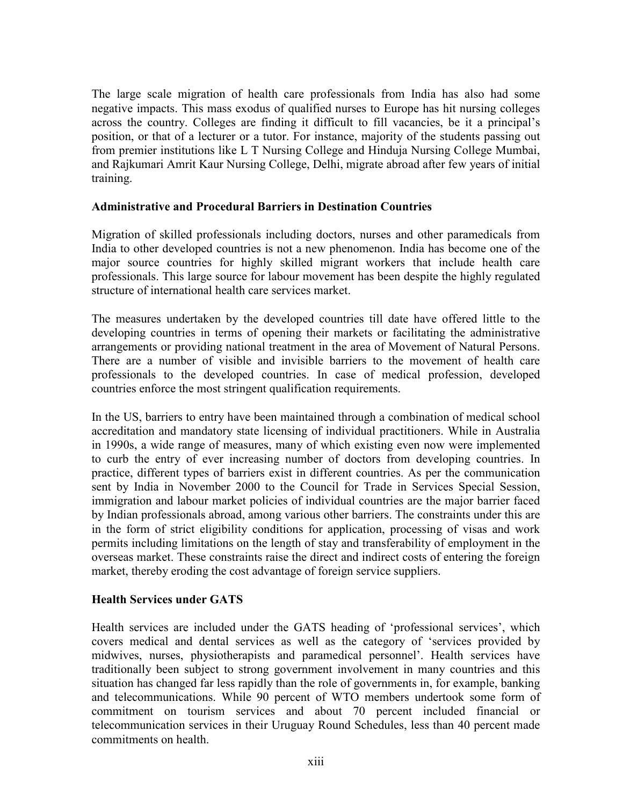The large scale migration of health care professionals from India has also had some negative impacts. This mass exodus of qualified nurses to Europe has hit nursing colleges across the country. Colleges are finding it difficult to fill vacancies, be it a principal's position, or that of a lecturer or a tutor. For instance, majority of the students passing out from premier institutions like L T Nursing College and Hinduja Nursing College Mumbai, and Rajkumari Amrit Kaur Nursing College, Delhi, migrate abroad after few years of initial training.

### Administrative and Procedural Barriers in Destination Countries

Migration of skilled professionals including doctors, nurses and other paramedicals from India to other developed countries is not a new phenomenon. India has become one of the major source countries for highly skilled migrant workers that include health care professionals. This large source for labour movement has been despite the highly regulated structure of international health care services market.

The measures undertaken by the developed countries till date have offered little to the developing countries in terms of opening their markets or facilitating the administrative arrangements or providing national treatment in the area of Movement of Natural Persons. There are a number of visible and invisible barriers to the movement of health care professionals to the developed countries. In case of medical profession, developed countries enforce the most stringent qualification requirements.

In the US, barriers to entry have been maintained through a combination of medical school accreditation and mandatory state licensing of individual practitioners. While in Australia in 1990s, a wide range of measures, many of which existing even now were implemented to curb the entry of ever increasing number of doctors from developing countries. In practice, different types of barriers exist in different countries. As per the communication sent by India in November 2000 to the Council for Trade in Services Special Session, immigration and labour market policies of individual countries are the major barrier faced by Indian professionals abroad, among various other barriers. The constraints under this are in the form of strict eligibility conditions for application, processing of visas and work permits including limitations on the length of stay and transferability of employment in the overseas market. These constraints raise the direct and indirect costs of entering the foreign market, thereby eroding the cost advantage of foreign service suppliers.

## Health Services under GATS

Health services are included under the GATS heading of 'professional services', which covers medical and dental services as well as the category of 'services provided by midwives, nurses, physiotherapists and paramedical personnel'. Health services have traditionally been subject to strong government involvement in many countries and this situation has changed far less rapidly than the role of governments in, for example, banking and telecommunications. While 90 percent of WTO members undertook some form of commitment on tourism services and about 70 percent included financial or telecommunication services in their Uruguay Round Schedules, less than 40 percent made commitments on health.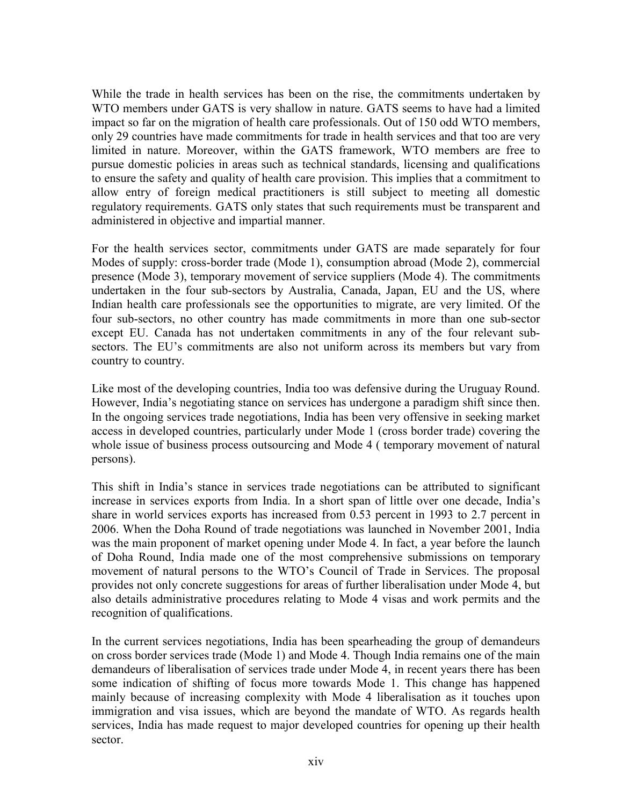While the trade in health services has been on the rise, the commitments undertaken by WTO members under GATS is very shallow in nature. GATS seems to have had a limited impact so far on the migration of health care professionals. Out of 150 odd WTO members, only 29 countries have made commitments for trade in health services and that too are very limited in nature. Moreover, within the GATS framework, WTO members are free to pursue domestic policies in areas such as technical standards, licensing and qualifications to ensure the safety and quality of health care provision. This implies that a commitment to allow entry of foreign medical practitioners is still subject to meeting all domestic regulatory requirements. GATS only states that such requirements must be transparent and administered in objective and impartial manner.

For the health services sector, commitments under GATS are made separately for four Modes of supply: cross-border trade (Mode 1), consumption abroad (Mode 2), commercial presence (Mode 3), temporary movement of service suppliers (Mode 4). The commitments undertaken in the four sub-sectors by Australia, Canada, Japan, EU and the US, where Indian health care professionals see the opportunities to migrate, are very limited. Of the four sub-sectors, no other country has made commitments in more than one sub-sector except EU. Canada has not undertaken commitments in any of the four relevant subsectors. The EU's commitments are also not uniform across its members but vary from country to country.

Like most of the developing countries, India too was defensive during the Uruguay Round. However, India's negotiating stance on services has undergone a paradigm shift since then. In the ongoing services trade negotiations, India has been very offensive in seeking market access in developed countries, particularly under Mode 1 (cross border trade) covering the whole issue of business process outsourcing and Mode 4 ( temporary movement of natural persons).

This shift in India's stance in services trade negotiations can be attributed to significant increase in services exports from India. In a short span of little over one decade, India's share in world services exports has increased from 0.53 percent in 1993 to 2.7 percent in 2006. When the Doha Round of trade negotiations was launched in November 2001, India was the main proponent of market opening under Mode 4. In fact, a year before the launch of Doha Round, India made one of the most comprehensive submissions on temporary movement of natural persons to the WTO's Council of Trade in Services. The proposal provides not only concrete suggestions for areas of further liberalisation under Mode 4, but also details administrative procedures relating to Mode 4 visas and work permits and the recognition of qualifications.

In the current services negotiations, India has been spearheading the group of demandeurs on cross border services trade (Mode 1) and Mode 4. Though India remains one of the main demandeurs of liberalisation of services trade under Mode 4, in recent years there has been some indication of shifting of focus more towards Mode 1. This change has happened mainly because of increasing complexity with Mode 4 liberalisation as it touches upon immigration and visa issues, which are beyond the mandate of WTO. As regards health services, India has made request to major developed countries for opening up their health sector.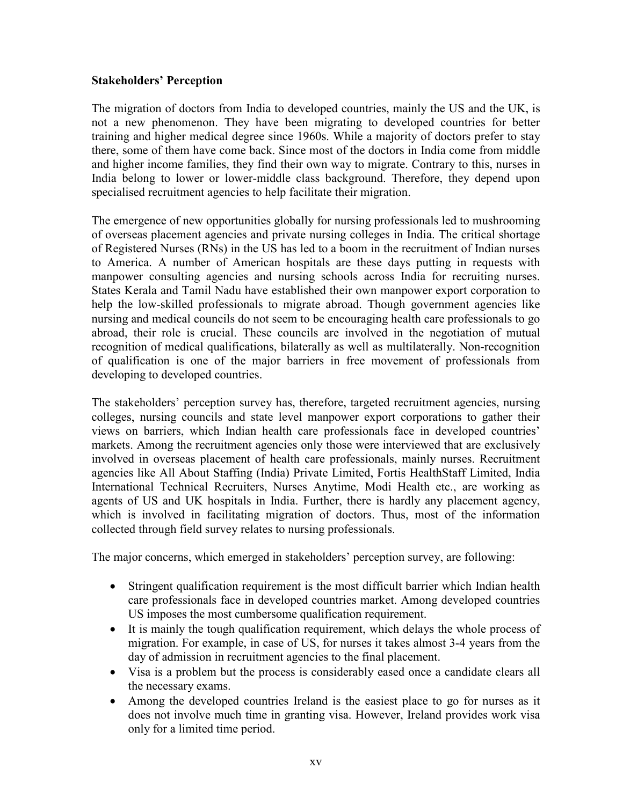### Stakeholders' Perception

The migration of doctors from India to developed countries, mainly the US and the UK, is not a new phenomenon. They have been migrating to developed countries for better training and higher medical degree since 1960s. While a majority of doctors prefer to stay there, some of them have come back. Since most of the doctors in India come from middle and higher income families, they find their own way to migrate. Contrary to this, nurses in India belong to lower or lower-middle class background. Therefore, they depend upon specialised recruitment agencies to help facilitate their migration.

The emergence of new opportunities globally for nursing professionals led to mushrooming of overseas placement agencies and private nursing colleges in India. The critical shortage of Registered Nurses (RNs) in the US has led to a boom in the recruitment of Indian nurses to America. A number of American hospitals are these days putting in requests with manpower consulting agencies and nursing schools across India for recruiting nurses. States Kerala and Tamil Nadu have established their own manpower export corporation to help the low-skilled professionals to migrate abroad. Though government agencies like nursing and medical councils do not seem to be encouraging health care professionals to go abroad, their role is crucial. These councils are involved in the negotiation of mutual recognition of medical qualifications, bilaterally as well as multilaterally. Non-recognition of qualification is one of the major barriers in free movement of professionals from developing to developed countries.

The stakeholders' perception survey has, therefore, targeted recruitment agencies, nursing colleges, nursing councils and state level manpower export corporations to gather their views on barriers, which Indian health care professionals face in developed countries' markets. Among the recruitment agencies only those were interviewed that are exclusively involved in overseas placement of health care professionals, mainly nurses. Recruitment agencies like All About Staffing (India) Private Limited, Fortis HealthStaff Limited, India International Technical Recruiters, Nurses Anytime, Modi Health etc., are working as agents of US and UK hospitals in India. Further, there is hardly any placement agency, which is involved in facilitating migration of doctors. Thus, most of the information collected through field survey relates to nursing professionals.

The major concerns, which emerged in stakeholders' perception survey, are following:

- Stringent qualification requirement is the most difficult barrier which Indian health care professionals face in developed countries market. Among developed countries US imposes the most cumbersome qualification requirement.
- It is mainly the tough qualification requirement, which delays the whole process of migration. For example, in case of US, for nurses it takes almost 3-4 years from the day of admission in recruitment agencies to the final placement.
- Visa is a problem but the process is considerably eased once a candidate clears all the necessary exams.
- Among the developed countries Ireland is the easiest place to go for nurses as it does not involve much time in granting visa. However, Ireland provides work visa only for a limited time period.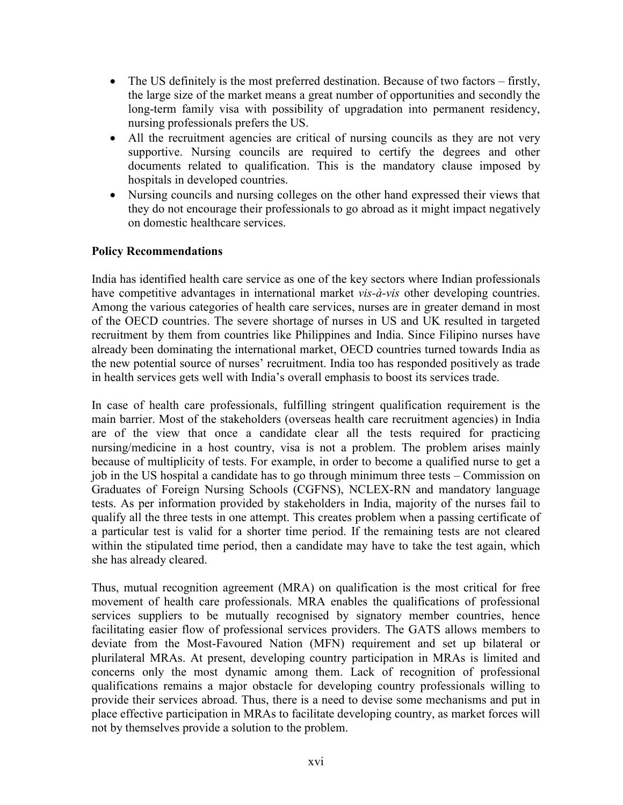- The US definitely is the most preferred destination. Because of two factors firstly, the large size of the market means a great number of opportunities and secondly the long-term family visa with possibility of upgradation into permanent residency, nursing professionals prefers the US.
- All the recruitment agencies are critical of nursing councils as they are not very supportive. Nursing councils are required to certify the degrees and other documents related to qualification. This is the mandatory clause imposed by hospitals in developed countries.
- Nursing councils and nursing colleges on the other hand expressed their views that they do not encourage their professionals to go abroad as it might impact negatively on domestic healthcare services.

### Policy Recommendations

India has identified health care service as one of the key sectors where Indian professionals have competitive advantages in international market *vis-à-vis* other developing countries. Among the various categories of health care services, nurses are in greater demand in most of the OECD countries. The severe shortage of nurses in US and UK resulted in targeted recruitment by them from countries like Philippines and India. Since Filipino nurses have already been dominating the international market, OECD countries turned towards India as the new potential source of nurses' recruitment. India too has responded positively as trade in health services gets well with India's overall emphasis to boost its services trade.

In case of health care professionals, fulfilling stringent qualification requirement is the main barrier. Most of the stakeholders (overseas health care recruitment agencies) in India are of the view that once a candidate clear all the tests required for practicing nursing/medicine in a host country, visa is not a problem. The problem arises mainly because of multiplicity of tests. For example, in order to become a qualified nurse to get a job in the US hospital a candidate has to go through minimum three tests – Commission on Graduates of Foreign Nursing Schools (CGFNS), NCLEX-RN and mandatory language tests. As per information provided by stakeholders in India, majority of the nurses fail to qualify all the three tests in one attempt. This creates problem when a passing certificate of a particular test is valid for a shorter time period. If the remaining tests are not cleared within the stipulated time period, then a candidate may have to take the test again, which she has already cleared.

Thus, mutual recognition agreement (MRA) on qualification is the most critical for free movement of health care professionals. MRA enables the qualifications of professional services suppliers to be mutually recognised by signatory member countries, hence facilitating easier flow of professional services providers. The GATS allows members to deviate from the Most-Favoured Nation (MFN) requirement and set up bilateral or plurilateral MRAs. At present, developing country participation in MRAs is limited and concerns only the most dynamic among them. Lack of recognition of professional qualifications remains a major obstacle for developing country professionals willing to provide their services abroad. Thus, there is a need to devise some mechanisms and put in place effective participation in MRAs to facilitate developing country, as market forces will not by themselves provide a solution to the problem.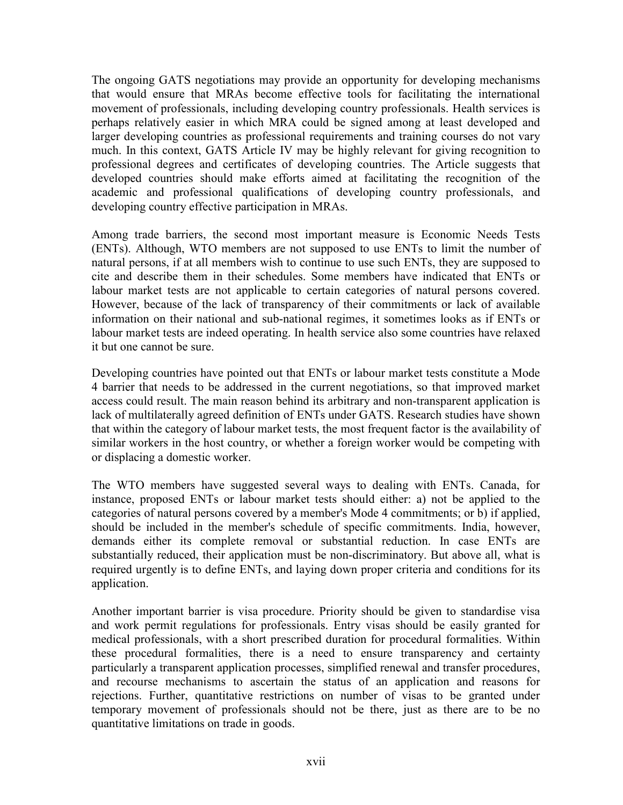The ongoing GATS negotiations may provide an opportunity for developing mechanisms that would ensure that MRAs become effective tools for facilitating the international movement of professionals, including developing country professionals. Health services is perhaps relatively easier in which MRA could be signed among at least developed and larger developing countries as professional requirements and training courses do not vary much. In this context, GATS Article IV may be highly relevant for giving recognition to professional degrees and certificates of developing countries. The Article suggests that developed countries should make efforts aimed at facilitating the recognition of the academic and professional qualifications of developing country professionals, and developing country effective participation in MRAs.

Among trade barriers, the second most important measure is Economic Needs Tests (ENTs). Although, WTO members are not supposed to use ENTs to limit the number of natural persons, if at all members wish to continue to use such ENTs, they are supposed to cite and describe them in their schedules. Some members have indicated that ENTs or labour market tests are not applicable to certain categories of natural persons covered. However, because of the lack of transparency of their commitments or lack of available information on their national and sub-national regimes, it sometimes looks as if ENTs or labour market tests are indeed operating. In health service also some countries have relaxed it but one cannot be sure.

Developing countries have pointed out that ENTs or labour market tests constitute a Mode 4 barrier that needs to be addressed in the current negotiations, so that improved market access could result. The main reason behind its arbitrary and non-transparent application is lack of multilaterally agreed definition of ENTs under GATS. Research studies have shown that within the category of labour market tests, the most frequent factor is the availability of similar workers in the host country, or whether a foreign worker would be competing with or displacing a domestic worker.

The WTO members have suggested several ways to dealing with ENTs. Canada, for instance, proposed ENTs or labour market tests should either: a) not be applied to the categories of natural persons covered by a member's Mode 4 commitments; or b) if applied, should be included in the member's schedule of specific commitments. India, however, demands either its complete removal or substantial reduction. In case ENTs are substantially reduced, their application must be non-discriminatory. But above all, what is required urgently is to define ENTs, and laying down proper criteria and conditions for its application.

Another important barrier is visa procedure. Priority should be given to standardise visa and work permit regulations for professionals. Entry visas should be easily granted for medical professionals, with a short prescribed duration for procedural formalities. Within these procedural formalities, there is a need to ensure transparency and certainty particularly a transparent application processes, simplified renewal and transfer procedures, and recourse mechanisms to ascertain the status of an application and reasons for rejections. Further, quantitative restrictions on number of visas to be granted under temporary movement of professionals should not be there, just as there are to be no quantitative limitations on trade in goods.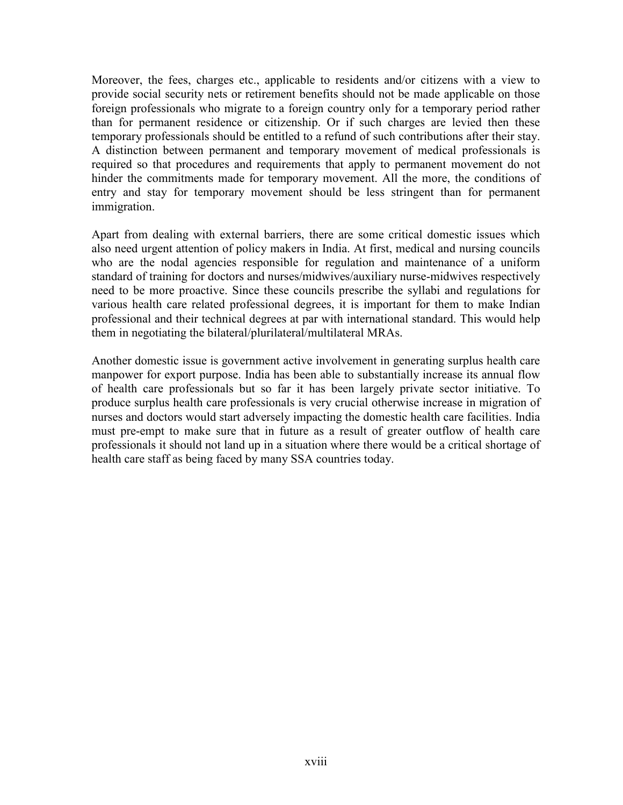Moreover, the fees, charges etc., applicable to residents and/or citizens with a view to provide social security nets or retirement benefits should not be made applicable on those foreign professionals who migrate to a foreign country only for a temporary period rather than for permanent residence or citizenship. Or if such charges are levied then these temporary professionals should be entitled to a refund of such contributions after their stay. A distinction between permanent and temporary movement of medical professionals is required so that procedures and requirements that apply to permanent movement do not hinder the commitments made for temporary movement. All the more, the conditions of entry and stay for temporary movement should be less stringent than for permanent immigration.

Apart from dealing with external barriers, there are some critical domestic issues which also need urgent attention of policy makers in India. At first, medical and nursing councils who are the nodal agencies responsible for regulation and maintenance of a uniform standard of training for doctors and nurses/midwives/auxiliary nurse-midwives respectively need to be more proactive. Since these councils prescribe the syllabi and regulations for various health care related professional degrees, it is important for them to make Indian professional and their technical degrees at par with international standard. This would help them in negotiating the bilateral/plurilateral/multilateral MRAs.

Another domestic issue is government active involvement in generating surplus health care manpower for export purpose. India has been able to substantially increase its annual flow of health care professionals but so far it has been largely private sector initiative. To produce surplus health care professionals is very crucial otherwise increase in migration of nurses and doctors would start adversely impacting the domestic health care facilities. India must pre-empt to make sure that in future as a result of greater outflow of health care professionals it should not land up in a situation where there would be a critical shortage of health care staff as being faced by many SSA countries today.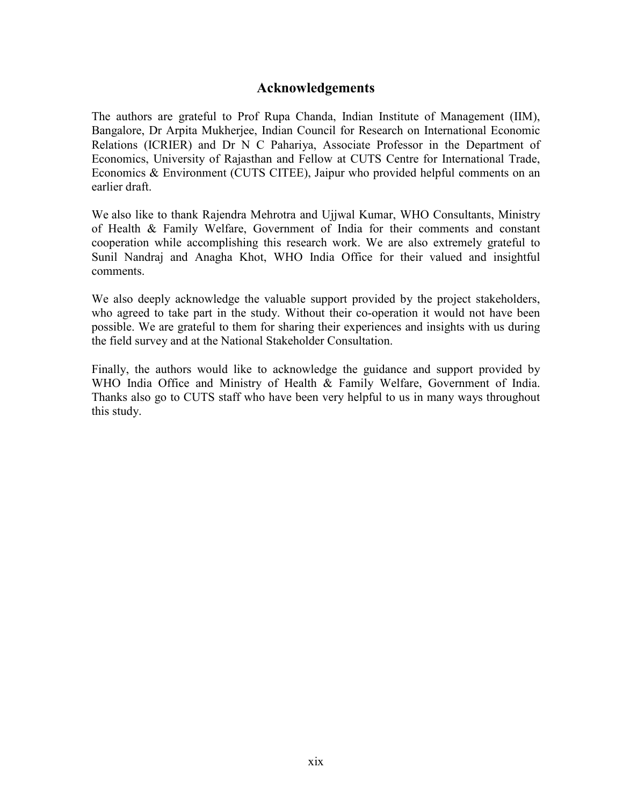## Acknowledgements

The authors are grateful to Prof Rupa Chanda, Indian Institute of Management (IIM), Bangalore, Dr Arpita Mukherjee, Indian Council for Research on International Economic Relations (ICRIER) and Dr N C Pahariya, Associate Professor in the Department of Economics, University of Rajasthan and Fellow at CUTS Centre for International Trade, Economics & Environment (CUTS CITEE), Jaipur who provided helpful comments on an earlier draft.

We also like to thank Rajendra Mehrotra and Ujjwal Kumar, WHO Consultants, Ministry of Health & Family Welfare, Government of India for their comments and constant cooperation while accomplishing this research work. We are also extremely grateful to Sunil Nandraj and Anagha Khot, WHO India Office for their valued and insightful comments.

We also deeply acknowledge the valuable support provided by the project stakeholders, who agreed to take part in the study. Without their co-operation it would not have been possible. We are grateful to them for sharing their experiences and insights with us during the field survey and at the National Stakeholder Consultation.

Finally, the authors would like to acknowledge the guidance and support provided by WHO India Office and Ministry of Health & Family Welfare, Government of India. Thanks also go to CUTS staff who have been very helpful to us in many ways throughout this study.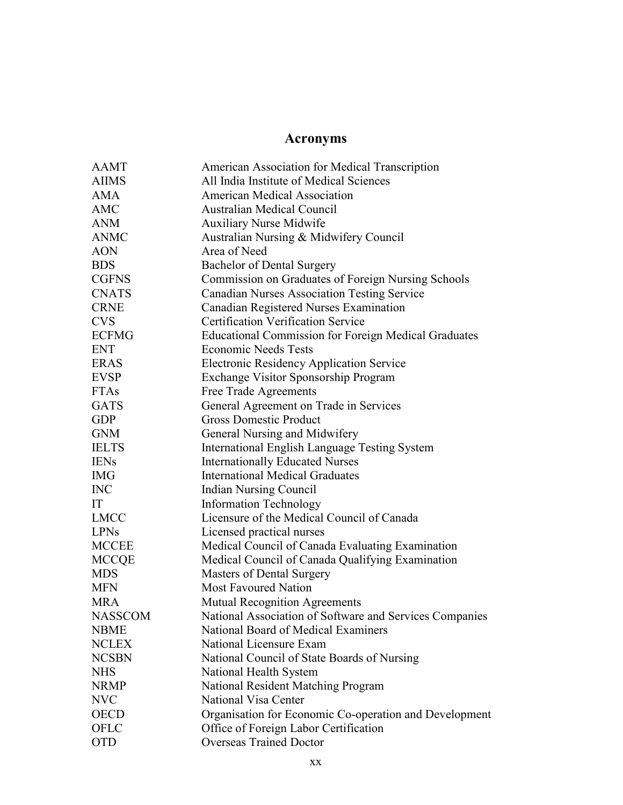## Acronyms

| <b>AAMT</b>    | American Association for Medical Transcription              |  |  |
|----------------|-------------------------------------------------------------|--|--|
| <b>AIIMS</b>   | All India Institute of Medical Sciences                     |  |  |
| <b>AMA</b>     | <b>American Medical Association</b>                         |  |  |
| AMC            | <b>Australian Medical Council</b>                           |  |  |
| <b>ANM</b>     | <b>Auxiliary Nurse Midwife</b>                              |  |  |
| <b>ANMC</b>    | Australian Nursing & Midwifery Council                      |  |  |
| <b>AON</b>     | Area of Need                                                |  |  |
| <b>BDS</b>     | <b>Bachelor of Dental Surgery</b>                           |  |  |
| <b>CGFNS</b>   | Commission on Graduates of Foreign Nursing Schools          |  |  |
| <b>CNATS</b>   | <b>Canadian Nurses Association Testing Service</b>          |  |  |
| <b>CRNE</b>    | Canadian Registered Nurses Examination                      |  |  |
| <b>CVS</b>     | <b>Certification Verification Service</b>                   |  |  |
| <b>ECFMG</b>   | <b>Educational Commission for Foreign Medical Graduates</b> |  |  |
| <b>ENT</b>     | <b>Economic Needs Tests</b>                                 |  |  |
| <b>ERAS</b>    | <b>Electronic Residency Application Service</b>             |  |  |
| <b>EVSP</b>    | Exchange Visitor Sponsorship Program                        |  |  |
| <b>FTAs</b>    | Free Trade Agreements                                       |  |  |
| <b>GATS</b>    | General Agreement on Trade in Services                      |  |  |
| <b>GDP</b>     | <b>Gross Domestic Product</b>                               |  |  |
| <b>GNM</b>     | General Nursing and Midwifery                               |  |  |
| <b>IELTS</b>   | International English Language Testing System               |  |  |
| <b>IENs</b>    | <b>Internationally Educated Nurses</b>                      |  |  |
| <b>IMG</b>     | <b>International Medical Graduates</b>                      |  |  |
| <b>INC</b>     | <b>Indian Nursing Council</b>                               |  |  |
| IT             | <b>Information Technology</b>                               |  |  |
| <b>LMCC</b>    | Licensure of the Medical Council of Canada                  |  |  |
| <b>LPNs</b>    | Licensed practical nurses                                   |  |  |
| <b>MCCEE</b>   | Medical Council of Canada Evaluating Examination            |  |  |
| <b>MCCQE</b>   | Medical Council of Canada Qualifying Examination            |  |  |
| <b>MDS</b>     | Masters of Dental Surgery                                   |  |  |
| <b>MFN</b>     | <b>Most Favoured Nation</b>                                 |  |  |
| <b>MRA</b>     | Mutual Recognition Agreements                               |  |  |
| <b>NASSCOM</b> | National Association of Software and Services Companies     |  |  |
| <b>NBME</b>    | National Board of Medical Examiners                         |  |  |
| <b>NCLEX</b>   | National Licensure Exam                                     |  |  |
| <b>NCSBN</b>   | National Council of State Boards of Nursing                 |  |  |
| <b>NHS</b>     | National Health System                                      |  |  |
| <b>NRMP</b>    | <b>National Resident Matching Program</b>                   |  |  |
| <b>NVC</b>     | National Visa Center                                        |  |  |
| <b>OECD</b>    | Organisation for Economic Co-operation and Development      |  |  |
| <b>OFLC</b>    | Office of Foreign Labor Certification                       |  |  |
| <b>OTD</b>     | <b>Overseas Trained Doctor</b>                              |  |  |
|                |                                                             |  |  |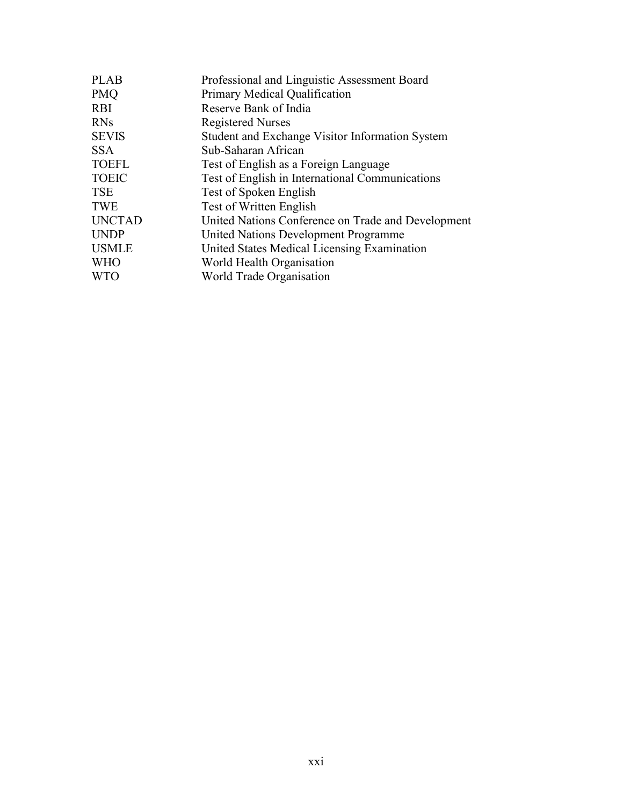| <b>PLAB</b>   | Professional and Linguistic Assessment Board       |  |  |
|---------------|----------------------------------------------------|--|--|
| <b>PMO</b>    | Primary Medical Qualification                      |  |  |
| <b>RBI</b>    | Reserve Bank of India                              |  |  |
| <b>RNs</b>    | <b>Registered Nurses</b>                           |  |  |
| <b>SEVIS</b>  | Student and Exchange Visitor Information System    |  |  |
| <b>SSA</b>    | Sub-Saharan African                                |  |  |
| <b>TOEFL</b>  | Test of English as a Foreign Language              |  |  |
| <b>TOEIC</b>  | Test of English in International Communications    |  |  |
| <b>TSE</b>    | Test of Spoken English                             |  |  |
| <b>TWE</b>    | Test of Written English                            |  |  |
| <b>UNCTAD</b> | United Nations Conference on Trade and Development |  |  |
| <b>UNDP</b>   | United Nations Development Programme               |  |  |
| <b>USMLE</b>  | United States Medical Licensing Examination        |  |  |
| <b>WHO</b>    | World Health Organisation                          |  |  |
| <b>WTO</b>    | World Trade Organisation                           |  |  |
|               |                                                    |  |  |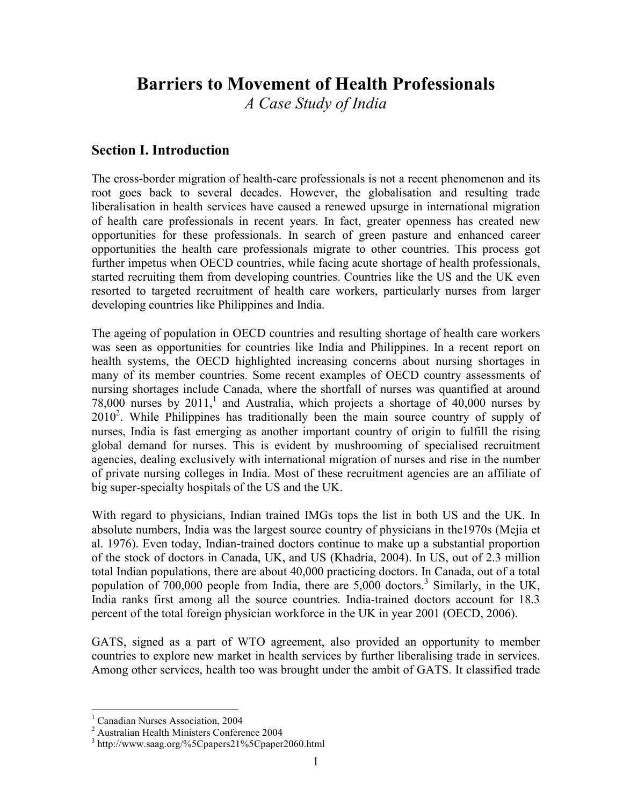## Barriers to Movement of Health Professionals

A Case Study of India

## Section I. Introduction

The cross-border migration of health-care professionals is not a recent phenomenon and its root goes back to several decades. However, the globalisation and resulting trade liberalisation in health services have caused a renewed upsurge in international migration of health care professionals in recent years. In fact, greater openness has created new opportunities for these professionals. In search of green pasture and enhanced career opportunities the health care professionals migrate to other countries. This process got further impetus when OECD countries, while facing acute shortage of health professionals, started recruiting them from developing countries. Countries like the US and the UK even resorted to targeted recruitment of health care workers, particularly nurses from larger developing countries like Philippines and India.

The ageing of population in OECD countries and resulting shortage of health care workers was seen as opportunities for countries like India and Philippines. In a recent report on health systems, the OECD highlighted increasing concerns about nursing shortages in many of its member countries. Some recent examples of OECD country assessments of nursing shortages include Canada, where the shortfall of nurses was quantified at around 78,000 nurses by  $2011$ ,<sup>1</sup> and Australia, which projects a shortage of 40,000 nurses by  $2010<sup>2</sup>$ . While Philippines has traditionally been the main source country of supply of nurses, India is fast emerging as another important country of origin to fulfill the rising global demand for nurses. This is evident by mushrooming of specialised recruitment agencies, dealing exclusively with international migration of nurses and rise in the number of private nursing colleges in India. Most of these recruitment agencies are an affiliate of big super-specialty hospitals of the US and the UK.

With regard to physicians, Indian trained IMGs tops the list in both US and the UK. In absolute numbers, India was the largest source country of physicians in the1970s (Mejia et al. 1976). Even today, Indian-trained doctors continue to make up a substantial proportion of the stock of doctors in Canada, UK, and US (Khadria, 2004). In US, out of 2.3 million total Indian populations, there are about 40,000 practicing doctors. In Canada, out of a total population of 700,000 people from India, there are 5,000 doctors.<sup>3</sup> Similarly, in the UK, India ranks first among all the source countries. India-trained doctors account for 18.3 percent of the total foreign physician workforce in the UK in year 2001 (OECD, 2006).

GATS, signed as a part of WTO agreement, also provided an opportunity to member countries to explore new market in health services by further liberalising trade in services. Among other services, health too was brought under the ambit of GATS. It classified trade

 $\overline{a}$ 

<sup>&</sup>lt;sup>1</sup> Canadian Nurses Association, 2004

<sup>2</sup> Australian Health Ministers Conference 2004

<sup>3</sup> http://www.saag.org/%5Cpapers21%5Cpaper2060.html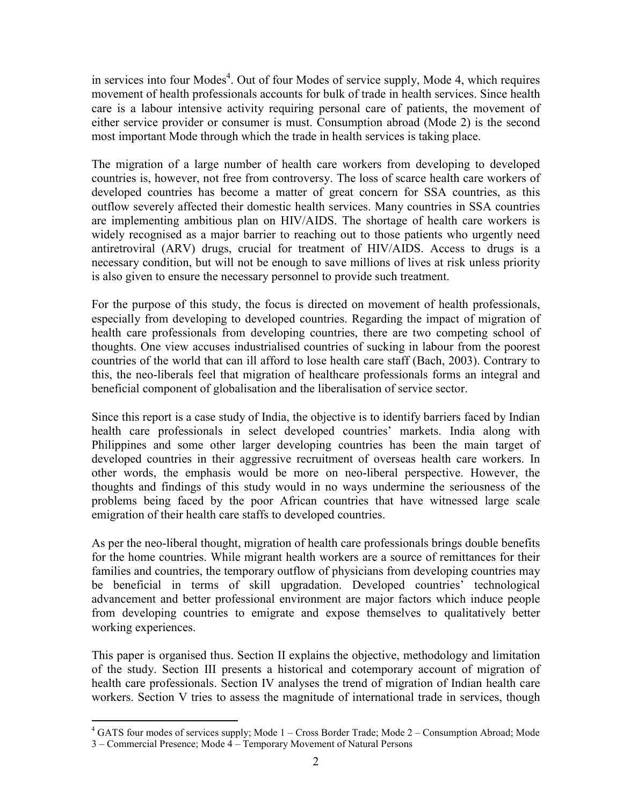in services into four Modes<sup>4</sup>. Out of four Modes of service supply, Mode 4, which requires movement of health professionals accounts for bulk of trade in health services. Since health care is a labour intensive activity requiring personal care of patients, the movement of either service provider or consumer is must. Consumption abroad (Mode 2) is the second most important Mode through which the trade in health services is taking place.

The migration of a large number of health care workers from developing to developed countries is, however, not free from controversy. The loss of scarce health care workers of developed countries has become a matter of great concern for SSA countries, as this outflow severely affected their domestic health services. Many countries in SSA countries are implementing ambitious plan on HIV/AIDS. The shortage of health care workers is widely recognised as a major barrier to reaching out to those patients who urgently need antiretroviral (ARV) drugs, crucial for treatment of HIV/AIDS. Access to drugs is a necessary condition, but will not be enough to save millions of lives at risk unless priority is also given to ensure the necessary personnel to provide such treatment.

For the purpose of this study, the focus is directed on movement of health professionals, especially from developing to developed countries. Regarding the impact of migration of health care professionals from developing countries, there are two competing school of thoughts. One view accuses industrialised countries of sucking in labour from the poorest countries of the world that can ill afford to lose health care staff (Bach, 2003). Contrary to this, the neo-liberals feel that migration of healthcare professionals forms an integral and beneficial component of globalisation and the liberalisation of service sector.

Since this report is a case study of India, the objective is to identify barriers faced by Indian health care professionals in select developed countries' markets. India along with Philippines and some other larger developing countries has been the main target of developed countries in their aggressive recruitment of overseas health care workers. In other words, the emphasis would be more on neo-liberal perspective. However, the thoughts and findings of this study would in no ways undermine the seriousness of the problems being faced by the poor African countries that have witnessed large scale emigration of their health care staffs to developed countries.

As per the neo-liberal thought, migration of health care professionals brings double benefits for the home countries. While migrant health workers are a source of remittances for their families and countries, the temporary outflow of physicians from developing countries may be beneficial in terms of skill upgradation. Developed countries' technological advancement and better professional environment are major factors which induce people from developing countries to emigrate and expose themselves to qualitatively better working experiences.

This paper is organised thus. Section II explains the objective, methodology and limitation of the study. Section III presents a historical and cotemporary account of migration of health care professionals. Section IV analyses the trend of migration of Indian health care workers. Section V tries to assess the magnitude of international trade in services, though

 $\overline{a}$ <sup>4</sup> GATS four modes of services supply; Mode 1 – Cross Border Trade; Mode 2 – Consumption Abroad; Mode

<sup>3 –</sup> Commercial Presence; Mode 4 – Temporary Movement of Natural Persons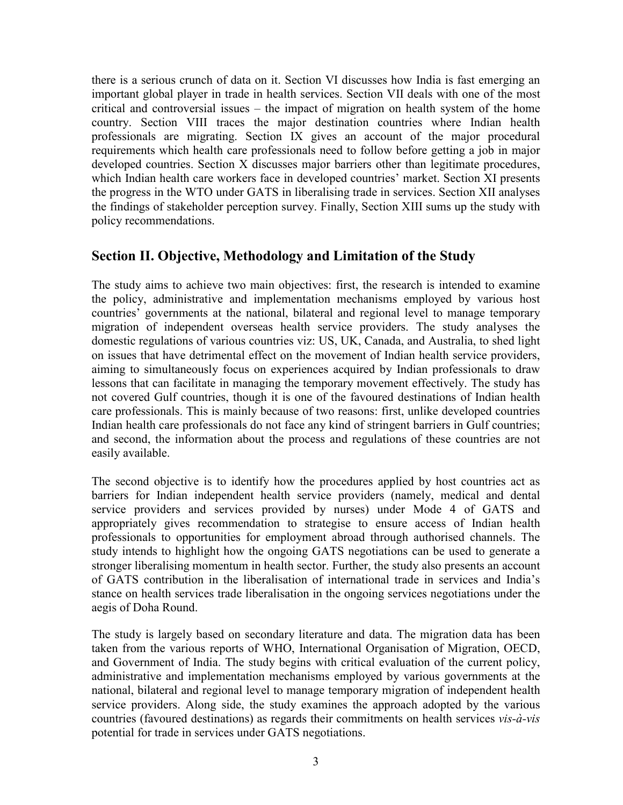there is a serious crunch of data on it. Section VI discusses how India is fast emerging an important global player in trade in health services. Section VII deals with one of the most critical and controversial issues – the impact of migration on health system of the home country. Section VIII traces the major destination countries where Indian health professionals are migrating. Section IX gives an account of the major procedural requirements which health care professionals need to follow before getting a job in major developed countries. Section X discusses major barriers other than legitimate procedures, which Indian health care workers face in developed countries' market. Section XI presents the progress in the WTO under GATS in liberalising trade in services. Section XII analyses the findings of stakeholder perception survey. Finally, Section XIII sums up the study with policy recommendations.

## Section II. Objective, Methodology and Limitation of the Study

The study aims to achieve two main objectives: first, the research is intended to examine the policy, administrative and implementation mechanisms employed by various host countries' governments at the national, bilateral and regional level to manage temporary migration of independent overseas health service providers. The study analyses the domestic regulations of various countries viz: US, UK, Canada, and Australia, to shed light on issues that have detrimental effect on the movement of Indian health service providers, aiming to simultaneously focus on experiences acquired by Indian professionals to draw lessons that can facilitate in managing the temporary movement effectively. The study has not covered Gulf countries, though it is one of the favoured destinations of Indian health care professionals. This is mainly because of two reasons: first, unlike developed countries Indian health care professionals do not face any kind of stringent barriers in Gulf countries; and second, the information about the process and regulations of these countries are not easily available.

The second objective is to identify how the procedures applied by host countries act as barriers for Indian independent health service providers (namely, medical and dental service providers and services provided by nurses) under Mode 4 of GATS and appropriately gives recommendation to strategise to ensure access of Indian health professionals to opportunities for employment abroad through authorised channels. The study intends to highlight how the ongoing GATS negotiations can be used to generate a stronger liberalising momentum in health sector. Further, the study also presents an account of GATS contribution in the liberalisation of international trade in services and India's stance on health services trade liberalisation in the ongoing services negotiations under the aegis of Doha Round.

The study is largely based on secondary literature and data. The migration data has been taken from the various reports of WHO, International Organisation of Migration, OECD, and Government of India. The study begins with critical evaluation of the current policy, administrative and implementation mechanisms employed by various governments at the national, bilateral and regional level to manage temporary migration of independent health service providers. Along side, the study examines the approach adopted by the various countries (favoured destinations) as regards their commitments on health services vis-à-vis potential for trade in services under GATS negotiations.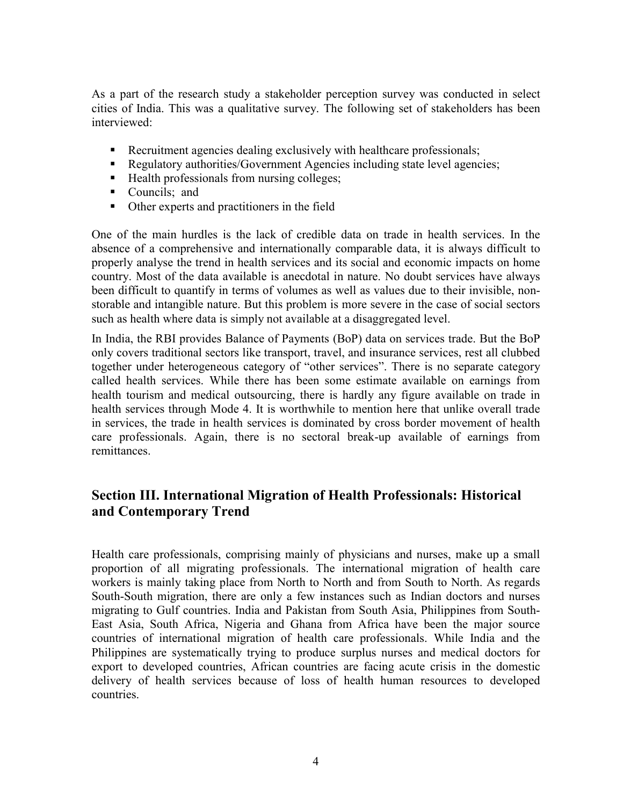As a part of the research study a stakeholder perception survey was conducted in select cities of India. This was a qualitative survey. The following set of stakeholders has been interviewed:

- Recruitment agencies dealing exclusively with healthcare professionals;
- Regulatory authorities/Government Agencies including state level agencies;
- $\blacksquare$  Health professionals from nursing colleges;
- Councils; and
- Other experts and practitioners in the field

One of the main hurdles is the lack of credible data on trade in health services. In the absence of a comprehensive and internationally comparable data, it is always difficult to properly analyse the trend in health services and its social and economic impacts on home country. Most of the data available is anecdotal in nature. No doubt services have always been difficult to quantify in terms of volumes as well as values due to their invisible, nonstorable and intangible nature. But this problem is more severe in the case of social sectors such as health where data is simply not available at a disaggregated level.

In India, the RBI provides Balance of Payments (BoP) data on services trade. But the BoP only covers traditional sectors like transport, travel, and insurance services, rest all clubbed together under heterogeneous category of "other services". There is no separate category called health services. While there has been some estimate available on earnings from health tourism and medical outsourcing, there is hardly any figure available on trade in health services through Mode 4. It is worthwhile to mention here that unlike overall trade in services, the trade in health services is dominated by cross border movement of health care professionals. Again, there is no sectoral break-up available of earnings from remittances.

## Section III. International Migration of Health Professionals: Historical and Contemporary Trend

Health care professionals, comprising mainly of physicians and nurses, make up a small proportion of all migrating professionals. The international migration of health care workers is mainly taking place from North to North and from South to North. As regards South-South migration, there are only a few instances such as Indian doctors and nurses migrating to Gulf countries. India and Pakistan from South Asia, Philippines from South-East Asia, South Africa, Nigeria and Ghana from Africa have been the major source countries of international migration of health care professionals. While India and the Philippines are systematically trying to produce surplus nurses and medical doctors for export to developed countries, African countries are facing acute crisis in the domestic delivery of health services because of loss of health human resources to developed countries.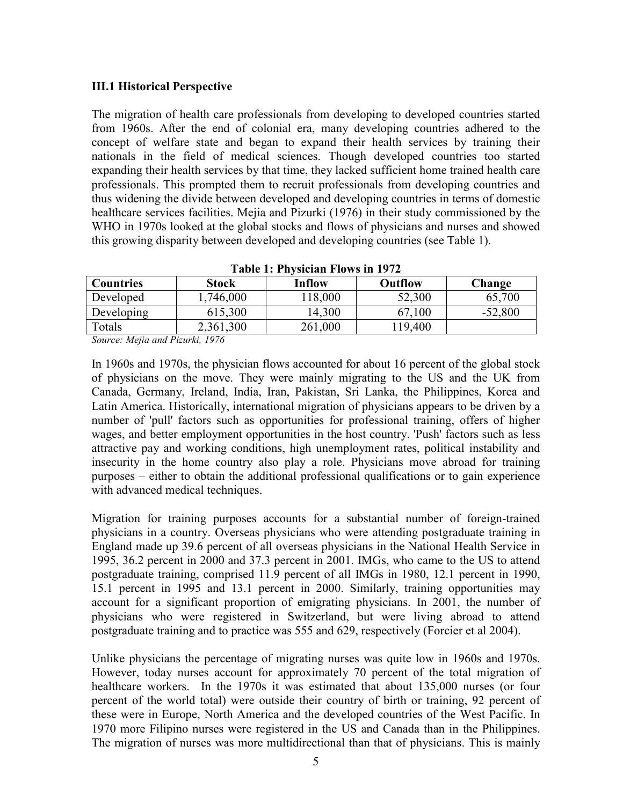### III.1 Historical Perspective

The migration of health care professionals from developing to developed countries started from 1960s. After the end of colonial era, many developing countries adhered to the concept of welfare state and began to expand their health services by training their nationals in the field of medical sciences. Though developed countries too started expanding their health services by that time, they lacked sufficient home trained health care professionals. This prompted them to recruit professionals from developing countries and thus widening the divide between developed and developing countries in terms of domestic healthcare services facilities. Mejia and Pizurki (1976) in their study commissioned by the WHO in 1970s looked at the global stocks and flows of physicians and nurses and showed this growing disparity between developed and developing countries (see Table 1).

| $\sim$ White the theory is the state of $\sim$                                                                                               |              |         |         |           |
|----------------------------------------------------------------------------------------------------------------------------------------------|--------------|---------|---------|-----------|
| <b>Countries</b>                                                                                                                             | <b>Stock</b> | Inflow  | Outflow | Change    |
| Developed                                                                                                                                    | ,746,000     | 118,000 | 52,300  | 65,700    |
| Developing                                                                                                                                   | 615,300      | 14,300  | 67,100  | $-52,800$ |
| Totals                                                                                                                                       | 2,361,300    | 261,000 | 119,400 |           |
| $\sim$ $\sim$<br>and the contract of the contract of the contract of the contract of the contract of the contract of the contract of<br>$ -$ | .            |         |         |           |

Table 1: Physician Flows in 1972

Source: Mejia and Pizurki, 1976

In 1960s and 1970s, the physician flows accounted for about 16 percent of the global stock of physicians on the move. They were mainly migrating to the US and the UK from Canada, Germany, Ireland, India, Iran, Pakistan, Sri Lanka, the Philippines, Korea and Latin America. Historically, international migration of physicians appears to be driven by a number of 'pull' factors such as opportunities for professional training, offers of higher wages, and better employment opportunities in the host country. 'Push' factors such as less attractive pay and working conditions, high unemployment rates, political instability and insecurity in the home country also play a role. Physicians move abroad for training purposes – either to obtain the additional professional qualifications or to gain experience with advanced medical techniques.

Migration for training purposes accounts for a substantial number of foreign-trained physicians in a country. Overseas physicians who were attending postgraduate training in England made up 39.6 percent of all overseas physicians in the National Health Service in 1995, 36.2 percent in 2000 and 37.3 percent in 2001. IMGs, who came to the US to attend postgraduate training, comprised 11.9 percent of all IMGs in 1980, 12.1 percent in 1990, 15.1 percent in 1995 and 13.1 percent in 2000. Similarly, training opportunities may account for a significant proportion of emigrating physicians. In 2001, the number of physicians who were registered in Switzerland, but were living abroad to attend postgraduate training and to practice was 555 and 629, respectively (Forcier et al 2004).

Unlike physicians the percentage of migrating nurses was quite low in 1960s and 1970s. However, today nurses account for approximately 70 percent of the total migration of healthcare workers. In the 1970s it was estimated that about 135,000 nurses (or four percent of the world total) were outside their country of birth or training, 92 percent of these were in Europe, North America and the developed countries of the West Pacific. In 1970 more Filipino nurses were registered in the US and Canada than in the Philippines. The migration of nurses was more multidirectional than that of physicians. This is mainly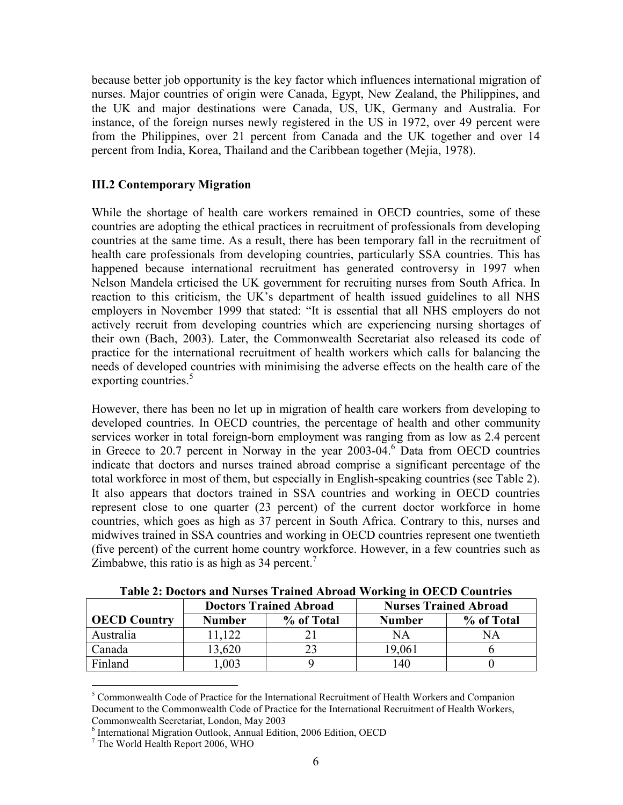because better job opportunity is the key factor which influences international migration of nurses. Major countries of origin were Canada, Egypt, New Zealand, the Philippines, and the UK and major destinations were Canada, US, UK, Germany and Australia. For instance, of the foreign nurses newly registered in the US in 1972, over 49 percent were from the Philippines, over 21 percent from Canada and the UK together and over 14 percent from India, Korea, Thailand and the Caribbean together (Mejia, 1978).

## III.2 Contemporary Migration

While the shortage of health care workers remained in OECD countries, some of these countries are adopting the ethical practices in recruitment of professionals from developing countries at the same time. As a result, there has been temporary fall in the recruitment of health care professionals from developing countries, particularly SSA countries. This has happened because international recruitment has generated controversy in 1997 when Nelson Mandela crticised the UK government for recruiting nurses from South Africa. In reaction to this criticism, the UK's department of health issued guidelines to all NHS employers in November 1999 that stated: "It is essential that all NHS employers do not actively recruit from developing countries which are experiencing nursing shortages of their own (Bach, 2003). Later, the Commonwealth Secretariat also released its code of practice for the international recruitment of health workers which calls for balancing the needs of developed countries with minimising the adverse effects on the health care of the exporting countries.<sup>5</sup>

However, there has been no let up in migration of health care workers from developing to developed countries. In OECD countries, the percentage of health and other community services worker in total foreign-born employment was ranging from as low as 2.4 percent in Greece to 20.7 percent in Norway in the year 2003-04.<sup>6</sup> Data from OECD countries indicate that doctors and nurses trained abroad comprise a significant percentage of the total workforce in most of them, but especially in English-speaking countries (see Table 2). It also appears that doctors trained in SSA countries and working in OECD countries represent close to one quarter (23 percent) of the current doctor workforce in home countries, which goes as high as 37 percent in South Africa. Contrary to this, nurses and midwives trained in SSA countries and working in OECD countries represent one twentieth (five percent) of the current home country workforce. However, in a few countries such as Zimbabwe, this ratio is as high as 34 percent.<sup>7</sup>

|                     | <b>Doctors Trained Abroad</b> |            | <b>Nurses Trained Abroad</b> |            |
|---------------------|-------------------------------|------------|------------------------------|------------|
| <b>OECD Country</b> | <b>Number</b>                 | % of Total | <b>Number</b>                | % of Total |
| Australia           | 1.122                         |            | NA                           | NA         |
| Canada              | ,620                          |            | 19,061                       |            |
| Finland             | .003                          |            | !40                          |            |

Table 2: Doctors and Nurses Trained Abroad Working in OECD Countries

l

<sup>&</sup>lt;sup>5</sup> Commonwealth Code of Practice for the International Recruitment of Health Workers and Companion Document to the Commonwealth Code of Practice for the International Recruitment of Health Workers, Commonwealth Secretariat, London, May 2003

<sup>6</sup> International Migration Outlook, Annual Edition, 2006 Edition, OECD

<sup>7</sup> The World Health Report 2006, WHO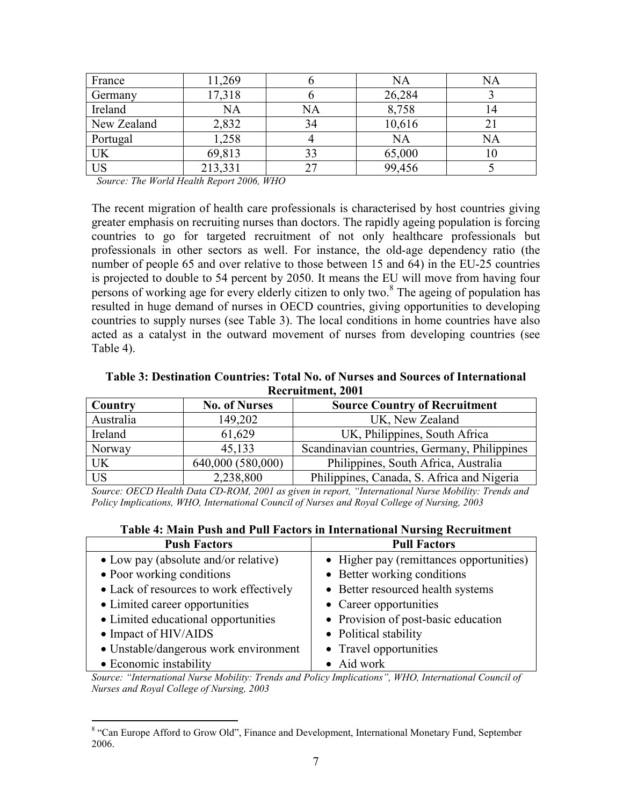| France      | 11,269  |    | NA     | NA |
|-------------|---------|----|--------|----|
| Germany     | 17,318  |    | 26,284 |    |
| Ireland     | NA      | NA | 8,758  |    |
| New Zealand | 2,832   | 34 | 10,616 | ∠⊥ |
| Portugal    | 1,258   |    | NA     | NA |
| UK          | 69,813  |    | 65,000 |    |
| US          | 213,331 |    | 99,456 |    |

Source: The World Health Report 2006, WHO

The recent migration of health care professionals is characterised by host countries giving greater emphasis on recruiting nurses than doctors. The rapidly ageing population is forcing countries to go for targeted recruitment of not only healthcare professionals but professionals in other sectors as well. For instance, the old-age dependency ratio (the number of people 65 and over relative to those between 15 and 64) in the EU-25 countries is projected to double to 54 percent by 2050. It means the EU will move from having four persons of working age for every elderly citizen to only two.<sup>8</sup> The ageing of population has resulted in huge demand of nurses in OECD countries, giving opportunities to developing countries to supply nurses (see Table 3). The local conditions in home countries have also acted as a catalyst in the outward movement of nurses from developing countries (see Table 4).

Table 3: Destination Countries: Total No. of Nurses and Sources of International Recruitment, 2001

| Country        | <b>No. of Nurses</b> | <b>Source Country of Recruitment</b>         |
|----------------|----------------------|----------------------------------------------|
| Australia      | 149,202              | UK, New Zealand                              |
| Ireland        | 61,629               | UK, Philippines, South Africa                |
| Norway         | 45,133               | Scandinavian countries, Germany, Philippines |
| UK             | 640,000 (580,000)    | Philippines, South Africa, Australia         |
| U <sub>S</sub> | 2,238,800            | Philippines, Canada, S. Africa and Nigeria   |

Source: OECD Health Data CD-ROM, 2001 as given in report, "International Nurse Mobility: Trends and Policy Implications, WHO, International Council of Nurses and Royal College of Nursing, 2003

| Table 4: Main Push and Pull Factors in International Nursing Recruitment |  |
|--------------------------------------------------------------------------|--|
|--------------------------------------------------------------------------|--|

| <b>Push Factors</b>                     | <b>Pull Factors</b>                      |
|-----------------------------------------|------------------------------------------|
| • Low pay (absolute and/or relative)    | • Higher pay (remittances opportunities) |
| • Poor working conditions               | • Better working conditions              |
| • Lack of resources to work effectively | • Better resourced health systems        |
| • Limited career opportunities          | • Career opportunities                   |
| • Limited educational opportunities     | • Provision of post-basic education      |
| • Impact of HIV/AIDS                    | • Political stability                    |
| • Unstable/dangerous work environment   | • Travel opportunities                   |
| • Economic instability                  | • Aid work                               |

Source: "International Nurse Mobility: Trends and Policy Implications", WHO, International Council of Nurses and Royal College of Nursing, 2003

<sup>&</sup>lt;sup>8</sup> "Can Europe Afford to Grow Old", Finance and Development, International Monetary Fund, September 2006.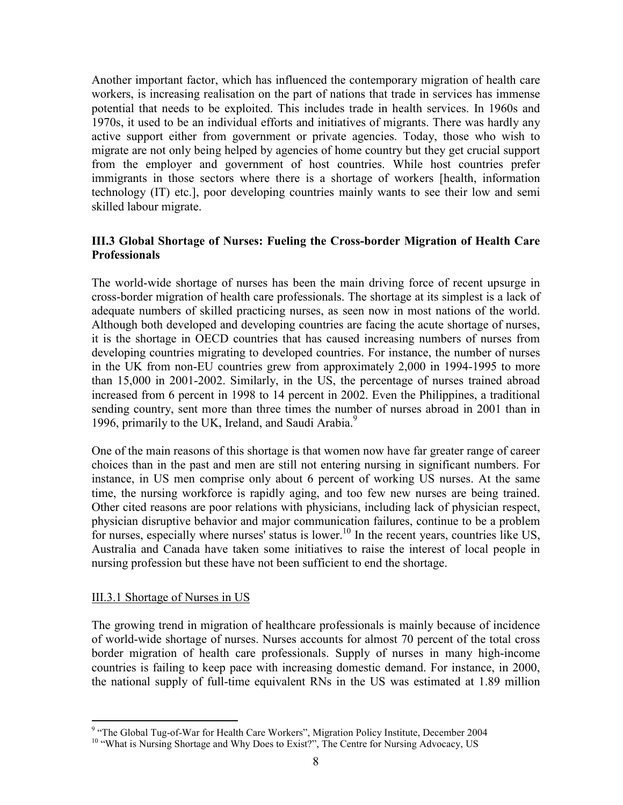Another important factor, which has influenced the contemporary migration of health care workers, is increasing realisation on the part of nations that trade in services has immense potential that needs to be exploited. This includes trade in health services. In 1960s and 1970s, it used to be an individual efforts and initiatives of migrants. There was hardly any active support either from government or private agencies. Today, those who wish to migrate are not only being helped by agencies of home country but they get crucial support from the employer and government of host countries. While host countries prefer immigrants in those sectors where there is a shortage of workers [health, information technology (IT) etc.], poor developing countries mainly wants to see their low and semi skilled labour migrate.

## III.3 Global Shortage of Nurses: Fueling the Cross-border Migration of Health Care **Professionals**

The world-wide shortage of nurses has been the main driving force of recent upsurge in cross-border migration of health care professionals. The shortage at its simplest is a lack of adequate numbers of skilled practicing nurses, as seen now in most nations of the world. Although both developed and developing countries are facing the acute shortage of nurses, it is the shortage in OECD countries that has caused increasing numbers of nurses from developing countries migrating to developed countries. For instance, the number of nurses in the UK from non-EU countries grew from approximately 2,000 in 1994-1995 to more than 15,000 in 2001-2002. Similarly, in the US, the percentage of nurses trained abroad increased from 6 percent in 1998 to 14 percent in 2002. Even the Philippines, a traditional sending country, sent more than three times the number of nurses abroad in 2001 than in 1996, primarily to the UK, Ireland, and Saudi Arabia.<sup>9</sup>

One of the main reasons of this shortage is that women now have far greater range of career choices than in the past and men are still not entering nursing in significant numbers. For instance, in US men comprise only about 6 percent of working US nurses. At the same time, the nursing workforce is rapidly aging, and too few new nurses are being trained. Other cited reasons are poor relations with physicians, including lack of physician respect, physician disruptive behavior and major communication failures, continue to be a problem for nurses, especially where nurses' status is lower.<sup>10</sup> In the recent years, countries like US, Australia and Canada have taken some initiatives to raise the interest of local people in nursing profession but these have not been sufficient to end the shortage.

#### III.3.1 Shortage of Nurses in US

The growing trend in migration of healthcare professionals is mainly because of incidence of world-wide shortage of nurses. Nurses accounts for almost 70 percent of the total cross border migration of health care professionals. Supply of nurses in many high-income countries is failing to keep pace with increasing domestic demand. For instance, in 2000, the national supply of full-time equivalent RNs in the US was estimated at 1.89 million

<sup>&</sup>lt;sup>9</sup> "The Global Tug-of-War for Health Care Workers", Migration Policy Institute, December 2004

<sup>&</sup>lt;sup>10</sup> "What is Nursing Shortage and Why Does to Exist?", The Centre for Nursing Advocacy, US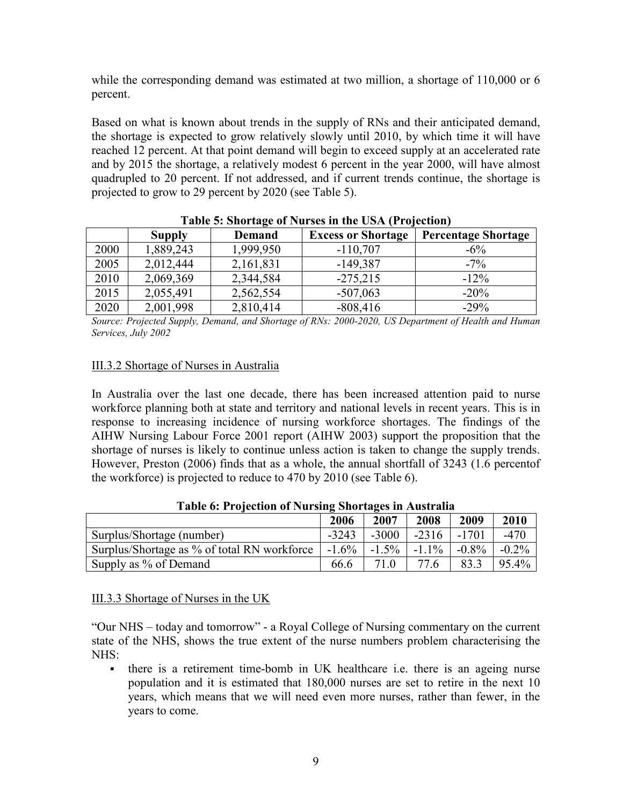while the corresponding demand was estimated at two million, a shortage of 110,000 or 6 percent.

Based on what is known about trends in the supply of RNs and their anticipated demand, the shortage is expected to grow relatively slowly until 2010, by which time it will have reached 12 percent. At that point demand will begin to exceed supply at an accelerated rate and by 2015 the shortage, a relatively modest 6 percent in the year 2000, will have almost quadrupled to 20 percent. If not addressed, and if current trends continue, the shortage is projected to grow to 29 percent by 2020 (see Table 5).

|      | <b>Supply</b> | <b>Demand</b> | <b>Excess or Shortage</b> | <b>Percentage Shortage</b> |
|------|---------------|---------------|---------------------------|----------------------------|
| 2000 | 1,889,243     | 1,999,950     | $-110,707$                | $-6\%$                     |
| 2005 | 2,012,444     | 2,161,831     | $-149,387$                | $-7\%$                     |
| 2010 | 2,069,369     | 2,344,584     | $-275,215$                | $-12\%$                    |
| 2015 | 2,055,491     | 2,562,554     | $-507,063$                | $-20%$                     |
| 2020 | 2,001,998     | 2,810,414     | $-808,416$                | $-29%$                     |

#### Table 5: Shortage of Nurses in the USA (Projection)

Source: Projected Supply, Demand, and Shortage of RNs: 2000-2020, US Department of Health and Human Services, July 2002

#### III.3.2 Shortage of Nurses in Australia

In Australia over the last one decade, there has been increased attention paid to nurse workforce planning both at state and territory and national levels in recent years. This is in response to increasing incidence of nursing workforce shortages. The findings of the AIHW Nursing Labour Force 2001 report (AIHW 2003) support the proposition that the shortage of nurses is likely to continue unless action is taken to change the supply trends. However, Preston (2006) finds that as a whole, the annual shortfall of 3243 (1.6 percentof the workforce) is projected to reduce to 470 by 2010 (see Table 6).

|                                             | -<br>2006 | 2007     | 2008     | 2009     | 2010     |
|---------------------------------------------|-----------|----------|----------|----------|----------|
| Surplus/Shortage (number)                   | $-3243$   | $-3000$  | $-2316$  | -1701    | $-470$   |
| Surplus/Shortage as % of total RN workforce | $-1.6\%$  | $-1.5\%$ | $-1.1\%$ | $-0.8\%$ | $-0.2\%$ |
| Supply as % of Demand                       | 66.6      | 71 Q     | 77.6     | 83.3     | 95.4%    |

Table 6: Projection of Nursing Shortages in Australia

#### III.3.3 Shortage of Nurses in the UK

"Our NHS – today and tomorrow" - a Royal College of Nursing commentary on the current state of the NHS, shows the true extent of the nurse numbers problem characterising the NHS:

 there is a retirement time-bomb in UK healthcare i.e. there is an ageing nurse population and it is estimated that 180,000 nurses are set to retire in the next 10 years, which means that we will need even more nurses, rather than fewer, in the years to come.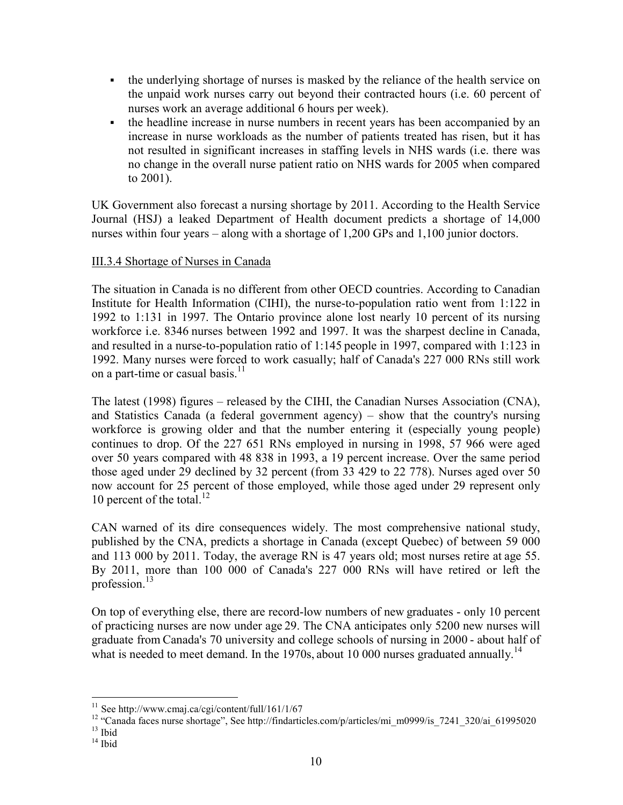- the underlying shortage of nurses is masked by the reliance of the health service on the unpaid work nurses carry out beyond their contracted hours (i.e. 60 percent of nurses work an average additional 6 hours per week).
- the headline increase in nurse numbers in recent years has been accompanied by an increase in nurse workloads as the number of patients treated has risen, but it has not resulted in significant increases in staffing levels in NHS wards (i.e. there was no change in the overall nurse patient ratio on NHS wards for 2005 when compared to 2001).

UK Government also forecast a nursing shortage by 2011. According to the Health Service Journal (HSJ) a leaked Department of Health document predicts a shortage of 14,000 nurses within four years – along with a shortage of 1,200 GPs and 1,100 junior doctors.

## III.3.4 Shortage of Nurses in Canada

The situation in Canada is no different from other OECD countries. According to Canadian Institute for Health Information (CIHI), the nurse-to-population ratio went from 1:122 in 1992 to 1:131 in 1997. The Ontario province alone lost nearly 10 percent of its nursing workforce i.e. 8346 nurses between 1992 and 1997. It was the sharpest decline in Canada, and resulted in a nurse-to-population ratio of 1:145 people in 1997, compared with 1:123 in 1992. Many nurses were forced to work casually; half of Canada's 227 000 RNs still work on a part-time or casual basis.<sup>11</sup>

The latest (1998) figures – released by the CIHI, the Canadian Nurses Association (CNA), and Statistics Canada (a federal government agency) – show that the country's nursing workforce is growing older and that the number entering it (especially young people) continues to drop. Of the 227 651 RNs employed in nursing in 1998, 57 966 were aged over 50 years compared with 48 838 in 1993, a 19 percent increase. Over the same period those aged under 29 declined by 32 percent (from 33 429 to 22 778). Nurses aged over 50 now account for 25 percent of those employed, while those aged under 29 represent only 10 percent of the total.<sup>12</sup>

CAN warned of its dire consequences widely. The most comprehensive national study, published by the CNA, predicts a shortage in Canada (except Quebec) of between 59 000 and 113 000 by 2011. Today, the average RN is 47 years old; most nurses retire at age 55. By 2011, more than 100 000 of Canada's 227 000 RNs will have retired or left the profession.<sup>13</sup>

On top of everything else, there are record-low numbers of new graduates - only 10 percent of practicing nurses are now under age 29. The CNA anticipates only 5200 new nurses will graduate from Canada's 70 university and college schools of nursing in 2000 - about half of what is needed to meet demand. In the 1970s, about 10 000 nurses graduated annually.<sup>14</sup>

 $\overline{a}$ 

 $11$  See http://www.cmaj.ca/cgi/content/full/161/1/67

<sup>&</sup>lt;sup>12</sup> "Canada faces nurse shortage", See http://findarticles.com/p/articles/mi\_m0999/is\_7241\_320/ai\_61995020  $13$  Ibid

 $14$  Ibid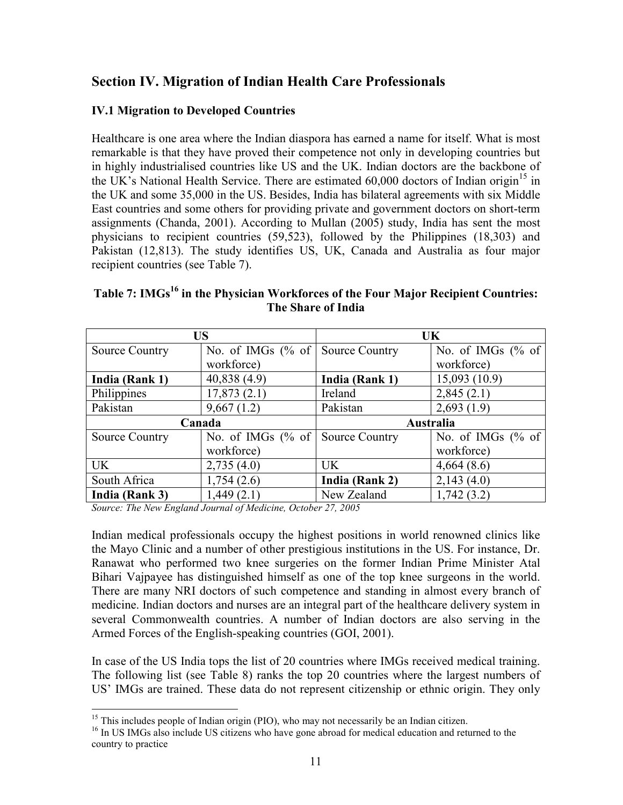## Section IV. Migration of Indian Health Care Professionals

## IV.1 Migration to Developed Countries

Healthcare is one area where the Indian diaspora has earned a name for itself. What is most remarkable is that they have proved their competence not only in developing countries but in highly industrialised countries like US and the UK. Indian doctors are the backbone of the UK's National Health Service. There are estimated  $60,000$  doctors of Indian origin<sup>15</sup> in the UK and some 35,000 in the US. Besides, India has bilateral agreements with six Middle East countries and some others for providing private and government doctors on short-term assignments (Chanda, 2001). According to Mullan (2005) study, India has sent the most physicians to recipient countries (59,523), followed by the Philippines (18,303) and Pakistan (12,813). The study identifies US, UK, Canada and Australia as four major recipient countries (see Table 7).

|                       | <b>US</b>            | UK                    |                      |  |
|-----------------------|----------------------|-----------------------|----------------------|--|
| <b>Source Country</b> | No. of IMGs $(\%$ of | <b>Source Country</b> | No. of IMGs $%$ of   |  |
|                       | workforce)           |                       | workforce)           |  |
| India (Rank 1)        | 40,838(4.9)          | India (Rank 1)        | 15,093(10.9)         |  |
| Philippines           | 17,873(2.1)          | Ireland               | 2,845(2.1)           |  |
| Pakistan              | 9,667(1.2)           | Pakistan              | 2,693(1.9)           |  |
| Canada                |                      | Australia             |                      |  |
| <b>Source Country</b> | No. of IMGs $(\%$ of | <b>Source Country</b> | No. of IMGs $(\%$ of |  |
|                       | workforce)           |                       | workforce)           |  |
| <b>UK</b>             | 2,735(4.0)           | UK.                   | 4,664(8.6)           |  |
| South Africa          | 1,754(2.6)           | India (Rank 2)        | 2,143(4.0)           |  |
| India (Rank 3)        | 1,449(2.1)           | New Zealand           | 1,742(3.2)           |  |

## Table 7: IMGs<sup>16</sup> in the Physician Workforces of the Four Major Recipient Countries: The Share of India

Source: The New England Journal of Medicine, October 27, 2005

Indian medical professionals occupy the highest positions in world renowned clinics like the Mayo Clinic and a number of other prestigious institutions in the US. For instance, Dr. Ranawat who performed two knee surgeries on the former Indian Prime Minister Atal Bihari Vajpayee has distinguished himself as one of the top knee surgeons in the world. There are many NRI doctors of such competence and standing in almost every branch of medicine. Indian doctors and nurses are an integral part of the healthcare delivery system in several Commonwealth countries. A number of Indian doctors are also serving in the Armed Forces of the English-speaking countries (GOI, 2001).

In case of the US India tops the list of 20 countries where IMGs received medical training. The following list (see Table 8) ranks the top 20 countries where the largest numbers of US' IMGs are trained. These data do not represent citizenship or ethnic origin. They only

 $\overline{a}$  $<sup>15</sup>$  This includes people of Indian origin (PIO), who may not necessarily be an Indian citizen.</sup>

<sup>&</sup>lt;sup>16</sup> In US IMGs also include US citizens who have gone abroad for medical education and returned to the country to practice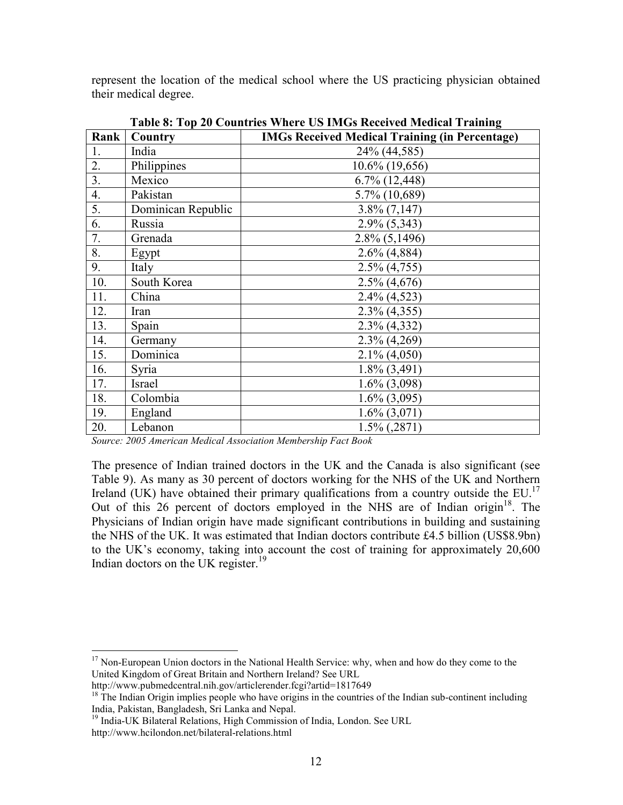represent the location of the medical school where the US practicing physician obtained their medical degree.

| Rank | <b>Country</b>     | Table 0. Tup To Countries where OS IMOS Received Medical Training<br><b>IMGs Received Medical Training (in Percentage)</b> |
|------|--------------------|----------------------------------------------------------------------------------------------------------------------------|
| 1.   | India              | 24% (44,585)                                                                                                               |
| 2.   | Philippines        | 10.6% (19,656)                                                                                                             |
| 3.   | Mexico             | $6.7\%$ $(12,448)$                                                                                                         |
| 4.   | Pakistan           | 5.7% (10,689)                                                                                                              |
| 5.   | Dominican Republic | $3.8\% (7,147)$                                                                                                            |
| 6.   | Russia             | $2.9\% (5,343)$                                                                                                            |
| 7.   | Grenada            | $2.8\%$ (5,1496)                                                                                                           |
| 8.   | Egypt              | $2.6\%$ (4,884)                                                                                                            |
| 9.   | Italy              | $2.5\% (4.755)$                                                                                                            |
| 10.  | South Korea        | $2.5\%$ (4,676)                                                                                                            |
| 11.  | China              | $2.4\%$ (4,523)                                                                                                            |
| 12.  | Iran               | $2.3\%$ (4,355)                                                                                                            |
| 13.  | Spain              | $2.3\%$ (4,332)                                                                                                            |
| 14.  | Germany            | $2.3\%$ (4,269)                                                                                                            |
| 15.  | Dominica           | $2.1\% (4.050)$                                                                                                            |
| 16.  | Syria              | $1.8\%$ (3,491)                                                                                                            |
| 17.  | Israel             | $1.6\%$ (3,098)                                                                                                            |
| 18.  | Colombia           | $1.6\%$ (3,095)                                                                                                            |
| 19.  | England            | $1.6\%$ (3,071)                                                                                                            |
| 20.  | Lebanon            | $1.5\%$ (, 2871)                                                                                                           |

Table 8: Top 20 Countries Where US IMGs Received Medical Training

Source: 2005 American Medical Association Membership Fact Book

The presence of Indian trained doctors in the UK and the Canada is also significant (see Table 9). As many as 30 percent of doctors working for the NHS of the UK and Northern Ireland (UK) have obtained their primary qualifications from a country outside the EU.<sup>17</sup> Out of this 26 percent of doctors employed in the NHS are of Indian origin<sup>18</sup>. The Physicians of Indian origin have made significant contributions in building and sustaining the NHS of the UK. It was estimated that Indian doctors contribute £4.5 billion (US\$8.9bn) to the UK's economy, taking into account the cost of training for approximately 20,600 Indian doctors on the UK register.<sup>19</sup>

 $\overline{a}$ 

<sup>&</sup>lt;sup>17</sup> Non-European Union doctors in the National Health Service: why, when and how do they come to the United Kingdom of Great Britain and Northern Ireland? See URL

http://www.pubmedcentral.nih.gov/articlerender.fcgi?artid=1817649

 $18$  The Indian Origin implies people who have origins in the countries of the Indian sub-continent including India, Pakistan, Bangladesh, Sri Lanka and Nepal.

<sup>&</sup>lt;sup>19</sup> India-UK Bilateral Relations, High Commission of India, London. See URL

http://www.hcilondon.net/bilateral-relations.html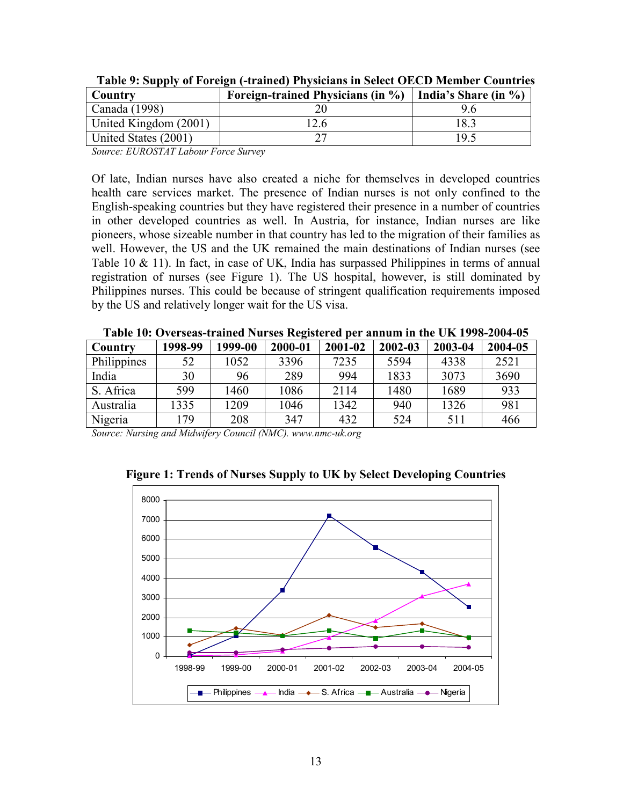| Country               | Foreign-trained Physicians (in $\%$ ) | India's Share (in $\%$ ) |
|-----------------------|---------------------------------------|--------------------------|
| Canada $(1998)$       |                                       |                          |
| United Kingdom (2001) |                                       | 18.3                     |
| United States (2001)  |                                       | 19.5                     |

Table 9: Supply of Foreign (-trained) Physicians in Select OECD Member Countries

Source: EUROSTAT Labour Force Survey

Of late, Indian nurses have also created a niche for themselves in developed countries health care services market. The presence of Indian nurses is not only confined to the English-speaking countries but they have registered their presence in a number of countries in other developed countries as well. In Austria, for instance, Indian nurses are like pioneers, whose sizeable number in that country has led to the migration of their families as well. However, the US and the UK remained the main destinations of Indian nurses (see Table 10 & 11). In fact, in case of UK, India has surpassed Philippines in terms of annual registration of nurses (see Figure 1). The US hospital, however, is still dominated by Philippines nurses. This could be because of stringent qualification requirements imposed by the US and relatively longer wait for the US visa.

| Country     | 1998-99 | 1999-00 | 2000-01 | 2001-02 | 2002-03 | 2003-04 | 2004-05 |
|-------------|---------|---------|---------|---------|---------|---------|---------|
| Philippines | 52      | 1052    | 3396    | 7235    | 5594    | 4338    | 2521    |
| India       | 30      | 96      | 289     | 994     | 1833    | 3073    | 3690    |
| S. Africa   | 599     | 1460    | 1086    | 2114    | 1480    | 1689    | 933     |
| Australia   | 1335    | 1209    | 1046    | 1342    | 940     | 1326    | 981     |
| Nigeria     | 179     | 208     | 347     | 432     | 524     | 511     | 466     |

Table 10: Overseas-trained Nurses Registered per annum in the UK 1998-2004-05

Source: Nursing and Midwifery Council (NMC). www.nmc-uk.org

0 1000 2000 3000 4000 5000 6000 7000 8000 1998-99 1999-00 2000-01 2001-02 2002-03 2003-04 2004-05 Philippines **A**-India **-** S. Africa **-** Australia **-** Nigeria

Figure 1: Trends of Nurses Supply to UK by Select Developing Countries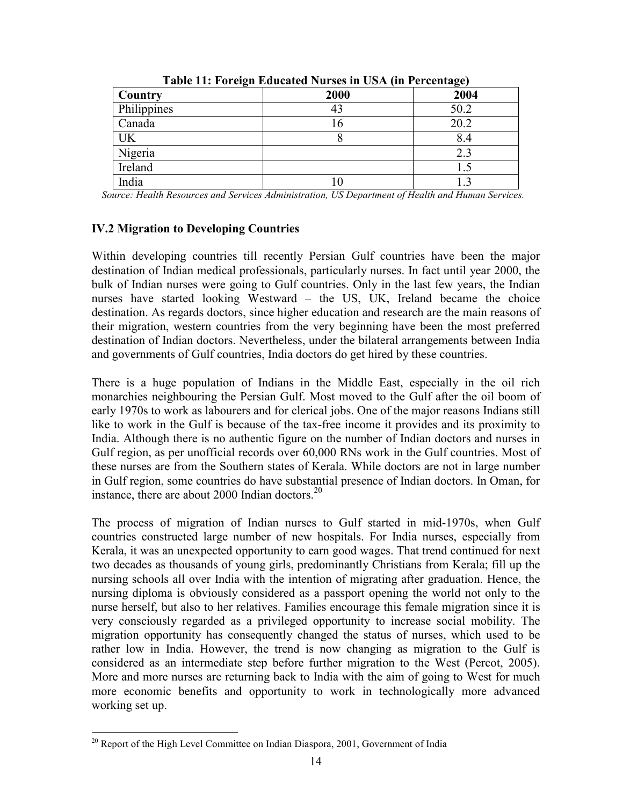| $\overline{ }$<br>Country | 2000 | $\cdots$ ə,<br>2004 |
|---------------------------|------|---------------------|
| Philippines               | 43   | 50.2                |
| Canada                    | . 6  | 20.2                |
| <b>UK</b>                 | О    | 8.4                 |
| Nigeria                   |      | 2.3                 |
| Ireland                   |      |                     |
| India                     |      |                     |

Table 11: Foreign Educated Nurses in USA (in Percentage)

Source: Health Resources and Services Administration, US Department of Health and Human Services.

## IV.2 Migration to Developing Countries

Within developing countries till recently Persian Gulf countries have been the major destination of Indian medical professionals, particularly nurses. In fact until year 2000, the bulk of Indian nurses were going to Gulf countries. Only in the last few years, the Indian nurses have started looking Westward – the US, UK, Ireland became the choice destination. As regards doctors, since higher education and research are the main reasons of their migration, western countries from the very beginning have been the most preferred destination of Indian doctors. Nevertheless, under the bilateral arrangements between India and governments of Gulf countries, India doctors do get hired by these countries.

There is a huge population of Indians in the Middle East, especially in the oil rich monarchies neighbouring the Persian Gulf. Most moved to the Gulf after the oil boom of early 1970s to work as labourers and for clerical jobs. One of the major reasons Indians still like to work in the Gulf is because of the tax-free income it provides and its proximity to India. Although there is no authentic figure on the number of Indian doctors and nurses in Gulf region, as per unofficial records over 60,000 RNs work in the Gulf countries. Most of these nurses are from the Southern states of Kerala. While doctors are not in large number in Gulf region, some countries do have substantial presence of Indian doctors. In Oman, for instance, there are about 2000 Indian doctors.<sup>20</sup>

The process of migration of Indian nurses to Gulf started in mid-1970s, when Gulf countries constructed large number of new hospitals. For India nurses, especially from Kerala, it was an unexpected opportunity to earn good wages. That trend continued for next two decades as thousands of young girls, predominantly Christians from Kerala; fill up the nursing schools all over India with the intention of migrating after graduation. Hence, the nursing diploma is obviously considered as a passport opening the world not only to the nurse herself, but also to her relatives. Families encourage this female migration since it is very consciously regarded as a privileged opportunity to increase social mobility. The migration opportunity has consequently changed the status of nurses, which used to be rather low in India. However, the trend is now changing as migration to the Gulf is considered as an intermediate step before further migration to the West (Percot, 2005). More and more nurses are returning back to India with the aim of going to West for much more economic benefits and opportunity to work in technologically more advanced working set up.

 $\overline{a}$ <sup>20</sup> Report of the High Level Committee on Indian Diaspora, 2001, Government of India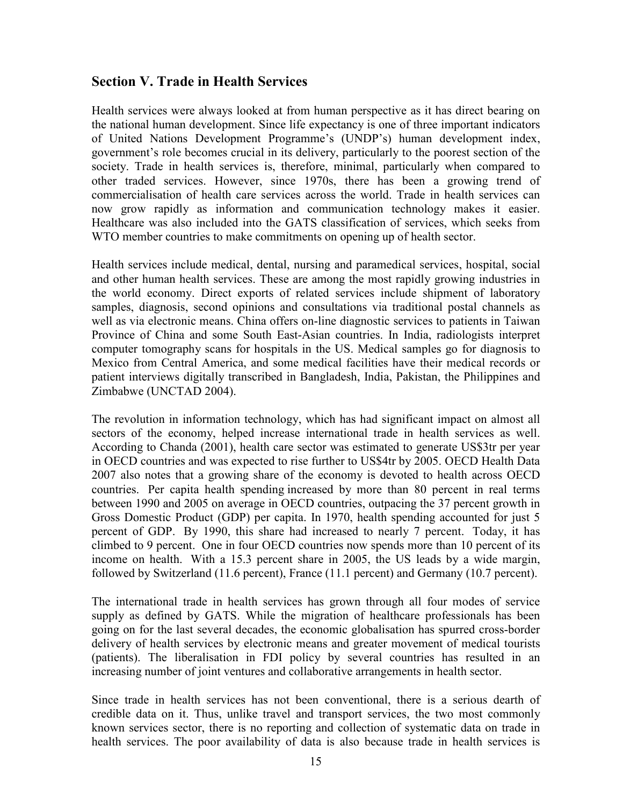## Section V. Trade in Health Services

Health services were always looked at from human perspective as it has direct bearing on the national human development. Since life expectancy is one of three important indicators of United Nations Development Programme's (UNDP's) human development index, government's role becomes crucial in its delivery, particularly to the poorest section of the society. Trade in health services is, therefore, minimal, particularly when compared to other traded services. However, since 1970s, there has been a growing trend of commercialisation of health care services across the world. Trade in health services can now grow rapidly as information and communication technology makes it easier. Healthcare was also included into the GATS classification of services, which seeks from WTO member countries to make commitments on opening up of health sector.

Health services include medical, dental, nursing and paramedical services, hospital, social and other human health services. These are among the most rapidly growing industries in the world economy. Direct exports of related services include shipment of laboratory samples, diagnosis, second opinions and consultations via traditional postal channels as well as via electronic means. China offers on-line diagnostic services to patients in Taiwan Province of China and some South East-Asian countries. In India, radiologists interpret computer tomography scans for hospitals in the US. Medical samples go for diagnosis to Mexico from Central America, and some medical facilities have their medical records or patient interviews digitally transcribed in Bangladesh, India, Pakistan, the Philippines and Zimbabwe (UNCTAD 2004).

The revolution in information technology, which has had significant impact on almost all sectors of the economy, helped increase international trade in health services as well. According to Chanda (2001), health care sector was estimated to generate US\$3tr per year in OECD countries and was expected to rise further to US\$4tr by 2005. OECD Health Data 2007 also notes that a growing share of the economy is devoted to health across OECD countries. Per capita health spending increased by more than 80 percent in real terms between 1990 and 2005 on average in OECD countries, outpacing the 37 percent growth in Gross Domestic Product (GDP) per capita. In 1970, health spending accounted for just 5 percent of GDP. By 1990, this share had increased to nearly 7 percent. Today, it has climbed to 9 percent. One in four OECD countries now spends more than 10 percent of its income on health. With a 15.3 percent share in 2005, the US leads by a wide margin, followed by Switzerland (11.6 percent), France (11.1 percent) and Germany (10.7 percent).

The international trade in health services has grown through all four modes of service supply as defined by GATS. While the migration of healthcare professionals has been going on for the last several decades, the economic globalisation has spurred cross-border delivery of health services by electronic means and greater movement of medical tourists (patients). The liberalisation in FDI policy by several countries has resulted in an increasing number of joint ventures and collaborative arrangements in health sector.

Since trade in health services has not been conventional, there is a serious dearth of credible data on it. Thus, unlike travel and transport services, the two most commonly known services sector, there is no reporting and collection of systematic data on trade in health services. The poor availability of data is also because trade in health services is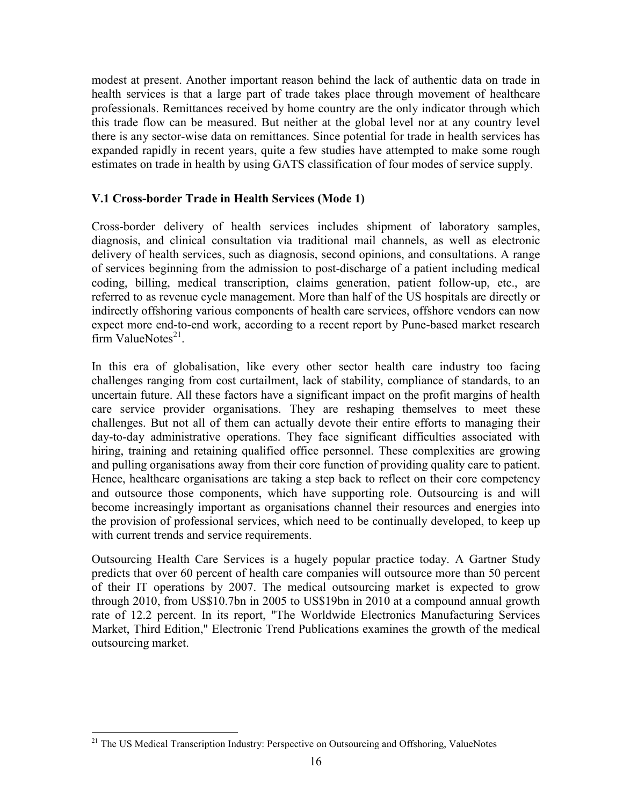modest at present. Another important reason behind the lack of authentic data on trade in health services is that a large part of trade takes place through movement of healthcare professionals. Remittances received by home country are the only indicator through which this trade flow can be measured. But neither at the global level nor at any country level there is any sector-wise data on remittances. Since potential for trade in health services has expanded rapidly in recent years, quite a few studies have attempted to make some rough estimates on trade in health by using GATS classification of four modes of service supply.

### V.1 Cross-border Trade in Health Services (Mode 1)

Cross-border delivery of health services includes shipment of laboratory samples, diagnosis, and clinical consultation via traditional mail channels, as well as electronic delivery of health services, such as diagnosis, second opinions, and consultations. A range of services beginning from the admission to post-discharge of a patient including medical coding, billing, medical transcription, claims generation, patient follow-up, etc., are referred to as revenue cycle management. More than half of the US hospitals are directly or indirectly offshoring various components of health care services, offshore vendors can now expect more end-to-end work, according to a recent report by Pune-based market research  $\lim$  ValueNotes<sup>21</sup>.

In this era of globalisation, like every other sector health care industry too facing challenges ranging from cost curtailment, lack of stability, compliance of standards, to an uncertain future. All these factors have a significant impact on the profit margins of health care service provider organisations. They are reshaping themselves to meet these challenges. But not all of them can actually devote their entire efforts to managing their day-to-day administrative operations. They face significant difficulties associated with hiring, training and retaining qualified office personnel. These complexities are growing and pulling organisations away from their core function of providing quality care to patient. Hence, healthcare organisations are taking a step back to reflect on their core competency and outsource those components, which have supporting role. Outsourcing is and will become increasingly important as organisations channel their resources and energies into the provision of professional services, which need to be continually developed, to keep up with current trends and service requirements.

Outsourcing Health Care Services is a hugely popular practice today. A Gartner Study predicts that over 60 percent of health care companies will outsource more than 50 percent of their IT operations by 2007. The medical outsourcing market is expected to grow through 2010, from US\$10.7bn in 2005 to US\$19bn in 2010 at a compound annual growth rate of 12.2 percent. In its report, "The Worldwide Electronics Manufacturing Services Market, Third Edition," Electronic Trend Publications examines the growth of the medical outsourcing market.

<sup>&</sup>lt;sup>21</sup> The US Medical Transcription Industry: Perspective on Outsourcing and Offshoring, ValueNotes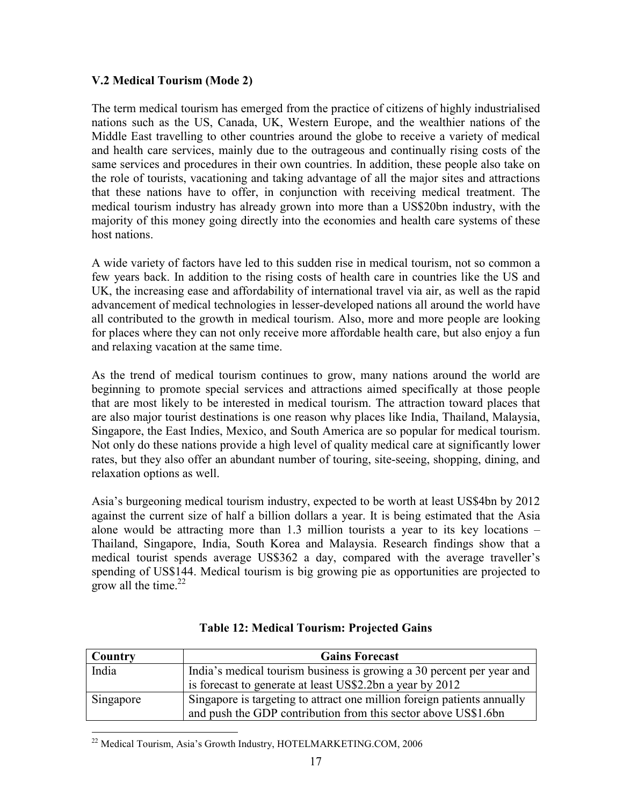#### V.2 Medical Tourism (Mode 2)

The term medical tourism has emerged from the practice of citizens of highly industrialised nations such as the US, Canada, UK, Western Europe, and the wealthier nations of the Middle East travelling to other countries around the globe to receive a variety of medical and health care services, mainly due to the outrageous and continually rising costs of the same services and procedures in their own countries. In addition, these people also take on the role of tourists, vacationing and taking advantage of all the major sites and attractions that these nations have to offer, in conjunction with receiving medical treatment. The medical tourism industry has already grown into more than a US\$20bn industry, with the majority of this money going directly into the economies and health care systems of these host nations.

A wide variety of factors have led to this sudden rise in medical tourism, not so common a few years back. In addition to the rising costs of health care in countries like the US and UK, the increasing ease and affordability of international travel via air, as well as the rapid advancement of medical technologies in lesser-developed nations all around the world have all contributed to the growth in medical tourism. Also, more and more people are looking for places where they can not only receive more affordable health care, but also enjoy a fun and relaxing vacation at the same time.

As the trend of medical tourism continues to grow, many nations around the world are beginning to promote special services and attractions aimed specifically at those people that are most likely to be interested in medical tourism. The attraction toward places that are also major tourist destinations is one reason why places like India, Thailand, Malaysia, Singapore, the East Indies, Mexico, and South America are so popular for medical tourism. Not only do these nations provide a high level of quality medical care at significantly lower rates, but they also offer an abundant number of touring, site-seeing, shopping, dining, and relaxation options as well.

Asia's burgeoning medical tourism industry, expected to be worth at least US\$4bn by 2012 against the current size of half a billion dollars a year. It is being estimated that the Asia alone would be attracting more than 1.3 million tourists a year to its key locations – Thailand, Singapore, India, South Korea and Malaysia. Research findings show that a medical tourist spends average US\$362 a day, compared with the average traveller's spending of US\$144. Medical tourism is big growing pie as opportunities are projected to grow all the time. $22$ 

| Country   | <b>Gains Forecast</b>                                                   |  |  |  |  |
|-----------|-------------------------------------------------------------------------|--|--|--|--|
| India     | India's medical tourism business is growing a 30 percent per year and   |  |  |  |  |
|           | is forecast to generate at least US\$2.2bn a year by 2012               |  |  |  |  |
| Singapore | Singapore is targeting to attract one million foreign patients annually |  |  |  |  |
|           | and push the GDP contribution from this sector above US\$1.6bn          |  |  |  |  |

| <b>Table 12: Medical Tourism: Projected Gains</b> |  |  |  |
|---------------------------------------------------|--|--|--|
|---------------------------------------------------|--|--|--|

<sup>&</sup>lt;sup>22</sup> Medical Tourism, Asia's Growth Industry, HOTELMARKETING.COM, 2006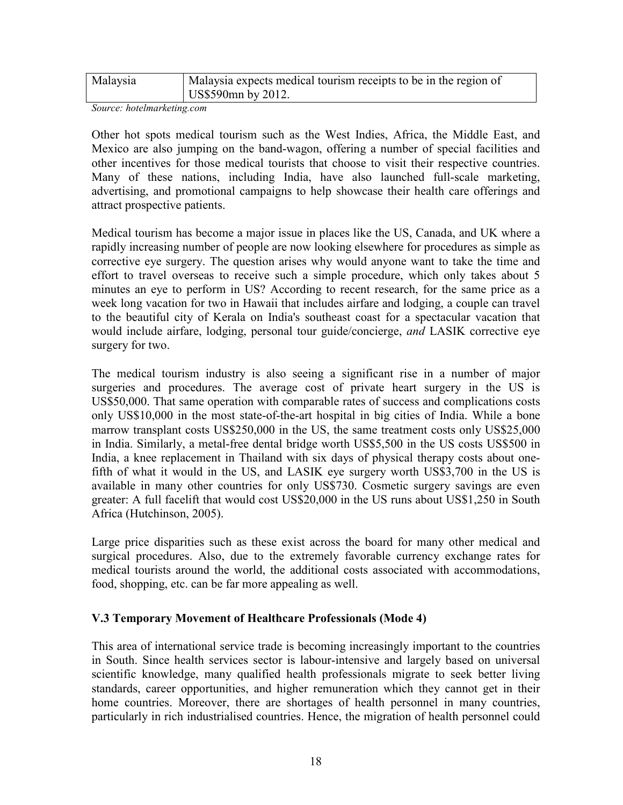| Malaysia | Malaysia expects medical tourism receipts to be in the region of |
|----------|------------------------------------------------------------------|
|          | US\$590mn by 2012.                                               |

Source: hotelmarketing.com

Other hot spots medical tourism such as the West Indies, Africa, the Middle East, and Mexico are also jumping on the band-wagon, offering a number of special facilities and other incentives for those medical tourists that choose to visit their respective countries. Many of these nations, including India, have also launched full-scale marketing, advertising, and promotional campaigns to help showcase their health care offerings and attract prospective patients.

Medical tourism has become a major issue in places like the US, Canada, and UK where a rapidly increasing number of people are now looking elsewhere for procedures as simple as corrective eye surgery. The question arises why would anyone want to take the time and effort to travel overseas to receive such a simple procedure, which only takes about 5 minutes an eye to perform in US? According to recent research, for the same price as a week long vacation for two in Hawaii that includes airfare and lodging, a couple can travel to the beautiful city of Kerala on India's southeast coast for a spectacular vacation that would include airfare, lodging, personal tour guide/concierge, *and* LASIK corrective eye surgery for two.

The medical tourism industry is also seeing a significant rise in a number of major surgeries and procedures. The average cost of private heart surgery in the US is US\$50,000. That same operation with comparable rates of success and complications costs only US\$10,000 in the most state-of-the-art hospital in big cities of India. While a bone marrow transplant costs US\$250,000 in the US, the same treatment costs only US\$25,000 in India. Similarly, a metal-free dental bridge worth US\$5,500 in the US costs US\$500 in India, a knee replacement in Thailand with six days of physical therapy costs about onefifth of what it would in the US, and LASIK eye surgery worth US\$3,700 in the US is available in many other countries for only US\$730. Cosmetic surgery savings are even greater: A full facelift that would cost US\$20,000 in the US runs about US\$1,250 in South Africa (Hutchinson, 2005).

Large price disparities such as these exist across the board for many other medical and surgical procedures. Also, due to the extremely favorable currency exchange rates for medical tourists around the world, the additional costs associated with accommodations, food, shopping, etc. can be far more appealing as well.

#### V.3 Temporary Movement of Healthcare Professionals (Mode 4)

This area of international service trade is becoming increasingly important to the countries in South. Since health services sector is labour-intensive and largely based on universal scientific knowledge, many qualified health professionals migrate to seek better living standards, career opportunities, and higher remuneration which they cannot get in their home countries. Moreover, there are shortages of health personnel in many countries, particularly in rich industrialised countries. Hence, the migration of health personnel could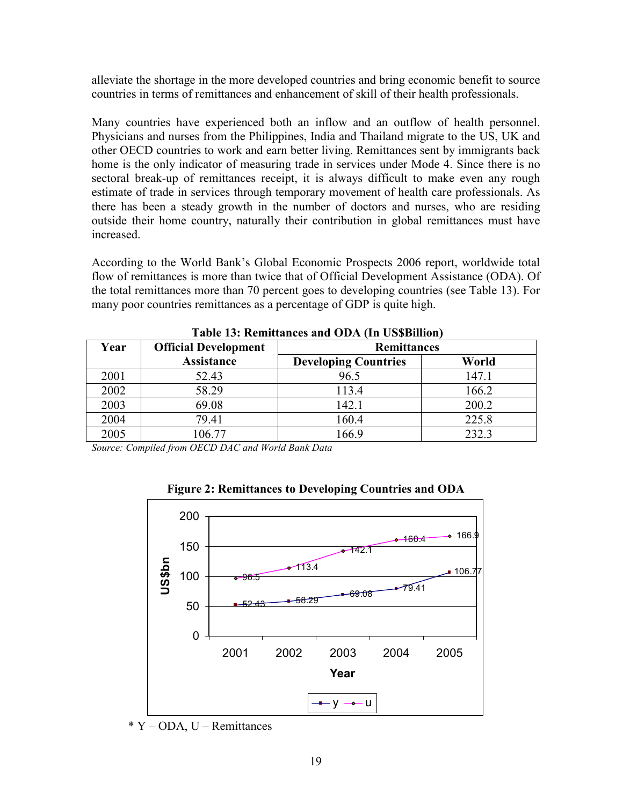alleviate the shortage in the more developed countries and bring economic benefit to source countries in terms of remittances and enhancement of skill of their health professionals.

Many countries have experienced both an inflow and an outflow of health personnel. Physicians and nurses from the Philippines, India and Thailand migrate to the US, UK and other OECD countries to work and earn better living. Remittances sent by immigrants back home is the only indicator of measuring trade in services under Mode 4. Since there is no sectoral break-up of remittances receipt, it is always difficult to make even any rough estimate of trade in services through temporary movement of health care professionals. As there has been a steady growth in the number of doctors and nurses, who are residing outside their home country, naturally their contribution in global remittances must have increased.

According to the World Bank's Global Economic Prospects 2006 report, worldwide total flow of remittances is more than twice that of Official Development Assistance (ODA). Of the total remittances more than 70 percent goes to developing countries (see Table 13). For many poor countries remittances as a percentage of GDP is quite high.

| Year | <b>Official Development</b> | <b>Remittances</b>          |       |  |
|------|-----------------------------|-----------------------------|-------|--|
|      | <b>Assistance</b>           | <b>Developing Countries</b> | World |  |
| 2001 | 52.43                       | 96.5                        | 147.1 |  |
| 2002 | 58.29                       | 113.4                       | 166.2 |  |
| 2003 | 69.08                       | 142.1                       | 200.2 |  |
| 2004 | 79.41                       | 160.4                       | 225.8 |  |
| 2005 | 106.77                      | 166.9                       | 232.3 |  |

Table 13: Remittances and ODA (In US\$Billion)

Source: Compiled from OECD DAC and World Bank Data



Figure 2: Remittances to Developing Countries and ODA

\* Y – ODA, U – Remittances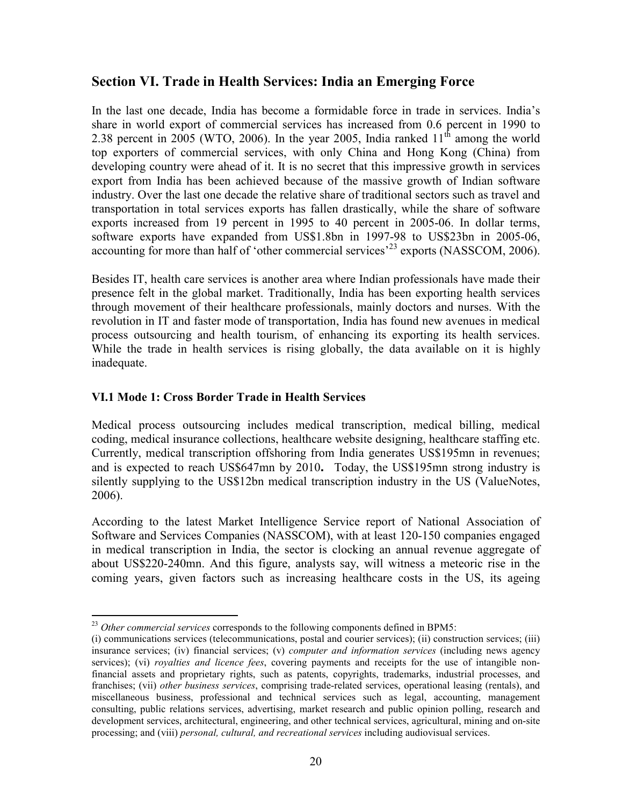## Section VI. Trade in Health Services: India an Emerging Force

In the last one decade, India has become a formidable force in trade in services. India's share in world export of commercial services has increased from 0.6 percent in 1990 to 2.38 percent in 2005 (WTO, 2006). In the year 2005, India ranked  $11<sup>th</sup>$  among the world top exporters of commercial services, with only China and Hong Kong (China) from developing country were ahead of it. It is no secret that this impressive growth in services export from India has been achieved because of the massive growth of Indian software industry. Over the last one decade the relative share of traditional sectors such as travel and transportation in total services exports has fallen drastically, while the share of software exports increased from 19 percent in 1995 to 40 percent in 2005-06. In dollar terms, software exports have expanded from US\$1.8bn in 1997-98 to US\$23bn in 2005-06, accounting for more than half of 'other commercial services'<sup>23</sup> exports (NASSCOM, 2006).

Besides IT, health care services is another area where Indian professionals have made their presence felt in the global market. Traditionally, India has been exporting health services through movement of their healthcare professionals, mainly doctors and nurses. With the revolution in IT and faster mode of transportation, India has found new avenues in medical process outsourcing and health tourism, of enhancing its exporting its health services. While the trade in health services is rising globally, the data available on it is highly inadequate.

### VI.1 Mode 1: Cross Border Trade in Health Services

Medical process outsourcing includes medical transcription, medical billing, medical coding, medical insurance collections, healthcare website designing, healthcare staffing etc. Currently, medical transcription offshoring from India generates US\$195mn in revenues; and is expected to reach US\$647mn by 2010. Today, the US\$195mn strong industry is silently supplying to the US\$12bn medical transcription industry in the US (ValueNotes, 2006).

According to the latest Market Intelligence Service report of National Association of Software and Services Companies (NASSCOM), with at least 120-150 companies engaged in medical transcription in India, the sector is clocking an annual revenue aggregate of about US\$220-240mn. And this figure, analysts say, will witness a meteoric rise in the coming years, given factors such as increasing healthcare costs in the US, its ageing

l  $^{23}$  Other commercial services corresponds to the following components defined in BPM5:

<sup>(</sup>i) communications services (telecommunications, postal and courier services); (ii) construction services; (iii) insurance services; (iv) financial services; (v) *computer and information services* (including news agency services); (vi) *royalties and licence fees*, covering payments and receipts for the use of intangible nonfinancial assets and proprietary rights, such as patents, copyrights, trademarks, industrial processes, and franchises; (vii) other business services, comprising trade-related services, operational leasing (rentals), and miscellaneous business, professional and technical services such as legal, accounting, management consulting, public relations services, advertising, market research and public opinion polling, research and development services, architectural, engineering, and other technical services, agricultural, mining and on-site processing; and (viii) *personal, cultural, and recreational services* including audiovisual services.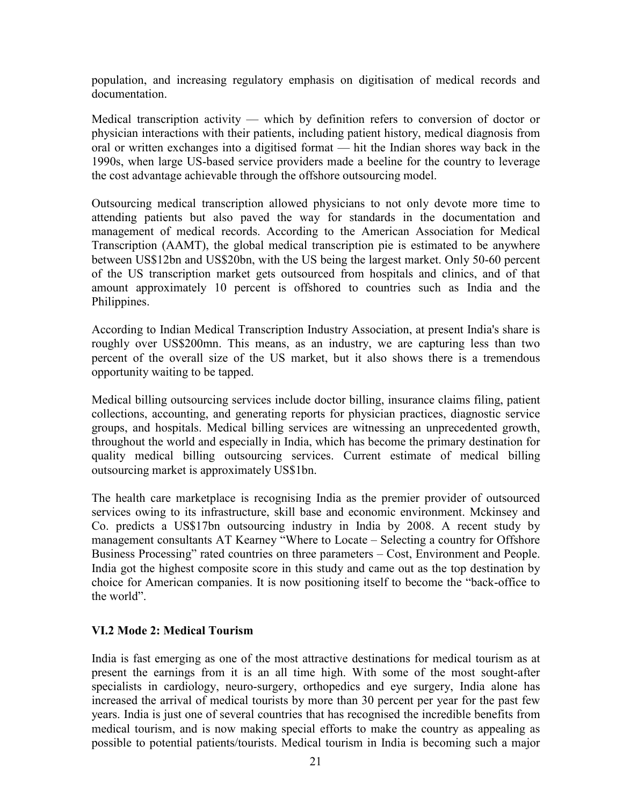population, and increasing regulatory emphasis on digitisation of medical records and documentation.

Medical transcription activity — which by definition refers to conversion of doctor or physician interactions with their patients, including patient history, medical diagnosis from oral or written exchanges into a digitised format — hit the Indian shores way back in the 1990s, when large US-based service providers made a beeline for the country to leverage the cost advantage achievable through the offshore outsourcing model.

Outsourcing medical transcription allowed physicians to not only devote more time to attending patients but also paved the way for standards in the documentation and management of medical records. According to the American Association for Medical Transcription (AAMT), the global medical transcription pie is estimated to be anywhere between US\$12bn and US\$20bn, with the US being the largest market. Only 50-60 percent of the US transcription market gets outsourced from hospitals and clinics, and of that amount approximately 10 percent is offshored to countries such as India and the Philippines.

According to Indian Medical Transcription Industry Association, at present India's share is roughly over US\$200mn. This means, as an industry, we are capturing less than two percent of the overall size of the US market, but it also shows there is a tremendous opportunity waiting to be tapped.

Medical billing outsourcing services include doctor billing, insurance claims filing, patient collections, accounting, and generating reports for physician practices, diagnostic service groups, and hospitals. Medical billing services are witnessing an unprecedented growth, throughout the world and especially in India, which has become the primary destination for quality medical billing outsourcing services. Current estimate of medical billing outsourcing market is approximately US\$1bn.

The health care marketplace is recognising India as the premier provider of outsourced services owing to its infrastructure, skill base and economic environment. Mckinsey and Co. predicts a US\$17bn outsourcing industry in India by 2008. A recent study by management consultants AT Kearney "Where to Locate – Selecting a country for Offshore Business Processing" rated countries on three parameters – Cost, Environment and People. India got the highest composite score in this study and came out as the top destination by choice for American companies. It is now positioning itself to become the "back-office to the world".

#### VI.2 Mode 2: Medical Tourism

India is fast emerging as one of the most attractive destinations for medical tourism as at present the earnings from it is an all time high. With some of the most sought-after specialists in cardiology, neuro-surgery, orthopedics and eye surgery, India alone has increased the arrival of medical tourists by more than 30 percent per year for the past few years. India is just one of several countries that has recognised the incredible benefits from medical tourism, and is now making special efforts to make the country as appealing as possible to potential patients/tourists. Medical tourism in India is becoming such a major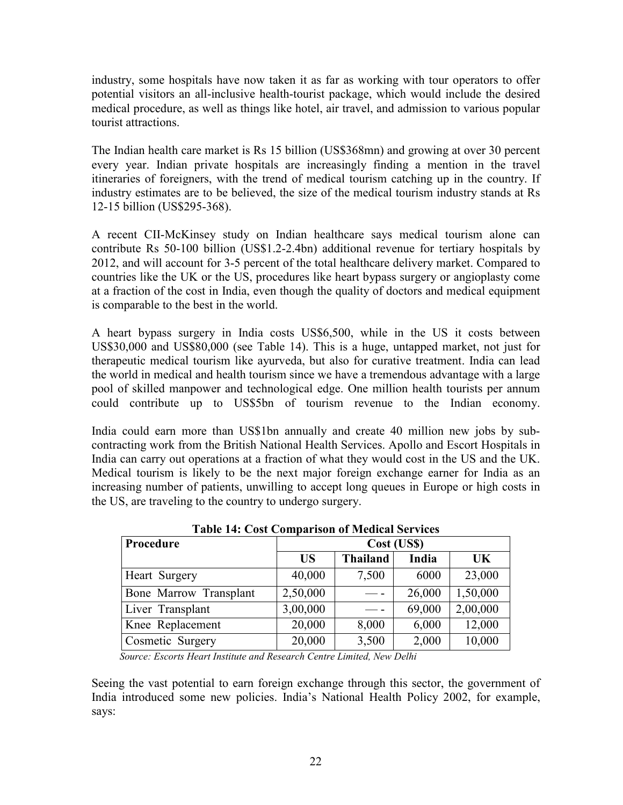industry, some hospitals have now taken it as far as working with tour operators to offer potential visitors an all-inclusive health-tourist package, which would include the desired medical procedure, as well as things like hotel, air travel, and admission to various popular tourist attractions.

The Indian health care market is Rs 15 billion (US\$368mn) and growing at over 30 percent every year. Indian private hospitals are increasingly finding a mention in the travel itineraries of foreigners, with the trend of medical tourism catching up in the country. If industry estimates are to be believed, the size of the medical tourism industry stands at Rs 12-15 billion (US\$295-368).

A recent CII-McKinsey study on Indian healthcare says medical tourism alone can contribute Rs 50-100 billion (US\$1.2-2.4bn) additional revenue for tertiary hospitals by 2012, and will account for 3-5 percent of the total healthcare delivery market. Compared to countries like the UK or the US, procedures like heart bypass surgery or angioplasty come at a fraction of the cost in India, even though the quality of doctors and medical equipment is comparable to the best in the world.

A heart bypass surgery in India costs US\$6,500, while in the US it costs between US\$30,000 and US\$80,000 (see Table 14). This is a huge, untapped market, not just for therapeutic medical tourism like ayurveda, but also for curative treatment. India can lead the world in medical and health tourism since we have a tremendous advantage with a large pool of skilled manpower and technological edge. One million health tourists per annum could contribute up to US\$5bn of tourism revenue to the Indian economy.

India could earn more than US\$1bn annually and create 40 million new jobs by subcontracting work from the British National Health Services. Apollo and Escort Hospitals in India can carry out operations at a fraction of what they would cost in the US and the UK. Medical tourism is likely to be the next major foreign exchange earner for India as an increasing number of patients, unwilling to accept long queues in Europe or high costs in the US, are traveling to the country to undergo surgery.

| Procedure              | Cost (US\$) |                 |        |           |  |
|------------------------|-------------|-----------------|--------|-----------|--|
|                        | <b>US</b>   | <b>Thailand</b> | India  | <b>UK</b> |  |
| Heart Surgery          | 40,000      | 7,500           | 6000   | 23,000    |  |
| Bone Marrow Transplant | 2,50,000    |                 | 26,000 | 1,50,000  |  |
| Liver Transplant       | 3,00,000    |                 | 69,000 | 2,00,000  |  |
| Knee Replacement       | 20,000      | 8,000           | 6,000  | 12,000    |  |
| Cosmetic Surgery       | 20,000      | 3,500           | 2,000  | 10,000    |  |

Table 14: Cost Comparison of Medical Services

Source: Escorts Heart Institute and Research Centre Limited, New Delhi

Seeing the vast potential to earn foreign exchange through this sector, the government of India introduced some new policies. India's National Health Policy 2002, for example, says: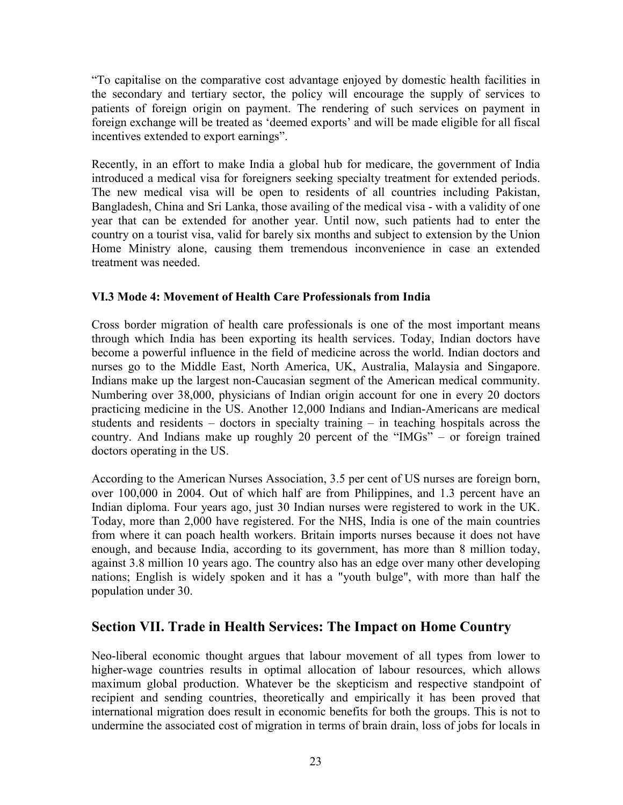"To capitalise on the comparative cost advantage enjoyed by domestic health facilities in the secondary and tertiary sector, the policy will encourage the supply of services to patients of foreign origin on payment. The rendering of such services on payment in foreign exchange will be treated as 'deemed exports' and will be made eligible for all fiscal incentives extended to export earnings".

Recently, in an effort to make India a global hub for medicare, the government of India introduced a medical visa for foreigners seeking specialty treatment for extended periods. The new medical visa will be open to residents of all countries including Pakistan, Bangladesh, China and Sri Lanka, those availing of the medical visa - with a validity of one year that can be extended for another year. Until now, such patients had to enter the country on a tourist visa, valid for barely six months and subject to extension by the Union Home Ministry alone, causing them tremendous inconvenience in case an extended treatment was needed.

#### VI.3 Mode 4: Movement of Health Care Professionals from India

Cross border migration of health care professionals is one of the most important means through which India has been exporting its health services. Today, Indian doctors have become a powerful influence in the field of medicine across the world. Indian doctors and nurses go to the Middle East, North America, UK, Australia, Malaysia and Singapore. Indians make up the largest non-Caucasian segment of the American medical community. Numbering over 38,000, physicians of Indian origin account for one in every 20 doctors practicing medicine in the US. Another 12,000 Indians and Indian-Americans are medical students and residents – doctors in specialty training – in teaching hospitals across the country. And Indians make up roughly 20 percent of the "IMGs" – or foreign trained doctors operating in the US.

According to the American Nurses Association, 3.5 per cent of US nurses are foreign born, over 100,000 in 2004. Out of which half are from Philippines, and 1.3 percent have an Indian diploma. Four years ago, just 30 Indian nurses were registered to work in the UK. Today, more than 2,000 have registered. For the NHS, India is one of the main countries from where it can poach health workers. Britain imports nurses because it does not have enough, and because India, according to its government, has more than 8 million today, against 3.8 million 10 years ago. The country also has an edge over many other developing nations; English is widely spoken and it has a "youth bulge", with more than half the population under 30.

### Section VII. Trade in Health Services: The Impact on Home Country

Neo-liberal economic thought argues that labour movement of all types from lower to higher-wage countries results in optimal allocation of labour resources, which allows maximum global production. Whatever be the skepticism and respective standpoint of recipient and sending countries, theoretically and empirically it has been proved that international migration does result in economic benefits for both the groups. This is not to undermine the associated cost of migration in terms of brain drain, loss of jobs for locals in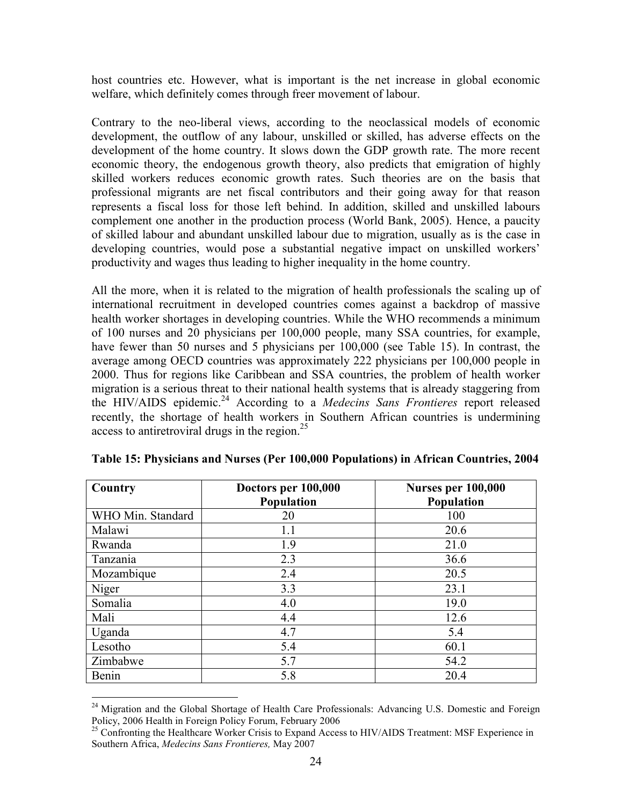host countries etc. However, what is important is the net increase in global economic welfare, which definitely comes through freer movement of labour.

Contrary to the neo-liberal views, according to the neoclassical models of economic development, the outflow of any labour, unskilled or skilled, has adverse effects on the development of the home country. It slows down the GDP growth rate. The more recent economic theory, the endogenous growth theory, also predicts that emigration of highly skilled workers reduces economic growth rates. Such theories are on the basis that professional migrants are net fiscal contributors and their going away for that reason represents a fiscal loss for those left behind. In addition, skilled and unskilled labours complement one another in the production process (World Bank, 2005). Hence, a paucity of skilled labour and abundant unskilled labour due to migration, usually as is the case in developing countries, would pose a substantial negative impact on unskilled workers' productivity and wages thus leading to higher inequality in the home country.

All the more, when it is related to the migration of health professionals the scaling up of international recruitment in developed countries comes against a backdrop of massive health worker shortages in developing countries. While the WHO recommends a minimum of 100 nurses and 20 physicians per 100,000 people, many SSA countries, for example, have fewer than 50 nurses and 5 physicians per  $100,000$  (see Table 15). In contrast, the average among OECD countries was approximately 222 physicians per 100,000 people in 2000. Thus for regions like Caribbean and SSA countries, the problem of health worker migration is a serious threat to their national health systems that is already staggering from the HIV/AIDS epidemic.<sup>24</sup> According to a *Medecins Sans Frontieres* report released recently, the shortage of health workers in Southern African countries is undermining access to antiretroviral drugs in the region. $^{25}$ 

| Country           | Doctors per 100,000 | <b>Nurses per 100,000</b> |
|-------------------|---------------------|---------------------------|
|                   | <b>Population</b>   | <b>Population</b>         |
| WHO Min. Standard | 20                  | 100                       |
| Malawi            | 1.1                 | 20.6                      |
| Rwanda            | 1.9                 | 21.0                      |
| Tanzania          | 2.3                 | 36.6                      |
| Mozambique        | 2.4                 | 20.5                      |
| Niger             | 3.3                 | 23.1                      |
| Somalia           | 4.0                 | 19.0                      |
| Mali              | 4.4                 | 12.6                      |
| Uganda            | 4.7                 | 5.4                       |
| Lesotho           | 5.4                 | 60.1                      |
| Zimbabwe          | 5.7                 | 54.2                      |
| Benin             | 5.8                 | 20.4                      |

Table 15: Physicians and Nurses (Per 100,000 Populations) in African Countries, 2004

<sup>&</sup>lt;sup>24</sup> Migration and the Global Shortage of Health Care Professionals: Advancing U.S. Domestic and Foreign Policy, 2006 Health in Foreign Policy Forum, February 2006

<sup>&</sup>lt;sup>25</sup> Confronting the Healthcare Worker Crisis to Expand Access to HIV/AIDS Treatment: MSF Experience in Southern Africa, Medecins Sans Frontieres, May 2007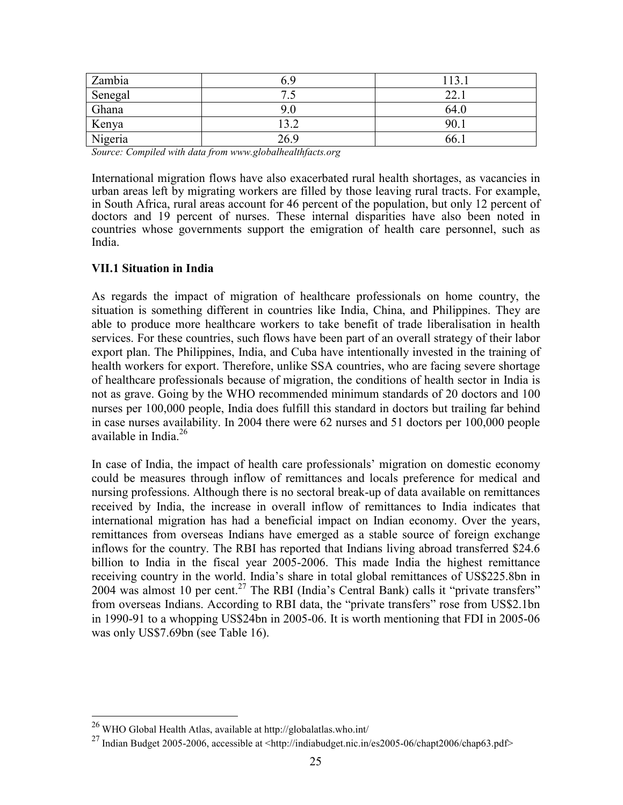| Zambia  | 6 G                       | 12   |
|---------|---------------------------|------|
| Senegal | $\overline{ }$<br>$\cdot$ | າາ   |
| Ghana   |                           | 64.0 |
| Kenya   | 32<br>ے. ر                | 90.  |
| Nigeria | 26 Q                      | 66.  |

Source: Compiled with data from www.globalhealthfacts.org

International migration flows have also exacerbated rural health shortages, as vacancies in urban areas left by migrating workers are filled by those leaving rural tracts. For example, in South Africa, rural areas account for 46 percent of the population, but only 12 percent of doctors and 19 percent of nurses. These internal disparities have also been noted in countries whose governments support the emigration of health care personnel, such as India.

#### VII.1 Situation in India

As regards the impact of migration of healthcare professionals on home country, the situation is something different in countries like India, China, and Philippines. They are able to produce more healthcare workers to take benefit of trade liberalisation in health services. For these countries, such flows have been part of an overall strategy of their labor export plan. The Philippines, India, and Cuba have intentionally invested in the training of health workers for export. Therefore, unlike SSA countries, who are facing severe shortage of healthcare professionals because of migration, the conditions of health sector in India is not as grave. Going by the WHO recommended minimum standards of 20 doctors and 100 nurses per 100,000 people, India does fulfill this standard in doctors but trailing far behind in case nurses availability. In 2004 there were 62 nurses and 51 doctors per 100,000 people available in India.<sup>26</sup>

In case of India, the impact of health care professionals' migration on domestic economy could be measures through inflow of remittances and locals preference for medical and nursing professions. Although there is no sectoral break-up of data available on remittances received by India, the increase in overall inflow of remittances to India indicates that international migration has had a beneficial impact on Indian economy. Over the years, remittances from overseas Indians have emerged as a stable source of foreign exchange inflows for the country. The RBI has reported that Indians living abroad transferred \$24.6 billion to India in the fiscal year 2005-2006. This made India the highest remittance receiving country in the world. India's share in total global remittances of US\$225.8bn in 2004 was almost 10 per cent.<sup>27</sup> The RBI (India's Central Bank) calls it "private transfers" from overseas Indians. According to RBI data, the "private transfers" rose from US\$2.1bn in 1990-91 to a whopping US\$24bn in 2005-06. It is worth mentioning that FDI in 2005-06 was only US\$7.69bn (see Table 16).

 $^{26}$  WHO Global Health Atlas, available at http://globalatlas.who.int/

<sup>&</sup>lt;sup>27</sup>Indian Budget 2005-2006, accessible at <http://indiabudget.nic.in/es2005-06/chapt2006/chap63.pdf>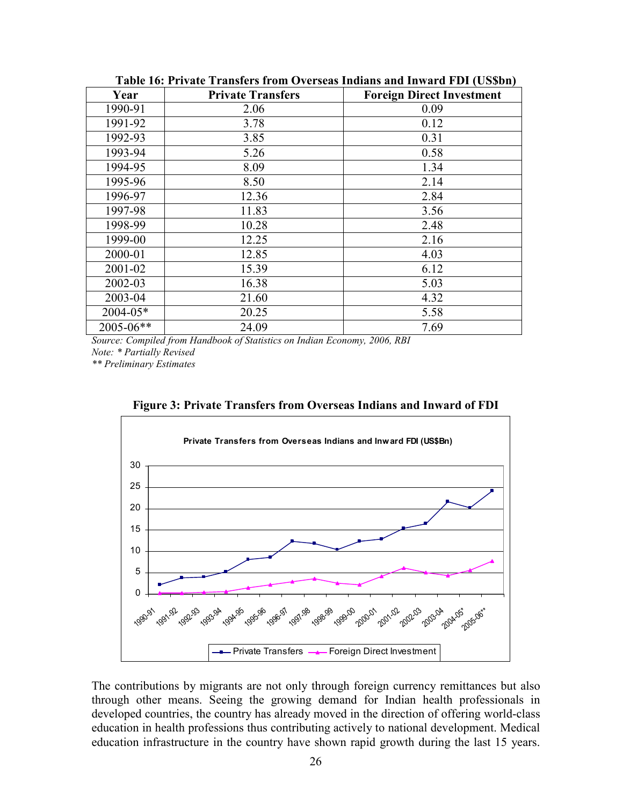| Year         | <b>Private Transfers</b> | <b>Foreign Direct Investment</b> |
|--------------|--------------------------|----------------------------------|
| 1990-91      | 2.06<br>0.09             |                                  |
| 1991-92      | 3.78                     | 0.12                             |
| 1992-93      | 3.85                     | 0.31                             |
| 1993-94      | 5.26                     | 0.58                             |
| 1994-95      | 8.09                     | 1.34                             |
| 1995-96      | 8.50                     | 2.14                             |
| 1996-97      | 12.36                    | 2.84                             |
| 1997-98      | 11.83                    | 3.56                             |
| 1998-99      | 10.28                    | 2.48                             |
| 1999-00      | 12.25                    | 2.16                             |
| 2000-01      | 12.85                    | 4.03                             |
| 2001-02      | 15.39                    | 6.12                             |
| 2002-03      | 16.38                    | 5.03                             |
| 2003-04      | 21.60                    | 4.32                             |
| $2004 - 05*$ | 20.25                    | 5.58                             |
| 2005-06**    | 24.09                    | 7.69                             |

Table 16: Private Transfers from Overseas Indians and Inward FDI (US\$bn)

Source: Compiled from Handbook of Statistics on Indian Economy, 2006, RBI Note: \* Partially Revised

\*\* Preliminary Estimates



Figure 3: Private Transfers from Overseas Indians and Inward of FDI

The contributions by migrants are not only through foreign currency remittances but also through other means. Seeing the growing demand for Indian health professionals in developed countries, the country has already moved in the direction of offering world-class education in health professions thus contributing actively to national development. Medical education infrastructure in the country have shown rapid growth during the last 15 years.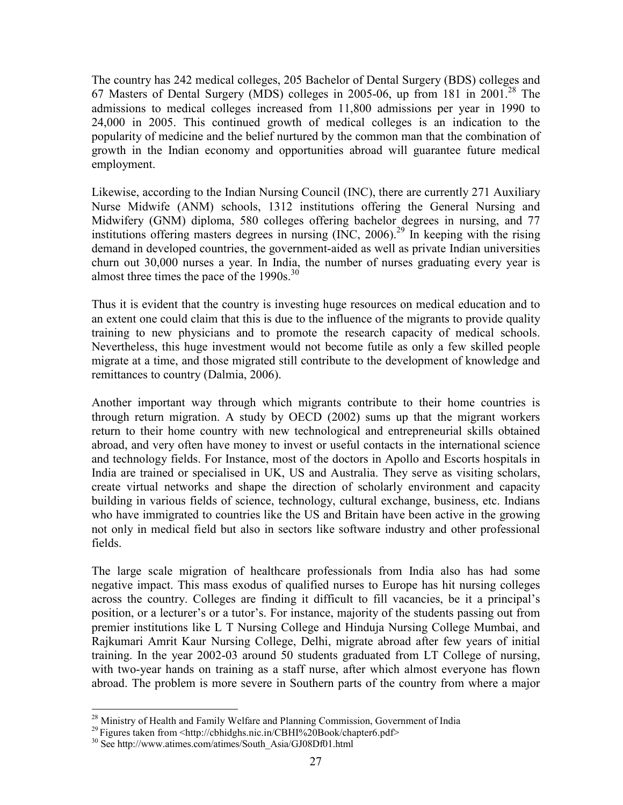The country has 242 medical colleges, 205 Bachelor of Dental Surgery (BDS) colleges and 67 Masters of Dental Surgery (MDS) colleges in 2005-06, up from 181 in 2001.<sup>28</sup> The admissions to medical colleges increased from 11,800 admissions per year in 1990 to 24,000 in 2005. This continued growth of medical colleges is an indication to the popularity of medicine and the belief nurtured by the common man that the combination of growth in the Indian economy and opportunities abroad will guarantee future medical employment.

Likewise, according to the Indian Nursing Council (INC), there are currently 271 Auxiliary Nurse Midwife (ANM) schools, 1312 institutions offering the General Nursing and Midwifery (GNM) diploma, 580 colleges offering bachelor degrees in nursing, and 77 institutions offering masters degrees in nursing  $(NC, 2006)$ <sup>29</sup> In keeping with the rising demand in developed countries, the government-aided as well as private Indian universities churn out 30,000 nurses a year. In India, the number of nurses graduating every year is almost three times the pace of the  $1990s$ .<sup>30</sup>

Thus it is evident that the country is investing huge resources on medical education and to an extent one could claim that this is due to the influence of the migrants to provide quality training to new physicians and to promote the research capacity of medical schools. Nevertheless, this huge investment would not become futile as only a few skilled people migrate at a time, and those migrated still contribute to the development of knowledge and remittances to country (Dalmia, 2006).

Another important way through which migrants contribute to their home countries is through return migration. A study by OECD (2002) sums up that the migrant workers return to their home country with new technological and entrepreneurial skills obtained abroad, and very often have money to invest or useful contacts in the international science and technology fields. For Instance, most of the doctors in Apollo and Escorts hospitals in India are trained or specialised in UK, US and Australia. They serve as visiting scholars, create virtual networks and shape the direction of scholarly environment and capacity building in various fields of science, technology, cultural exchange, business, etc. Indians who have immigrated to countries like the US and Britain have been active in the growing not only in medical field but also in sectors like software industry and other professional fields.

The large scale migration of healthcare professionals from India also has had some negative impact. This mass exodus of qualified nurses to Europe has hit nursing colleges across the country. Colleges are finding it difficult to fill vacancies, be it a principal's position, or a lecturer's or a tutor's. For instance, majority of the students passing out from premier institutions like L T Nursing College and Hinduja Nursing College Mumbai, and Rajkumari Amrit Kaur Nursing College, Delhi, migrate abroad after few years of initial training. In the year 2002-03 around 50 students graduated from LT College of nursing, with two-year hands on training as a staff nurse, after which almost everyone has flown abroad. The problem is more severe in Southern parts of the country from where a major

 $\overline{a}$ <sup>28</sup> Ministry of Health and Family Welfare and Planning Commission, Government of India

<sup>&</sup>lt;sup>29</sup>Figures taken from <http://cbhidghs.nic.in/CBHI%20Book/chapter6.pdf>

<sup>30</sup> See http://www.atimes.com/atimes/South\_Asia/GJ08Df01.html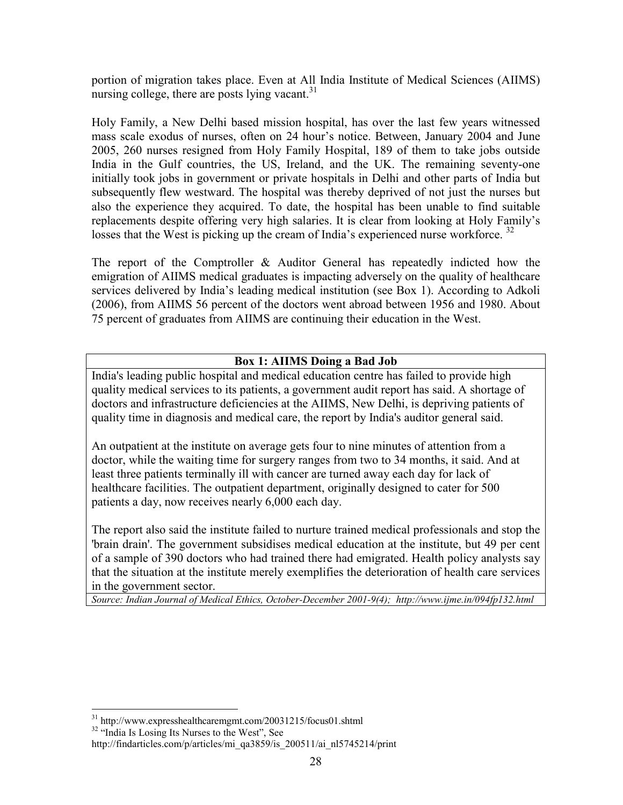portion of migration takes place. Even at All India Institute of Medical Sciences (AIIMS) nursing college, there are posts lying vacant.<sup>31</sup>

Holy Family, a New Delhi based mission hospital, has over the last few years witnessed mass scale exodus of nurses, often on 24 hour's notice. Between, January 2004 and June 2005, 260 nurses resigned from Holy Family Hospital, 189 of them to take jobs outside India in the Gulf countries, the US, Ireland, and the UK. The remaining seventy-one initially took jobs in government or private hospitals in Delhi and other parts of India but subsequently flew westward. The hospital was thereby deprived of not just the nurses but also the experience they acquired. To date, the hospital has been unable to find suitable replacements despite offering very high salaries. It is clear from looking at Holy Family's losses that the West is picking up the cream of India's experienced nurse workforce.<sup>32</sup>

The report of the Comptroller & Auditor General has repeatedly indicted how the emigration of AIIMS medical graduates is impacting adversely on the quality of healthcare services delivered by India's leading medical institution (see Box 1). According to Adkoli (2006), from AIIMS 56 percent of the doctors went abroad between 1956 and 1980. About 75 percent of graduates from AIIMS are continuing their education in the West.

### Box 1: AIIMS Doing a Bad Job

India's leading public hospital and medical education centre has failed to provide high quality medical services to its patients, a government audit report has said. A shortage of doctors and infrastructure deficiencies at the AIIMS, New Delhi, is depriving patients of quality time in diagnosis and medical care, the report by India's auditor general said.

An outpatient at the institute on average gets four to nine minutes of attention from a doctor, while the waiting time for surgery ranges from two to 34 months, it said. And at least three patients terminally ill with cancer are turned away each day for lack of healthcare facilities. The outpatient department, originally designed to cater for 500 patients a day, now receives nearly 6,000 each day.

The report also said the institute failed to nurture trained medical professionals and stop the 'brain drain'. The government subsidises medical education at the institute, but 49 per cent of a sample of 390 doctors who had trained there had emigrated. Health policy analysts say that the situation at the institute merely exemplifies the deterioration of health care services in the government sector.

Source: Indian Journal of Medical Ethics, October-December 2001-9(4); http://www.ijme.in/094fp132.html

<sup>&</sup>lt;sup>31</sup> http://www.expresshealthcaremgmt.com/20031215/focus01.shtml

<sup>&</sup>lt;sup>32</sup> "India Is Losing Its Nurses to the West", See

http://findarticles.com/p/articles/mi\_qa3859/is\_200511/ai\_nl5745214/print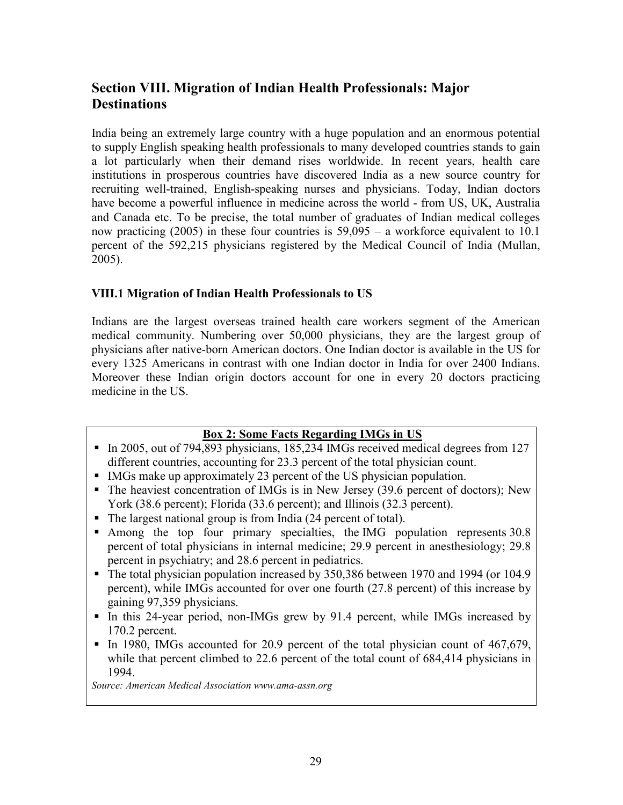# Section VIII. Migration of Indian Health Professionals: Major **Destinations**

India being an extremely large country with a huge population and an enormous potential to supply English speaking health professionals to many developed countries stands to gain a lot particularly when their demand rises worldwide. In recent years, health care institutions in prosperous countries have discovered India as a new source country for recruiting well-trained, English-speaking nurses and physicians. Today, Indian doctors have become a powerful influence in medicine across the world - from US, UK, Australia and Canada etc. To be precise, the total number of graduates of Indian medical colleges now practicing (2005) in these four countries is 59,095 – a workforce equivalent to 10.1 percent of the 592,215 physicians registered by the Medical Council of India (Mullan, 2005).

#### VIII.1 Migration of Indian Health Professionals to US

Indians are the largest overseas trained health care workers segment of the American medical community. Numbering over 50,000 physicians, they are the largest group of physicians after native-born American doctors. One Indian doctor is available in the US for every 1325 Americans in contrast with one Indian doctor in India for over 2400 Indians. Moreover these Indian origin doctors account for one in every 20 doctors practicing medicine in the US.

#### Box 2: Some Facts Regarding IMGs in US

- In 2005, out of 794,893 physicians,  $185,234$  IMGs received medical degrees from 127 different countries, accounting for 23.3 percent of the total physician count.
- IMGs make up approximately 23 percent of the US physician population.
- The heaviest concentration of IMGs is in New Jersey (39.6 percent of doctors); New York (38.6 percent); Florida (33.6 percent); and Illinois (32.3 percent).
- The largest national group is from India (24 percent of total).
- Among the top four primary specialties, the IMG population represents 30.8 percent of total physicians in internal medicine; 29.9 percent in anesthesiology; 29.8 percent in psychiatry; and 28.6 percent in pediatrics.
- The total physician population increased by 350,386 between 1970 and 1994 (or 104.9 percent), while IMGs accounted for over one fourth (27.8 percent) of this increase by gaining 97,359 physicians.
- In this 24-year period, non-IMGs grew by 91.4 percent, while IMGs increased by 170.2 percent.
- In 1980, IMGs accounted for 20.9 percent of the total physician count of 467,679, while that percent climbed to 22.6 percent of the total count of 684,414 physicians in 1994.

Source: American Medical Association www.ama-assn.org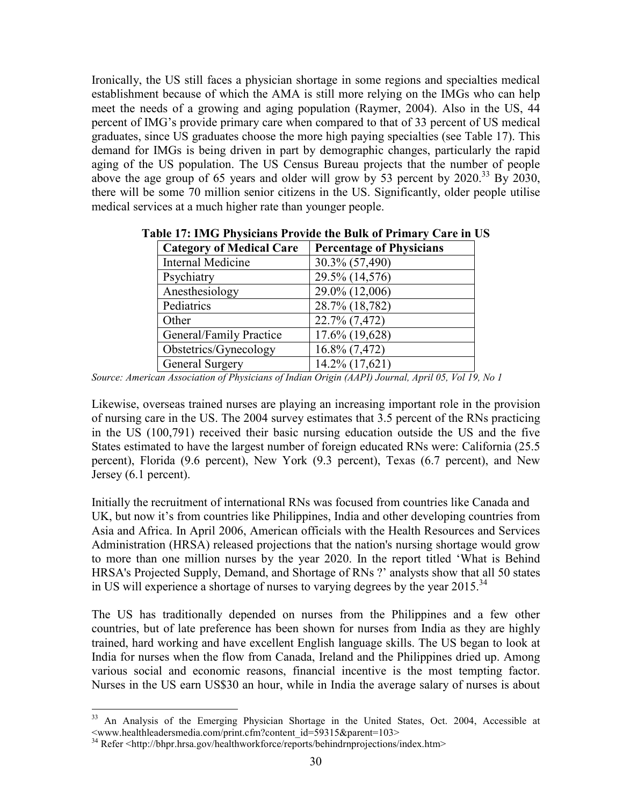Ironically, the US still faces a physician shortage in some regions and specialties medical establishment because of which the AMA is still more relying on the IMGs who can help meet the needs of a growing and aging population (Raymer, 2004). Also in the US, 44 percent of IMG's provide primary care when compared to that of 33 percent of US medical graduates, since US graduates choose the more high paying specialties (see Table 17). This demand for IMGs is being driven in part by demographic changes, particularly the rapid aging of the US population. The US Census Bureau projects that the number of people above the age group of 65 years and older will grow by 53 percent by  $2020^{33}$  By  $2030$ , there will be some 70 million senior citizens in the US. Significantly, older people utilise medical services at a much higher rate than younger people.

| <b>Category of Medical Care</b> | <b>Percentage of Physicians</b> |
|---------------------------------|---------------------------------|
| Internal Medicine               | 30.3% (57,490)                  |
| Psychiatry                      | 29.5% (14,576)                  |
| Anesthesiology                  | 29.0% (12,006)                  |
| Pediatrics                      | 28.7% (18,782)                  |
| Other                           | 22.7% (7,472)                   |
| General/Family Practice         | 17.6% (19,628)                  |
| Obstetrics/Gynecology           | 16.8% (7,472)                   |
| <b>General Surgery</b>          | 14.2% (17,621)                  |

Table 17: IMG Physicians Provide the Bulk of Primary Care in US

Source: American Association of Physicians of Indian Origin (AAPI) Journal, April 05, Vol 19, No 1

Likewise, overseas trained nurses are playing an increasing important role in the provision of nursing care in the US. The 2004 survey estimates that 3.5 percent of the RNs practicing in the US (100,791) received their basic nursing education outside the US and the five States estimated to have the largest number of foreign educated RNs were: California (25.5 percent), Florida (9.6 percent), New York (9.3 percent), Texas (6.7 percent), and New Jersey (6.1 percent).

Initially the recruitment of international RNs was focused from countries like Canada and UK, but now it's from countries like Philippines, India and other developing countries from Asia and Africa. In April 2006, American officials with the Health Resources and Services Administration (HRSA) released projections that the nation's nursing shortage would grow to more than one million nurses by the year 2020. In the report titled 'What is Behind HRSA's Projected Supply, Demand, and Shortage of RNs ?' analysts show that all 50 states in US will experience a shortage of nurses to varying degrees by the year 2015.<sup>34</sup>

The US has traditionally depended on nurses from the Philippines and a few other countries, but of late preference has been shown for nurses from India as they are highly trained, hard working and have excellent English language skills. The US began to look at India for nurses when the flow from Canada, Ireland and the Philippines dried up. Among various social and economic reasons, financial incentive is the most tempting factor. Nurses in the US earn US\$30 an hour, while in India the average salary of nurses is about

<sup>&</sup>lt;sup>33</sup> An Analysis of the Emerging Physician Shortage in the United States, Oct. 2004, Accessible at <www.healthleadersmedia.com/print.cfm?content\_id=59315&parent=103>

<sup>34</sup> Refer <http://bhpr.hrsa.gov/healthworkforce/reports/behindrnprojections/index.htm>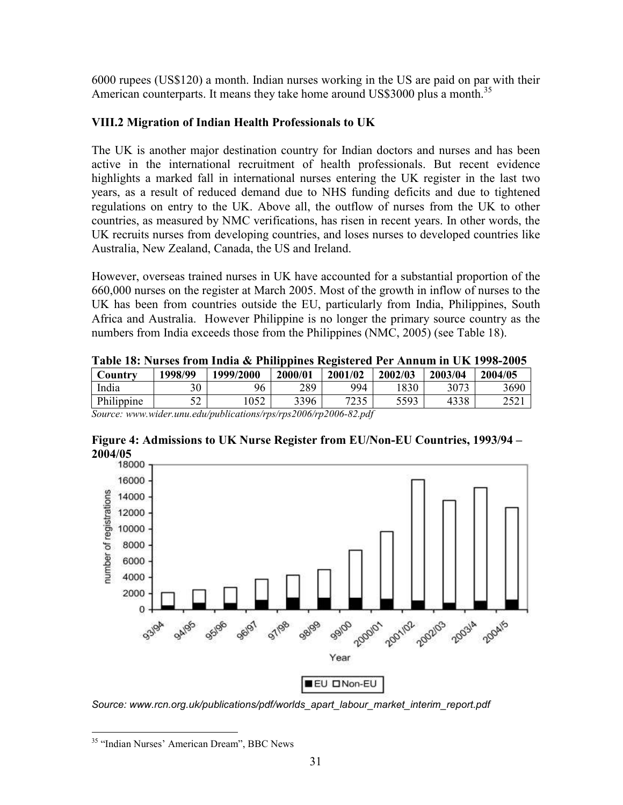6000 rupees (US\$120) a month. Indian nurses working in the US are paid on par with their American counterparts. It means they take home around US\$3000 plus a month.<sup>35</sup>

### VIII.2 Migration of Indian Health Professionals to UK

The UK is another major destination country for Indian doctors and nurses and has been active in the international recruitment of health professionals. But recent evidence highlights a marked fall in international nurses entering the UK register in the last two years, as a result of reduced demand due to NHS funding deficits and due to tightened regulations on entry to the UK. Above all, the outflow of nurses from the UK to other countries, as measured by NMC verifications, has risen in recent years. In other words, the UK recruits nurses from developing countries, and loses nurses to developed countries like Australia, New Zealand, Canada, the US and Ireland.

However, overseas trained nurses in UK have accounted for a substantial proportion of the 660,000 nurses on the register at March 2005. Most of the growth in inflow of nurses to the UK has been from countries outside the EU, particularly from India, Philippines, South Africa and Australia. However Philippine is no longer the primary source country as the numbers from India exceeds those from the Philippines (NMC, 2005) (see Table 18).

|  |  |  |  |  |  | Table 18: Nurses from India & Philippines Registered Per Annum in UK 1998-2005 |
|--|--|--|--|--|--|--------------------------------------------------------------------------------|
|--|--|--|--|--|--|--------------------------------------------------------------------------------|

| Country    | 1998/99   | 1999/2000 | 2000/01 | 2001/02       | 2002/03 | 2003/04 | 2004/05 |
|------------|-----------|-----------|---------|---------------|---------|---------|---------|
| India      | 30        | 96        | 289     | 994           | 830     | 3073    | 3690    |
| Philippine | ເາ<br>ے ب | 052       | 3396    | フつつく<br>ل و ک | 5593    | 4338    | 2521    |

Source: www.wider.unu.edu/publications/rps/rps2006/rp2006-82.pdf

# Figure 4: Admissions to UK Nurse Register from EU/Non-EU Countries, 1993/94 – 2004/05



Source: www.rcn.org.uk/publications/pdf/worlds\_apart\_labour\_market\_interim\_report.pdf

<sup>&</sup>lt;sup>35</sup> "Indian Nurses' American Dream", BBC News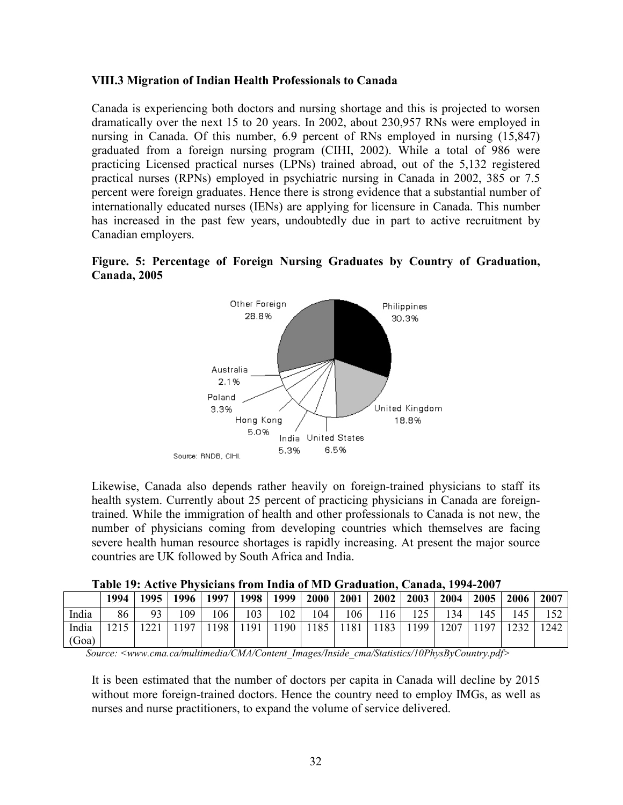#### VIII.3 Migration of Indian Health Professionals to Canada

Canada is experiencing both doctors and nursing shortage and this is projected to worsen dramatically over the next 15 to 20 years. In 2002, about 230,957 RNs were employed in nursing in Canada. Of this number, 6.9 percent of RNs employed in nursing (15,847) graduated from a foreign nursing program (CIHI, 2002). While a total of 986 were practicing Licensed practical nurses (LPNs) trained abroad, out of the 5,132 registered practical nurses (RPNs) employed in psychiatric nursing in Canada in 2002, 385 or 7.5 percent were foreign graduates. Hence there is strong evidence that a substantial number of internationally educated nurses (IENs) are applying for licensure in Canada. This number has increased in the past few years, undoubtedly due in part to active recruitment by Canadian employers.





Likewise, Canada also depends rather heavily on foreign-trained physicians to staff its health system. Currently about 25 percent of practicing physicians in Canada are foreigntrained. While the immigration of health and other professionals to Canada is not new, the number of physicians coming from developing countries which themselves are facing severe health human resource shortages is rapidly increasing. At present the major source countries are UK followed by South Africa and India.

|  |  |  |  | Table 19: Active Physicians from India of MD Graduation, Canada, 1994-2007 |
|--|--|--|--|----------------------------------------------------------------------------|
|--|--|--|--|----------------------------------------------------------------------------|

|       | 1994 | 1995 l       | 1996 | 1997 | 1998 | 1999    | <b>2000</b> | 2001 | 2002 | 2003    | 2004 | 2005 | 2006 | 2007 |
|-------|------|--------------|------|------|------|---------|-------------|------|------|---------|------|------|------|------|
| India | 86   | 93           | 109  | 106  | 103  | 102     | 104         | 106  | 116  | $125 -$ | 134  | 145  | 145  |      |
| India | 1215 | $\mathbf{A}$ | 197  | 198  | 191  | $190 -$ | 185         | 1181 | 1183 | 199     | 1207 | 197  |      | 1242 |
| (Goa) |      |              |      |      |      |         |             |      |      |         |      |      |      |      |

Source: <www.cma.ca/multimedia/CMA/Content\_Images/Inside\_cma/Statistics/10PhysByCountry.pdf>

It is been estimated that the number of doctors per capita in Canada will decline by 2015 without more foreign-trained doctors. Hence the country need to employ IMGs, as well as nurses and nurse practitioners, to expand the volume of service delivered.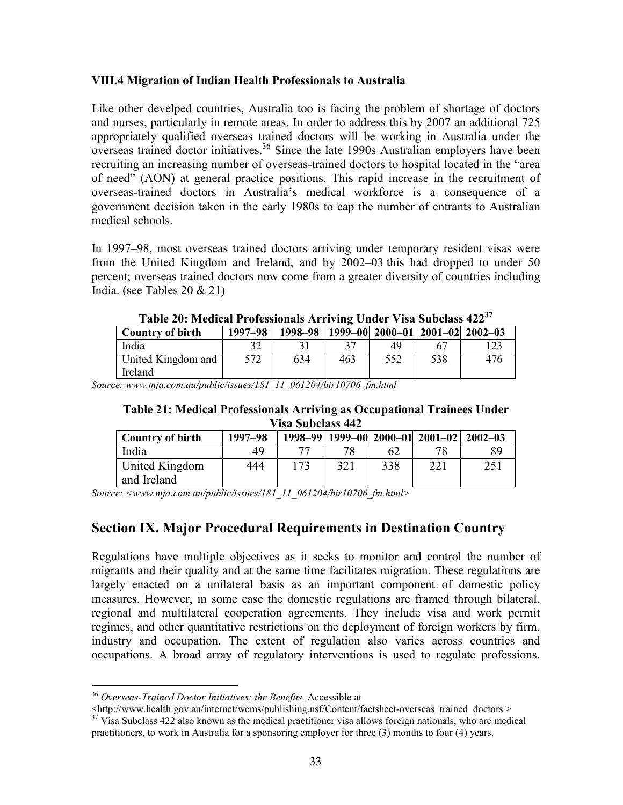#### VIII.4 Migration of Indian Health Professionals to Australia

Like other develped countries, Australia too is facing the problem of shortage of doctors and nurses, particularly in remote areas. In order to address this by 2007 an additional 725 appropriately qualified overseas trained doctors will be working in Australia under the overseas trained doctor initiatives.<sup>36</sup> Since the late 1990s Australian employers have been recruiting an increasing number of overseas-trained doctors to hospital located in the "area of need" (AON) at general practice positions. This rapid increase in the recruitment of overseas-trained doctors in Australia's medical workforce is a consequence of a government decision taken in the early 1980s to cap the number of entrants to Australian medical schools.

In 1997–98, most overseas trained doctors arriving under temporary resident visas were from the United Kingdom and Ireland, and by 2002–03 this had dropped to under 50 percent; overseas trained doctors now come from a greater diversity of countries including India. (see Tables 20 & 21)

| $1000$ TV, invariant introducional internal virgon $\overline{100}$ |         |     |     |     |     |                                                 |  |
|---------------------------------------------------------------------|---------|-----|-----|-----|-----|-------------------------------------------------|--|
| <b>Country of birth</b>                                             | 1997-98 |     |     |     |     | 1998-98   1999-00   2000-01   2001-02   2002-03 |  |
| India                                                               |         |     |     | 49  |     |                                                 |  |
| United Kingdom and                                                  | 572     | 634 | 463 | 552 | 538 | 476                                             |  |
| Ireland                                                             |         |     |     |     |     |                                                 |  |

Table 20: Medical Professionals Arriving Under Visa Subclass 422<sup>37</sup>

Source: www.mja.com.au/public/issues/181\_11\_061204/bir10706\_fm.html

#### Table 21: Medical Professionals Arriving as Occupational Trainees Under Visa Subclass 442

| <b>Country of birth</b>       | 1997-98 |  |     |     | 1998-99 1999-00 2000-01 2001-02 2002-03 |     |  |
|-------------------------------|---------|--|-----|-----|-----------------------------------------|-----|--|
| India                         | 49      |  | 70  | 62  | 70                                      |     |  |
| United Kingdom<br>and Ireland | 444     |  | 321 | 338 | 221                                     | 251 |  |

Source: <www.mja.com.au/public/issues/181\_11\_061204/bir10706\_fm.html>

### Section IX. Major Procedural Requirements in Destination Country

Regulations have multiple objectives as it seeks to monitor and control the number of migrants and their quality and at the same time facilitates migration. These regulations are largely enacted on a unilateral basis as an important component of domestic policy measures. However, in some case the domestic regulations are framed through bilateral, regional and multilateral cooperation agreements. They include visa and work permit regimes, and other quantitative restrictions on the deployment of foreign workers by firm, industry and occupation. The extent of regulation also varies across countries and occupations. A broad array of regulatory interventions is used to regulate professions.

l  $36$  Overseas-Trained Doctor Initiatives: the Benefits. Accessible at

 $\lt$ http://www.health.gov.au/internet/wcms/publishing.nsf/Content/factsheet-overseas\_trained\_doctors > <sup>37</sup> Visa Subclass 422 also known as the medical practitioner visa allows foreign nationals, who are medical

practitioners, to work in Australia for a sponsoring employer for three (3) months to four (4) years.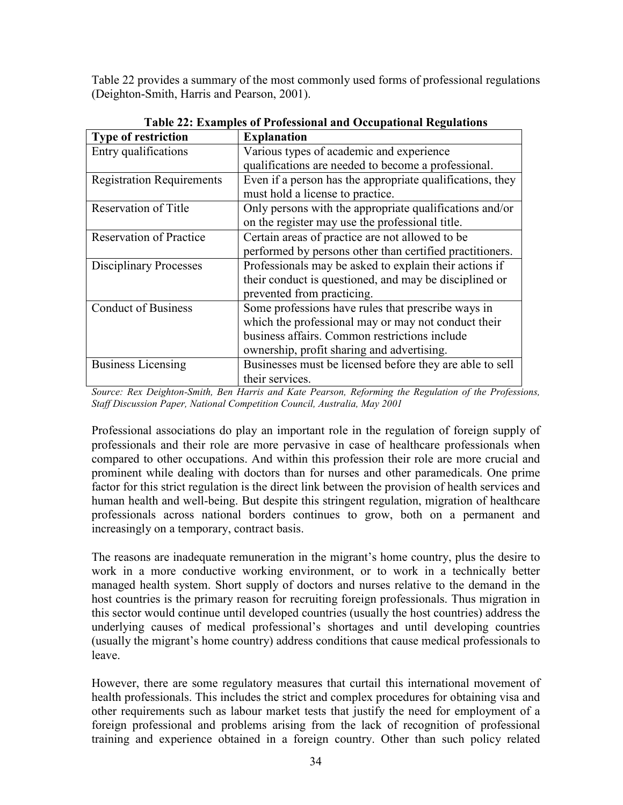Table 22 provides a summary of the most commonly used forms of professional regulations (Deighton-Smith, Harris and Pearson, 2001).

| <b>Type of restriction</b>       | <b>Explanation</b>                                        |
|----------------------------------|-----------------------------------------------------------|
| Entry qualifications             | Various types of academic and experience                  |
|                                  | qualifications are needed to become a professional.       |
| <b>Registration Requirements</b> | Even if a person has the appropriate qualifications, they |
|                                  | must hold a license to practice.                          |
| Reservation of Title             | Only persons with the appropriate qualifications and/or   |
|                                  | on the register may use the professional title.           |
| <b>Reservation of Practice</b>   | Certain areas of practice are not allowed to be           |
|                                  | performed by persons other than certified practitioners.  |
| <b>Disciplinary Processes</b>    | Professionals may be asked to explain their actions if    |
|                                  | their conduct is questioned, and may be disciplined or    |
|                                  | prevented from practicing.                                |
| <b>Conduct of Business</b>       | Some professions have rules that prescribe ways in        |
|                                  | which the professional may or may not conduct their       |
|                                  | business affairs. Common restrictions include             |
|                                  | ownership, profit sharing and advertising.                |
| <b>Business Licensing</b>        | Businesses must be licensed before they are able to sell  |
|                                  | their services.                                           |

Table 22: Examples of Professional and Occupational Regulations

Source: Rex Deighton-Smith, Ben Harris and Kate Pearson, Reforming the Regulation of the Professions, Staff Discussion Paper, National Competition Council, Australia, May 2001

Professional associations do play an important role in the regulation of foreign supply of professionals and their role are more pervasive in case of healthcare professionals when compared to other occupations. And within this profession their role are more crucial and prominent while dealing with doctors than for nurses and other paramedicals. One prime factor for this strict regulation is the direct link between the provision of health services and human health and well-being. But despite this stringent regulation, migration of healthcare professionals across national borders continues to grow, both on a permanent and increasingly on a temporary, contract basis.

The reasons are inadequate remuneration in the migrant's home country, plus the desire to work in a more conductive working environment, or to work in a technically better managed health system. Short supply of doctors and nurses relative to the demand in the host countries is the primary reason for recruiting foreign professionals. Thus migration in this sector would continue until developed countries (usually the host countries) address the underlying causes of medical professional's shortages and until developing countries (usually the migrant's home country) address conditions that cause medical professionals to leave.

However, there are some regulatory measures that curtail this international movement of health professionals. This includes the strict and complex procedures for obtaining visa and other requirements such as labour market tests that justify the need for employment of a foreign professional and problems arising from the lack of recognition of professional training and experience obtained in a foreign country. Other than such policy related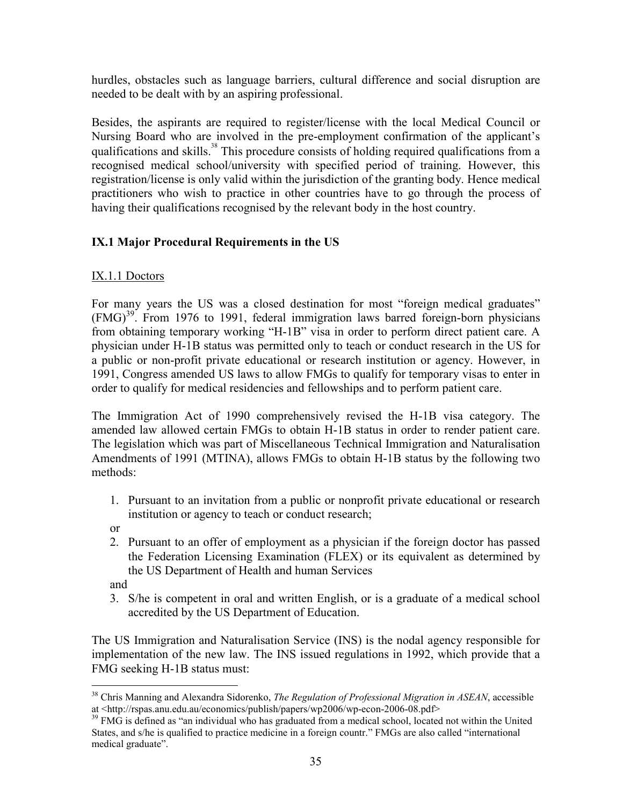hurdles, obstacles such as language barriers, cultural difference and social disruption are needed to be dealt with by an aspiring professional.

Besides, the aspirants are required to register/license with the local Medical Council or Nursing Board who are involved in the pre-employment confirmation of the applicant's qualifications and skills.<sup>38</sup> This procedure consists of holding required qualifications from a recognised medical school/university with specified period of training. However, this registration/license is only valid within the jurisdiction of the granting body. Hence medical practitioners who wish to practice in other countries have to go through the process of having their qualifications recognised by the relevant body in the host country.

## IX.1 Major Procedural Requirements in the US

### IX.1.1 Doctors

For many years the US was a closed destination for most "foreign medical graduates"  $(FMG)^{39}$ . From 1976 to 1991, federal immigration laws barred foreign-born physicians from obtaining temporary working "H-1B" visa in order to perform direct patient care. A physician under H-1B status was permitted only to teach or conduct research in the US for a public or non-profit private educational or research institution or agency. However, in 1991, Congress amended US laws to allow FMGs to qualify for temporary visas to enter in order to qualify for medical residencies and fellowships and to perform patient care.

The Immigration Act of 1990 comprehensively revised the H-1B visa category. The amended law allowed certain FMGs to obtain H-1B status in order to render patient care. The legislation which was part of Miscellaneous Technical Immigration and Naturalisation Amendments of 1991 (MTINA), allows FMGs to obtain H-1B status by the following two methods:

1. Pursuant to an invitation from a public or nonprofit private educational or research institution or agency to teach or conduct research;

or

2. Pursuant to an offer of employment as a physician if the foreign doctor has passed the Federation Licensing Examination (FLEX) or its equivalent as determined by the US Department of Health and human Services

and

3. S/he is competent in oral and written English, or is a graduate of a medical school accredited by the US Department of Education.

The US Immigration and Naturalisation Service (INS) is the nodal agency responsible for implementation of the new law. The INS issued regulations in 1992, which provide that a FMG seeking H-1B status must:

l <sup>38</sup> Chris Manning and Alexandra Sidorenko, *The Regulation of Professional Migration in ASEAN*, accessible at <http://rspas.anu.edu.au/economics/publish/papers/wp2006/wp-econ-2006-08.pdf>

<sup>&</sup>lt;sup>39</sup> FMG is defined as "an individual who has graduated from a medical school, located not within the United States, and s/he is qualified to practice medicine in a foreign countr." FMGs are also called "international medical graduate".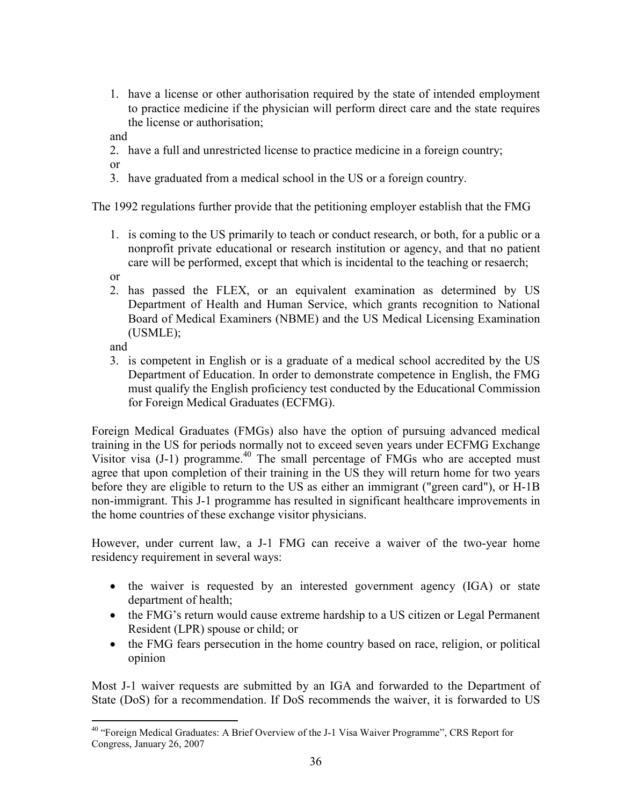- 1. have a license or other authorisation required by the state of intended employment to practice medicine if the physician will perform direct care and the state requires the license or authorisation;
- and

2. have a full and unrestricted license to practice medicine in a foreign country;

or

3. have graduated from a medical school in the US or a foreign country.

The 1992 regulations further provide that the petitioning employer establish that the FMG

1. is coming to the US primarily to teach or conduct research, or both, for a public or a nonprofit private educational or research institution or agency, and that no patient care will be performed, except that which is incidental to the teaching or resaerch;

or

2. has passed the FLEX, or an equivalent examination as determined by US Department of Health and Human Service, which grants recognition to National Board of Medical Examiners (NBME) and the US Medical Licensing Examination (USMLE);

and

3. is competent in English or is a graduate of a medical school accredited by the US Department of Education. In order to demonstrate competence in English, the FMG must qualify the English proficiency test conducted by the Educational Commission for Foreign Medical Graduates (ECFMG).

Foreign Medical Graduates (FMGs) also have the option of pursuing advanced medical training in the US for periods normally not to exceed seven years under ECFMG Exchange Visitor visa  $(J-1)$  programme.<sup>40</sup> The small percentage of FMGs who are accepted must agree that upon completion of their training in the US they will return home for two years before they are eligible to return to the US as either an immigrant ("green card"), or H-1B non-immigrant. This J-1 programme has resulted in significant healthcare improvements in the home countries of these exchange visitor physicians.

However, under current law, a J-1 FMG can receive a waiver of the two-year home residency requirement in several ways:

- the waiver is requested by an interested government agency (IGA) or state department of health;
- the FMG's return would cause extreme hardship to a US citizen or Legal Permanent Resident (LPR) spouse or child; or
- the FMG fears persecution in the home country based on race, religion, or political opinion

Most J-1 waiver requests are submitted by an IGA and forwarded to the Department of State (DoS) for a recommendation. If DoS recommends the waiver, it is forwarded to US

 $\overline{a}$ <sup>40</sup> "Foreign Medical Graduates: A Brief Overview of the J-1 Visa Waiver Programme", CRS Report for Congress, January 26, 2007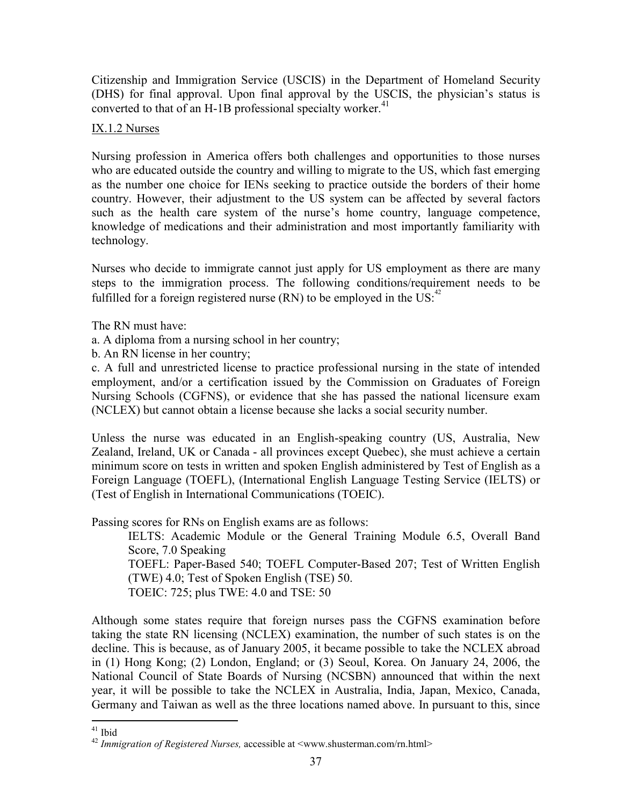Citizenship and Immigration Service (USCIS) in the Department of Homeland Security (DHS) for final approval. Upon final approval by the USCIS, the physician's status is converted to that of an H-1B professional specialty worker. $41$ 

#### IX.1.2 Nurses

Nursing profession in America offers both challenges and opportunities to those nurses who are educated outside the country and willing to migrate to the US, which fast emerging as the number one choice for IENs seeking to practice outside the borders of their home country. However, their adjustment to the US system can be affected by several factors such as the health care system of the nurse's home country, language competence, knowledge of medications and their administration and most importantly familiarity with technology.

Nurses who decide to immigrate cannot just apply for US employment as there are many steps to the immigration process. The following conditions/requirement needs to be fulfilled for a foreign registered nurse (RN) to be employed in the US:  $42^{\frac{42}{2}}$ 

The RN must have:

a. A diploma from a nursing school in her country;

b. An RN license in her country;

c. A full and unrestricted license to practice professional nursing in the state of intended employment, and/or a certification issued by the Commission on Graduates of Foreign Nursing Schools (CGFNS), or evidence that she has passed the national licensure exam (NCLEX) but cannot obtain a license because she lacks a social security number.

Unless the nurse was educated in an English-speaking country (US, Australia, New Zealand, Ireland, UK or Canada - all provinces except Quebec), she must achieve a certain minimum score on tests in written and spoken English administered by Test of English as a Foreign Language (TOEFL), (International English Language Testing Service (IELTS) or (Test of English in International Communications (TOEIC).

Passing scores for RNs on English exams are as follows:

IELTS: Academic Module or the General Training Module 6.5, Overall Band Score, 7.0 Speaking TOEFL: Paper-Based 540; TOEFL Computer-Based 207; Test of Written English (TWE) 4.0; Test of Spoken English (TSE) 50. TOEIC: 725; plus TWE: 4.0 and TSE: 50

Although some states require that foreign nurses pass the CGFNS examination before taking the state RN licensing (NCLEX) examination, the number of such states is on the decline. This is because, as of January 2005, it became possible to take the NCLEX abroad in (1) Hong Kong; (2) London, England; or (3) Seoul, Korea. On January 24, 2006, the National Council of State Boards of Nursing (NCSBN) announced that within the next year, it will be possible to take the NCLEX in Australia, India, Japan, Mexico, Canada, Germany and Taiwan as well as the three locations named above. In pursuant to this, since

 $\overline{a}$ <sup>41</sup> Ibid

 $42$  Immigration of Registered Nurses, accessible at <www.shusterman.com/rn.html>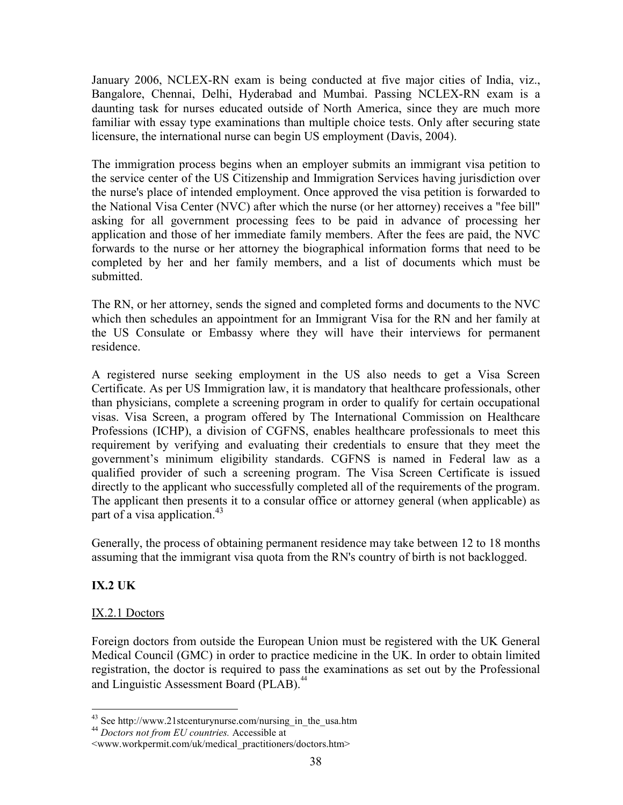January 2006, NCLEX-RN exam is being conducted at five major cities of India, viz., Bangalore, Chennai, Delhi, Hyderabad and Mumbai. Passing NCLEX-RN exam is a daunting task for nurses educated outside of North America, since they are much more familiar with essay type examinations than multiple choice tests. Only after securing state licensure, the international nurse can begin US employment (Davis, 2004).

The immigration process begins when an employer submits an immigrant visa petition to the service center of the US Citizenship and Immigration Services having jurisdiction over the nurse's place of intended employment. Once approved the visa petition is forwarded to the National Visa Center (NVC) after which the nurse (or her attorney) receives a "fee bill" asking for all government processing fees to be paid in advance of processing her application and those of her immediate family members. After the fees are paid, the NVC forwards to the nurse or her attorney the biographical information forms that need to be completed by her and her family members, and a list of documents which must be submitted.

The RN, or her attorney, sends the signed and completed forms and documents to the NVC which then schedules an appointment for an Immigrant Visa for the RN and her family at the US Consulate or Embassy where they will have their interviews for permanent residence.

A registered nurse seeking employment in the US also needs to get a Visa Screen Certificate. As per US Immigration law, it is mandatory that healthcare professionals, other than physicians, complete a screening program in order to qualify for certain occupational visas. Visa Screen, a program offered by The International Commission on Healthcare Professions (ICHP), a division of CGFNS, enables healthcare professionals to meet this requirement by verifying and evaluating their credentials to ensure that they meet the government's minimum eligibility standards. CGFNS is named in Federal law as a qualified provider of such a screening program. The Visa Screen Certificate is issued directly to the applicant who successfully completed all of the requirements of the program. The applicant then presents it to a consular office or attorney general (when applicable) as part of a visa application.<sup>43</sup>

Generally, the process of obtaining permanent residence may take between 12 to 18 months assuming that the immigrant visa quota from the RN's country of birth is not backlogged.

### IX.2 UK

 $\overline{a}$ 

#### IX.2.1 Doctors

Foreign doctors from outside the European Union must be registered with the UK General Medical Council (GMC) in order to practice medicine in the UK. In order to obtain limited registration, the doctor is required to pass the examinations as set out by the Professional and Linguistic Assessment Board (PLAB).<sup>44</sup>

<sup>&</sup>lt;sup>43</sup> See http://www.21stcenturynurse.com/nursing\_in\_the\_usa.htm

<sup>&</sup>lt;sup>44</sup> Doctors not from EU countries. Accessible at

<sup>&</sup>lt;www.workpermit.com/uk/medical\_practitioners/doctors.htm>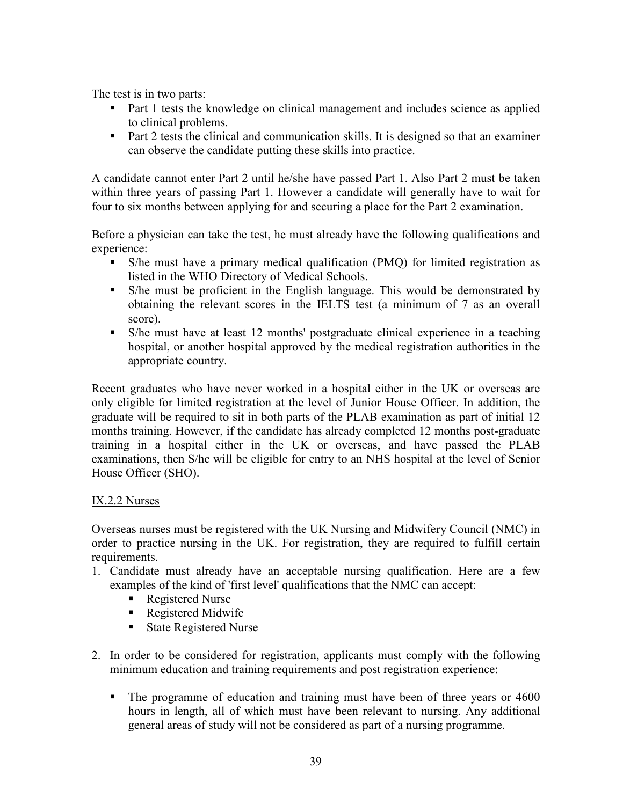The test is in two parts:

- Part 1 tests the knowledge on clinical management and includes science as applied to clinical problems.
- **Part 2 tests the clinical and communication skills. It is designed so that an examiner** can observe the candidate putting these skills into practice.

A candidate cannot enter Part 2 until he/she have passed Part 1. Also Part 2 must be taken within three years of passing Part 1. However a candidate will generally have to wait for four to six months between applying for and securing a place for the Part 2 examination.

Before a physician can take the test, he must already have the following qualifications and experience:

- S/he must have a primary medical qualification (PMQ) for limited registration as listed in the WHO Directory of Medical Schools.
- S/he must be proficient in the English language. This would be demonstrated by obtaining the relevant scores in the IELTS test (a minimum of 7 as an overall score).
- S/he must have at least 12 months' postgraduate clinical experience in a teaching hospital, or another hospital approved by the medical registration authorities in the appropriate country.

Recent graduates who have never worked in a hospital either in the UK or overseas are only eligible for limited registration at the level of Junior House Officer. In addition, the graduate will be required to sit in both parts of the PLAB examination as part of initial 12 months training. However, if the candidate has already completed 12 months post-graduate training in a hospital either in the UK or overseas, and have passed the PLAB examinations, then S/he will be eligible for entry to an NHS hospital at the level of Senior House Officer (SHO).

#### IX.2.2 Nurses

Overseas nurses must be registered with the UK Nursing and Midwifery Council (NMC) in order to practice nursing in the UK. For registration, they are required to fulfill certain requirements.

- 1. Candidate must already have an acceptable nursing qualification. Here are a few examples of the kind of 'first level' qualifications that the NMC can accept:
	- Registered Nurse
	- Registered Midwife
	- State Registered Nurse
- 2. In order to be considered for registration, applicants must comply with the following minimum education and training requirements and post registration experience:
	- The programme of education and training must have been of three years or 4600 hours in length, all of which must have been relevant to nursing. Any additional general areas of study will not be considered as part of a nursing programme.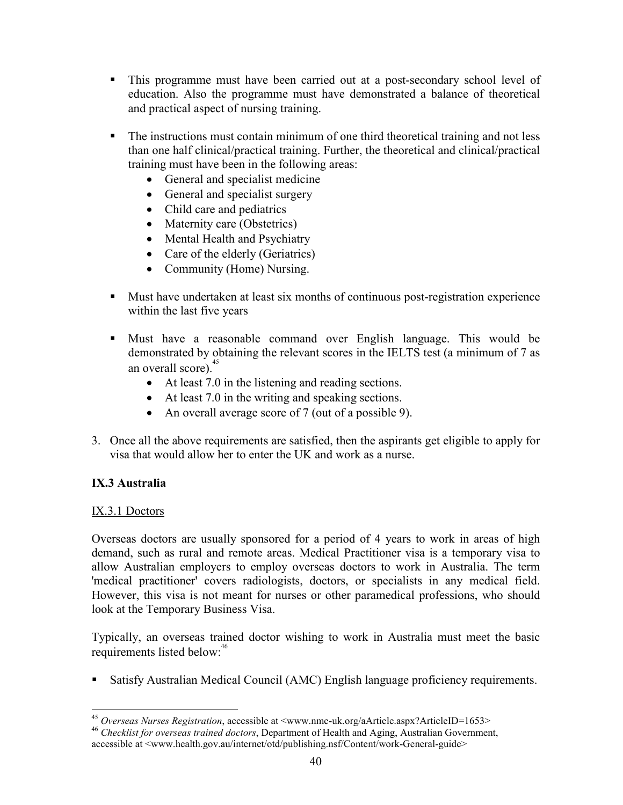- This programme must have been carried out at a post-secondary school level of education. Also the programme must have demonstrated a balance of theoretical and practical aspect of nursing training.
- The instructions must contain minimum of one third theoretical training and not less than one half clinical/practical training. Further, the theoretical and clinical/practical training must have been in the following areas:
	- General and specialist medicine
	- General and specialist surgery
	- Child care and pediatrics
	- Maternity care (Obstetrics)
	- Mental Health and Psychiatry
	- Care of the elderly (Geriatrics)
	- Community (Home) Nursing.
- Must have undertaken at least six months of continuous post-registration experience within the last five years
- Must have a reasonable command over English language. This would be demonstrated by obtaining the relevant scores in the IELTS test (a minimum of 7 as an overall score). $45$ 
	- At least 7.0 in the listening and reading sections.
	- At least 7.0 in the writing and speaking sections.
	- An overall average score of 7 (out of a possible 9).
- 3. Once all the above requirements are satisfied, then the aspirants get eligible to apply for visa that would allow her to enter the UK and work as a nurse.

### IX.3 Australia

#### IX.3.1 Doctors

Overseas doctors are usually sponsored for a period of 4 years to work in areas of high demand, such as rural and remote areas. Medical Practitioner visa is a temporary visa to allow Australian employers to employ overseas doctors to work in Australia. The term 'medical practitioner' covers radiologists, doctors, or specialists in any medical field. However, this visa is not meant for nurses or other paramedical professions, who should look at the Temporary Business Visa.

Typically, an overseas trained doctor wishing to work in Australia must meet the basic requirements listed below:<sup>46</sup>

Satisfy Australian Medical Council (AMC) English language proficiency requirements.

 $\overline{a}$ <sup>45</sup> Overseas Nurses Registration, accessible at <www.nmc-uk.org/aArticle.aspx?ArticleID=1653>

 $46$  Checklist for overseas trained doctors, Department of Health and Aging, Australian Government, accessible at <www.health.gov.au/internet/otd/publishing.nsf/Content/work-General-guide>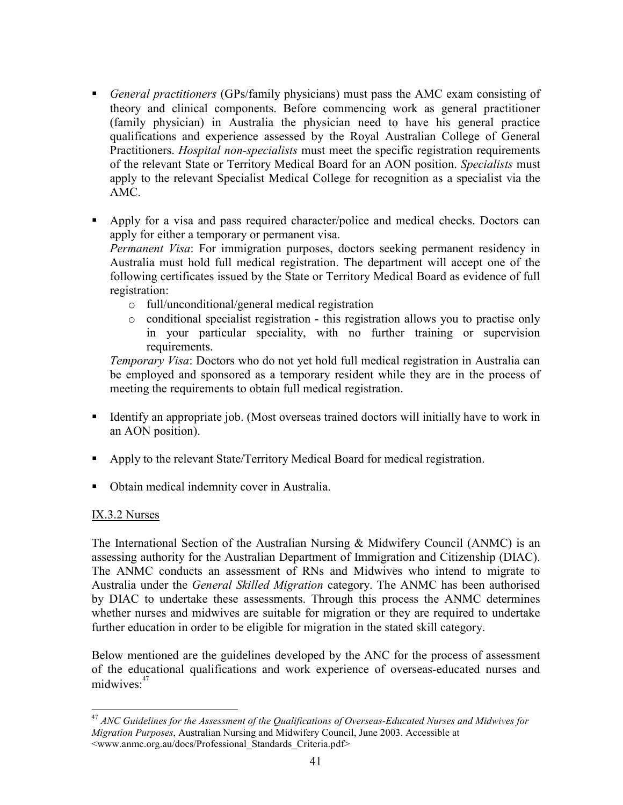- General practitioners (GPs/family physicians) must pass the AMC exam consisting of theory and clinical components. Before commencing work as general practitioner (family physician) in Australia the physician need to have his general practice qualifications and experience assessed by the Royal Australian College of General Practitioners. Hospital non-specialists must meet the specific registration requirements of the relevant State or Territory Medical Board for an AON position. Specialists must apply to the relevant Specialist Medical College for recognition as a specialist via the AMC.
- Apply for a visa and pass required character/police and medical checks. Doctors can apply for either a temporary or permanent visa. Permanent Visa: For immigration purposes, doctors seeking permanent residency in Australia must hold full medical registration. The department will accept one of the following certificates issued by the State or Territory Medical Board as evidence of full registration:
	- o full/unconditional/general medical registration
	- o conditional specialist registration this registration allows you to practise only in your particular speciality, with no further training or supervision requirements.

Temporary Visa: Doctors who do not yet hold full medical registration in Australia can be employed and sponsored as a temporary resident while they are in the process of meeting the requirements to obtain full medical registration.

- Identify an appropriate job. (Most overseas trained doctors will initially have to work in an AON position).
- Apply to the relevant State/Territory Medical Board for medical registration.
- Obtain medical indemnity cover in Australia.

#### IX.3.2 Nurses

The International Section of the Australian Nursing & Midwifery Council (ANMC) is an assessing authority for the Australian Department of Immigration and Citizenship (DIAC). The ANMC conducts an assessment of RNs and Midwives who intend to migrate to Australia under the General Skilled Migration category. The ANMC has been authorised by DIAC to undertake these assessments. Through this process the ANMC determines whether nurses and midwives are suitable for migration or they are required to undertake further education in order to be eligible for migration in the stated skill category.

Below mentioned are the guidelines developed by the ANC for the process of assessment of the educational qualifications and work experience of overseas-educated nurses and midwives:<sup>47</sup>

 $\overline{a}$  $^{47}$  ANC Guidelines for the Assessment of the Qualifications of Overseas-Educated Nurses and Midwives for Migration Purposes, Australian Nursing and Midwifery Council, June 2003. Accessible at <www.anmc.org.au/docs/Professional\_Standards\_Criteria.pdf>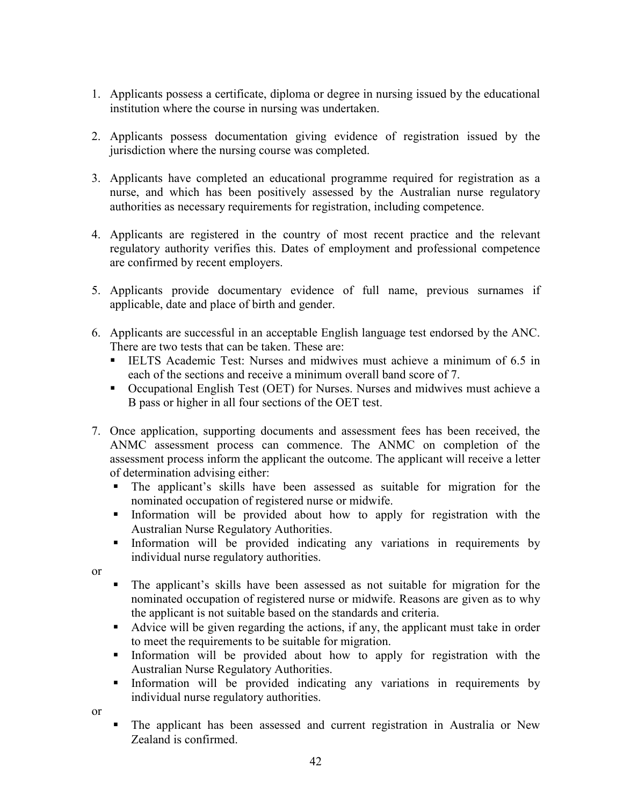- 1. Applicants possess a certificate, diploma or degree in nursing issued by the educational institution where the course in nursing was undertaken.
- 2. Applicants possess documentation giving evidence of registration issued by the jurisdiction where the nursing course was completed.
- 3. Applicants have completed an educational programme required for registration as a nurse, and which has been positively assessed by the Australian nurse regulatory authorities as necessary requirements for registration, including competence.
- 4. Applicants are registered in the country of most recent practice and the relevant regulatory authority verifies this. Dates of employment and professional competence are confirmed by recent employers.
- 5. Applicants provide documentary evidence of full name, previous surnames if applicable, date and place of birth and gender.
- 6. Applicants are successful in an acceptable English language test endorsed by the ANC. There are two tests that can be taken. These are:
	- IELTS Academic Test: Nurses and midwives must achieve a minimum of 6.5 in each of the sections and receive a minimum overall band score of 7.
	- Occupational English Test (OET) for Nurses. Nurses and midwives must achieve a B pass or higher in all four sections of the OET test.
- 7. Once application, supporting documents and assessment fees has been received, the ANMC assessment process can commence. The ANMC on completion of the assessment process inform the applicant the outcome. The applicant will receive a letter of determination advising either:
	- The applicant's skills have been assessed as suitable for migration for the nominated occupation of registered nurse or midwife.
	- Information will be provided about how to apply for registration with the Australian Nurse Regulatory Authorities.
	- Information will be provided indicating any variations in requirements by individual nurse regulatory authorities.
- or
- The applicant's skills have been assessed as not suitable for migration for the nominated occupation of registered nurse or midwife. Reasons are given as to why the applicant is not suitable based on the standards and criteria.
- Advice will be given regarding the actions, if any, the applicant must take in order to meet the requirements to be suitable for migration.
- Information will be provided about how to apply for registration with the Australian Nurse Regulatory Authorities.
- Information will be provided indicating any variations in requirements by individual nurse regulatory authorities.

or

 The applicant has been assessed and current registration in Australia or New Zealand is confirmed.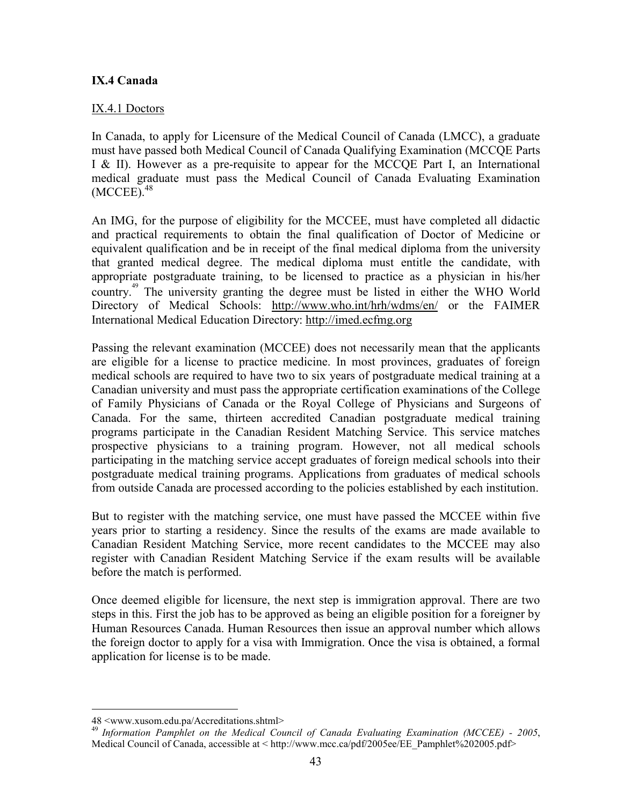#### IX.4 Canada

#### IX.4.1 Doctors

In Canada, to apply for Licensure of the Medical Council of Canada (LMCC), a graduate must have passed both Medical Council of Canada Qualifying Examination (MCCQE Parts I & II). However as a pre-requisite to appear for the MCCQE Part I, an International medical graduate must pass the Medical Council of Canada Evaluating Examination  $(MCCEE).<sup>48</sup>$ 

An IMG, for the purpose of eligibility for the MCCEE, must have completed all didactic and practical requirements to obtain the final qualification of Doctor of Medicine or equivalent qualification and be in receipt of the final medical diploma from the university that granted medical degree. The medical diploma must entitle the candidate, with appropriate postgraduate training, to be licensed to practice as a physician in his/her country. <sup>49</sup> The university granting the degree must be listed in either the WHO World Directory of Medical Schools: http://www.who.int/hrh/wdms/en/ or the FAIMER International Medical Education Directory: http://imed.ecfmg.org

Passing the relevant examination (MCCEE) does not necessarily mean that the applicants are eligible for a license to practice medicine. In most provinces, graduates of foreign medical schools are required to have two to six years of postgraduate medical training at a Canadian university and must pass the appropriate certification examinations of the College of Family Physicians of Canada or the Royal College of Physicians and Surgeons of Canada. For the same, thirteen accredited Canadian postgraduate medical training programs participate in the Canadian Resident Matching Service. This service matches prospective physicians to a training program. However, not all medical schools participating in the matching service accept graduates of foreign medical schools into their postgraduate medical training programs. Applications from graduates of medical schools from outside Canada are processed according to the policies established by each institution.

But to register with the matching service, one must have passed the MCCEE within five years prior to starting a residency. Since the results of the exams are made available to Canadian Resident Matching Service, more recent candidates to the MCCEE may also register with Canadian Resident Matching Service if the exam results will be available before the match is performed.

Once deemed eligible for licensure, the next step is immigration approval. There are two steps in this. First the job has to be approved as being an eligible position for a foreigner by Human Resources Canada. Human Resources then issue an approval number which allows the foreign doctor to apply for a visa with Immigration. Once the visa is obtained, a formal application for license is to be made.

<sup>48 &</sup>lt;www.xusom.edu.pa/Accreditations.shtml>

<sup>&</sup>lt;sup>49</sup> Information Pamphlet on the Medical Council of Canada Evaluating Examination (MCCEE) - 2005, Medical Council of Canada, accessible at < http://www.mcc.ca/pdf/2005ee/EE\_Pamphlet%202005.pdf>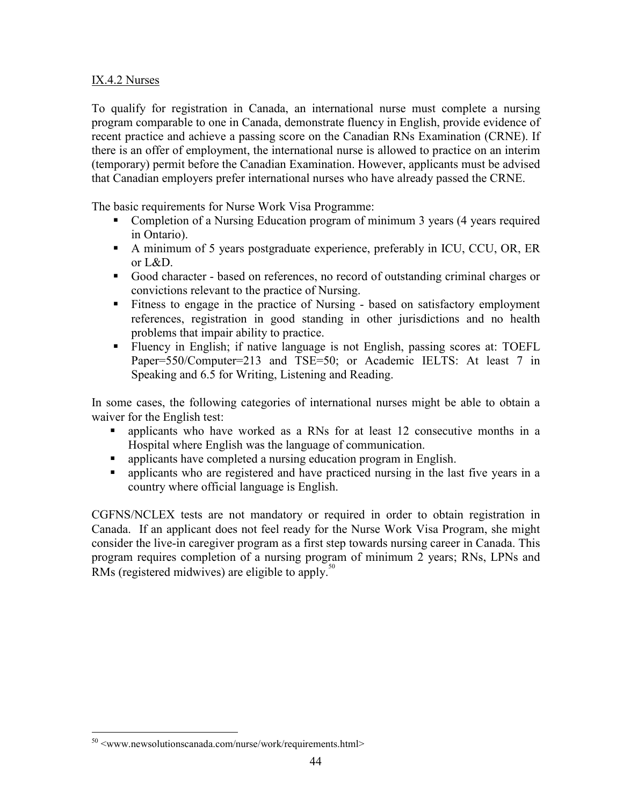#### IX.4.2 Nurses

To qualify for registration in Canada, an international nurse must complete a nursing program comparable to one in Canada, demonstrate fluency in English, provide evidence of recent practice and achieve a passing score on the Canadian RNs Examination (CRNE). If there is an offer of employment, the international nurse is allowed to practice on an interim (temporary) permit before the Canadian Examination. However, applicants must be advised that Canadian employers prefer international nurses who have already passed the CRNE.

The basic requirements for Nurse Work Visa Programme:

- Completion of a Nursing Education program of minimum 3 years (4 years required in Ontario).
- A minimum of 5 years postgraduate experience, preferably in ICU, CCU, OR, ER or L&D.
- Good character based on references, no record of outstanding criminal charges or convictions relevant to the practice of Nursing.
- Fitness to engage in the practice of Nursing based on satisfactory employment references, registration in good standing in other jurisdictions and no health problems that impair ability to practice.
- Fluency in English; if native language is not English, passing scores at: TOEFL Paper=550/Computer=213 and TSE=50; or Academic IELTS: At least 7 in Speaking and 6.5 for Writing, Listening and Reading.

In some cases, the following categories of international nurses might be able to obtain a waiver for the English test:

- applicants who have worked as a RNs for at least 12 consecutive months in a Hospital where English was the language of communication.
- applicants have completed a nursing education program in English.
- applicants who are registered and have practiced nursing in the last five years in a country where official language is English.

CGFNS/NCLEX tests are not mandatory or required in order to obtain registration in Canada. If an applicant does not feel ready for the Nurse Work Visa Program, she might consider the live-in caregiver program as a first step towards nursing career in Canada. This program requires completion of a nursing program of minimum 2 years; RNs, LPNs and RMs (registered midwives) are eligible to apply.<sup>50</sup>

<sup>&</sup>lt;sup>50</sup> <www.newsolutionscanada.com/nurse/work/requirements.html>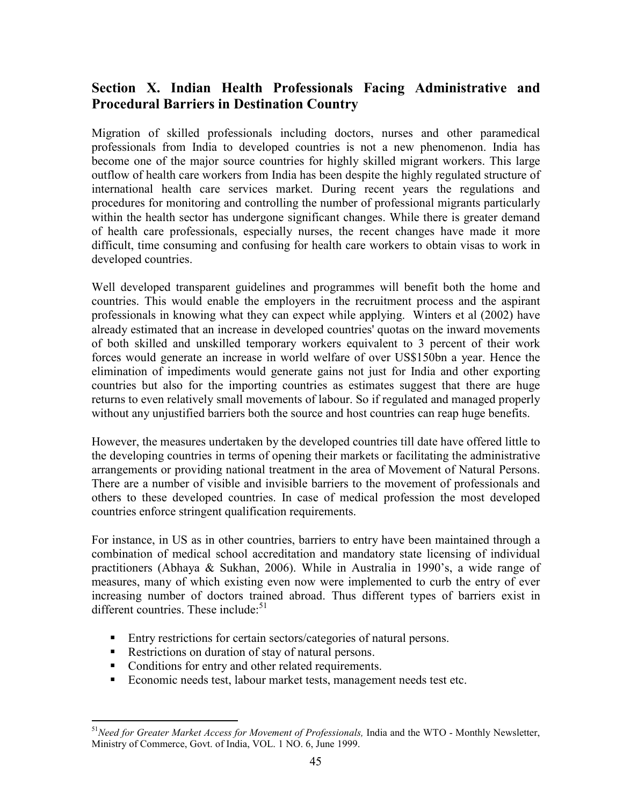## Section X. Indian Health Professionals Facing Administrative and Procedural Barriers in Destination Country

Migration of skilled professionals including doctors, nurses and other paramedical professionals from India to developed countries is not a new phenomenon. India has become one of the major source countries for highly skilled migrant workers. This large outflow of health care workers from India has been despite the highly regulated structure of international health care services market. During recent years the regulations and procedures for monitoring and controlling the number of professional migrants particularly within the health sector has undergone significant changes. While there is greater demand of health care professionals, especially nurses, the recent changes have made it more difficult, time consuming and confusing for health care workers to obtain visas to work in developed countries.

Well developed transparent guidelines and programmes will benefit both the home and countries. This would enable the employers in the recruitment process and the aspirant professionals in knowing what they can expect while applying. Winters et al (2002) have already estimated that an increase in developed countries' quotas on the inward movements of both skilled and unskilled temporary workers equivalent to 3 percent of their work forces would generate an increase in world welfare of over US\$150bn a year. Hence the elimination of impediments would generate gains not just for India and other exporting countries but also for the importing countries as estimates suggest that there are huge returns to even relatively small movements of labour. So if regulated and managed properly without any unjustified barriers both the source and host countries can reap huge benefits.

However, the measures undertaken by the developed countries till date have offered little to the developing countries in terms of opening their markets or facilitating the administrative arrangements or providing national treatment in the area of Movement of Natural Persons. There are a number of visible and invisible barriers to the movement of professionals and others to these developed countries. In case of medical profession the most developed countries enforce stringent qualification requirements.

For instance, in US as in other countries, barriers to entry have been maintained through a combination of medical school accreditation and mandatory state licensing of individual practitioners (Abhaya & Sukhan, 2006). While in Australia in 1990's, a wide range of measures, many of which existing even now were implemented to curb the entry of ever increasing number of doctors trained abroad. Thus different types of barriers exist in different countries. These include:<sup>51</sup>

- Entry restrictions for certain sectors/categories of natural persons.
- Restrictions on duration of stay of natural persons.
- Conditions for entry and other related requirements.
- Economic needs test, labour market tests, management needs test etc.

 $\overline{a}$  $51$ Need for Greater Market Access for Movement of Professionals, India and the WTO - Monthly Newsletter, Ministry of Commerce, Govt. of India, VOL. 1 NO. 6, June 1999.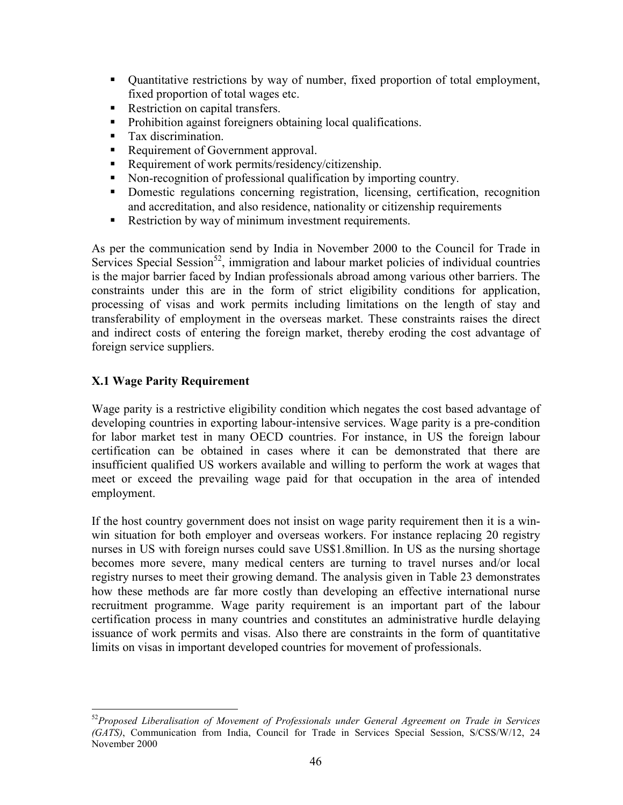- Ouantitative restrictions by way of number, fixed proportion of total employment, fixed proportion of total wages etc.
- Restriction on capital transfers.
- Prohibition against foreigners obtaining local qualifications.
- **Tax discrimination.**
- Requirement of Government approval.
- Requirement of work permits/residency/citizenship.
- Non-recognition of professional qualification by importing country.
- Domestic regulations concerning registration, licensing, certification, recognition and accreditation, and also residence, nationality or citizenship requirements
- Restriction by way of minimum investment requirements.

As per the communication send by India in November 2000 to the Council for Trade in Services Special Session<sup>52</sup>, immigration and labour market policies of individual countries is the major barrier faced by Indian professionals abroad among various other barriers. The constraints under this are in the form of strict eligibility conditions for application, processing of visas and work permits including limitations on the length of stay and transferability of employment in the overseas market. These constraints raises the direct and indirect costs of entering the foreign market, thereby eroding the cost advantage of foreign service suppliers.

### X.1 Wage Parity Requirement

Wage parity is a restrictive eligibility condition which negates the cost based advantage of developing countries in exporting labour-intensive services. Wage parity is a pre-condition for labor market test in many OECD countries. For instance, in US the foreign labour certification can be obtained in cases where it can be demonstrated that there are insufficient qualified US workers available and willing to perform the work at wages that meet or exceed the prevailing wage paid for that occupation in the area of intended employment.

If the host country government does not insist on wage parity requirement then it is a winwin situation for both employer and overseas workers. For instance replacing 20 registry nurses in US with foreign nurses could save US\$1.8million. In US as the nursing shortage becomes more severe, many medical centers are turning to travel nurses and/or local registry nurses to meet their growing demand. The analysis given in Table 23 demonstrates how these methods are far more costly than developing an effective international nurse recruitment programme. Wage parity requirement is an important part of the labour certification process in many countries and constitutes an administrative hurdle delaying issuance of work permits and visas. Also there are constraints in the form of quantitative limits on visas in important developed countries for movement of professionals.

 $\overline{a}$  $52$ Proposed Liberalisation of Movement of Professionals under General Agreement on Trade in Services (GATS), Communication from India, Council for Trade in Services Special Session, S/CSS/W/12, 24 November 2000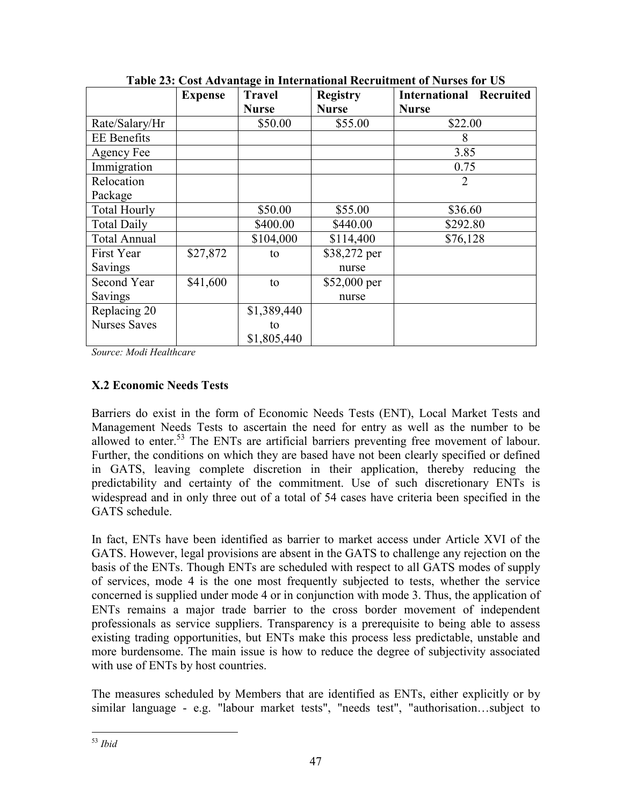|                     | <b>Expense</b> | <b>Travel</b> | <b>Registry</b> | <b>International Recruited</b> |
|---------------------|----------------|---------------|-----------------|--------------------------------|
|                     |                | <b>Nurse</b>  | <b>Nurse</b>    | <b>Nurse</b>                   |
| Rate/Salary/Hr      |                | \$50.00       | \$55.00         | \$22.00                        |
| <b>EE</b> Benefits  |                |               |                 | 8                              |
| Agency Fee          |                |               |                 | 3.85                           |
| Immigration         |                |               |                 | 0.75                           |
| Relocation          |                |               |                 | 2                              |
| Package             |                |               |                 |                                |
| <b>Total Hourly</b> |                | \$50.00       | \$55.00         | \$36.60                        |
| <b>Total Daily</b>  |                | \$400.00      | \$440.00        | \$292.80                       |
| <b>Total Annual</b> |                | \$104,000     | \$114,400       | \$76,128                       |
| First Year          | \$27,872       | to            | \$38,272 per    |                                |
| Savings             |                |               | nurse           |                                |
| Second Year         | \$41,600       | to            | $$52,000$ per   |                                |
| Savings             |                |               | nurse           |                                |
| Replacing 20        |                | \$1,389,440   |                 |                                |
| <b>Nurses Saves</b> |                | to            |                 |                                |
|                     |                | \$1,805,440   |                 |                                |

Table 23: Cost Advantage in International Recruitment of Nurses for US

Source: Modi Healthcare

## X.2 Economic Needs Tests

Barriers do exist in the form of Economic Needs Tests (ENT), Local Market Tests and Management Needs Tests to ascertain the need for entry as well as the number to be allowed to enter.<sup>53</sup> The ENTs are artificial barriers preventing free movement of labour. Further, the conditions on which they are based have not been clearly specified or defined in GATS, leaving complete discretion in their application, thereby reducing the predictability and certainty of the commitment. Use of such discretionary ENTs is widespread and in only three out of a total of 54 cases have criteria been specified in the GATS schedule.

In fact, ENTs have been identified as barrier to market access under Article XVI of the GATS. However, legal provisions are absent in the GATS to challenge any rejection on the basis of the ENTs. Though ENTs are scheduled with respect to all GATS modes of supply of services, mode 4 is the one most frequently subjected to tests, whether the service concerned is supplied under mode 4 or in conjunction with mode 3. Thus, the application of ENTs remains a major trade barrier to the cross border movement of independent professionals as service suppliers. Transparency is a prerequisite to being able to assess existing trading opportunities, but ENTs make this process less predictable, unstable and more burdensome. The main issue is how to reduce the degree of subjectivity associated with use of ENTs by host countries.

The measures scheduled by Members that are identified as ENTs, either explicitly or by similar language - e.g. "labour market tests", "needs test", "authorisation…subject to

 $\overline{a}$ <sup>53</sup> Ibid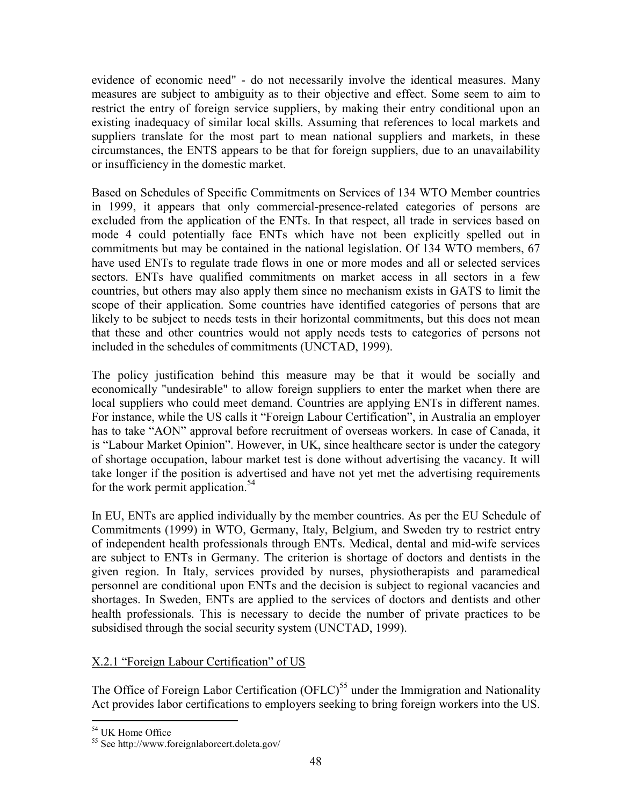evidence of economic need" - do not necessarily involve the identical measures. Many measures are subject to ambiguity as to their objective and effect. Some seem to aim to restrict the entry of foreign service suppliers, by making their entry conditional upon an existing inadequacy of similar local skills. Assuming that references to local markets and suppliers translate for the most part to mean national suppliers and markets, in these circumstances, the ENTS appears to be that for foreign suppliers, due to an unavailability or insufficiency in the domestic market.

Based on Schedules of Specific Commitments on Services of 134 WTO Member countries in 1999, it appears that only commercial-presence-related categories of persons are excluded from the application of the ENTs. In that respect, all trade in services based on mode 4 could potentially face ENTs which have not been explicitly spelled out in commitments but may be contained in the national legislation. Of 134 WTO members, 67 have used ENTs to regulate trade flows in one or more modes and all or selected services sectors. ENTs have qualified commitments on market access in all sectors in a few countries, but others may also apply them since no mechanism exists in GATS to limit the scope of their application. Some countries have identified categories of persons that are likely to be subject to needs tests in their horizontal commitments, but this does not mean that these and other countries would not apply needs tests to categories of persons not included in the schedules of commitments (UNCTAD, 1999).

The policy justification behind this measure may be that it would be socially and economically "undesirable" to allow foreign suppliers to enter the market when there are local suppliers who could meet demand. Countries are applying ENTs in different names. For instance, while the US calls it "Foreign Labour Certification", in Australia an employer has to take "AON" approval before recruitment of overseas workers. In case of Canada, it is "Labour Market Opinion". However, in UK, since healthcare sector is under the category of shortage occupation, labour market test is done without advertising the vacancy. It will take longer if the position is advertised and have not yet met the advertising requirements for the work permit application.<sup>54</sup>

In EU, ENTs are applied individually by the member countries. As per the EU Schedule of Commitments (1999) in WTO, Germany, Italy, Belgium, and Sweden try to restrict entry of independent health professionals through ENTs. Medical, dental and mid-wife services are subject to ENTs in Germany. The criterion is shortage of doctors and dentists in the given region. In Italy, services provided by nurses, physiotherapists and paramedical personnel are conditional upon ENTs and the decision is subject to regional vacancies and shortages. In Sweden, ENTs are applied to the services of doctors and dentists and other health professionals. This is necessary to decide the number of private practices to be subsidised through the social security system (UNCTAD, 1999).

#### X.2.1 "Foreign Labour Certification" of US

The Office of Foreign Labor Certification (OFLC)<sup>55</sup> under the Immigration and Nationality Act provides labor certifications to employers seeking to bring foreign workers into the US.

 $\overline{a}$ <sup>54</sup> UK Home Office

<sup>55</sup> See http://www.foreignlaborcert.doleta.gov/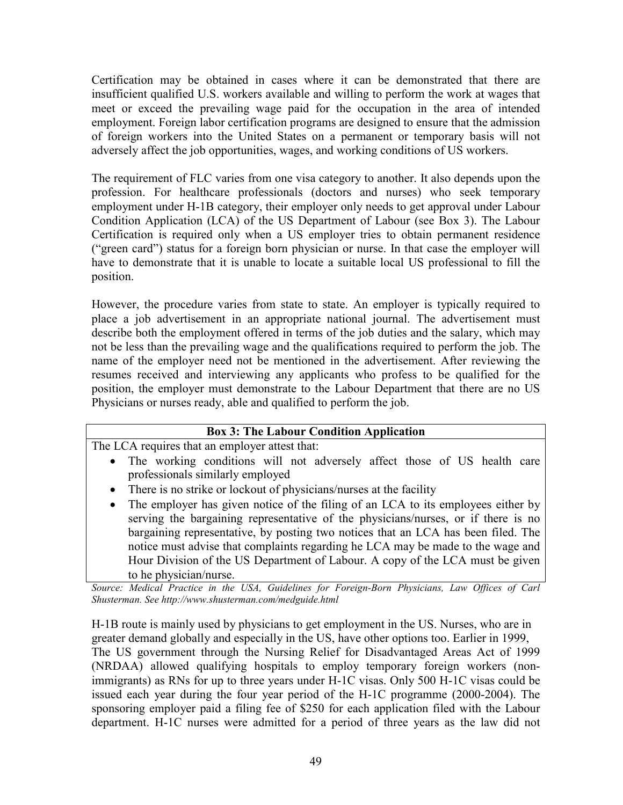Certification may be obtained in cases where it can be demonstrated that there are insufficient qualified U.S. workers available and willing to perform the work at wages that meet or exceed the prevailing wage paid for the occupation in the area of intended employment. Foreign labor certification programs are designed to ensure that the admission of foreign workers into the United States on a permanent or temporary basis will not adversely affect the job opportunities, wages, and working conditions of US workers.

The requirement of FLC varies from one visa category to another. It also depends upon the profession. For healthcare professionals (doctors and nurses) who seek temporary employment under H-1B category, their employer only needs to get approval under Labour Condition Application (LCA) of the US Department of Labour (see Box 3). The Labour Certification is required only when a US employer tries to obtain permanent residence ("green card") status for a foreign born physician or nurse. In that case the employer will have to demonstrate that it is unable to locate a suitable local US professional to fill the position.

However, the procedure varies from state to state. An employer is typically required to place a job advertisement in an appropriate national journal. The advertisement must describe both the employment offered in terms of the job duties and the salary, which may not be less than the prevailing wage and the qualifications required to perform the job. The name of the employer need not be mentioned in the advertisement. After reviewing the resumes received and interviewing any applicants who profess to be qualified for the position, the employer must demonstrate to the Labour Department that there are no US Physicians or nurses ready, able and qualified to perform the job.

| <b>Box 3: The Labour Condition Application</b>                                                |
|-----------------------------------------------------------------------------------------------|
| The LCA requires that an employer attest that:                                                |
| • The working conditions will not adversely affect those of US health care                    |
| professionals similarly employed                                                              |
| • There is no strike or lockout of physicians/nurses at the facility                          |
| The employer has given notice of the filing of an LCA to its employees either by<br>$\bullet$ |
| serving the bargaining representative of the physicians/nurses, or if there is no             |
| bargaining representative, by posting two notices that an LCA has been filed. The             |
| notice must advise that complaints regarding he LCA may be made to the wage and               |
| Hour Division of the US Department of Labour. A copy of the LCA must be given                 |
| to he physician/nurse.                                                                        |

Source: Medical Practice in the USA, Guidelines for Foreign-Born Physicians, Law Offices of Carl Shusterman. See http://www.shusterman.com/medguide.html

H-1B route is mainly used by physicians to get employment in the US. Nurses, who are in greater demand globally and especially in the US, have other options too. Earlier in 1999, The US government through the Nursing Relief for Disadvantaged Areas Act of 1999 (NRDAA) allowed qualifying hospitals to employ temporary foreign workers (nonimmigrants) as RNs for up to three years under H-1C visas. Only 500 H-1C visas could be issued each year during the four year period of the H-1C programme (2000-2004). The sponsoring employer paid a filing fee of \$250 for each application filed with the Labour department. H-1C nurses were admitted for a period of three years as the law did not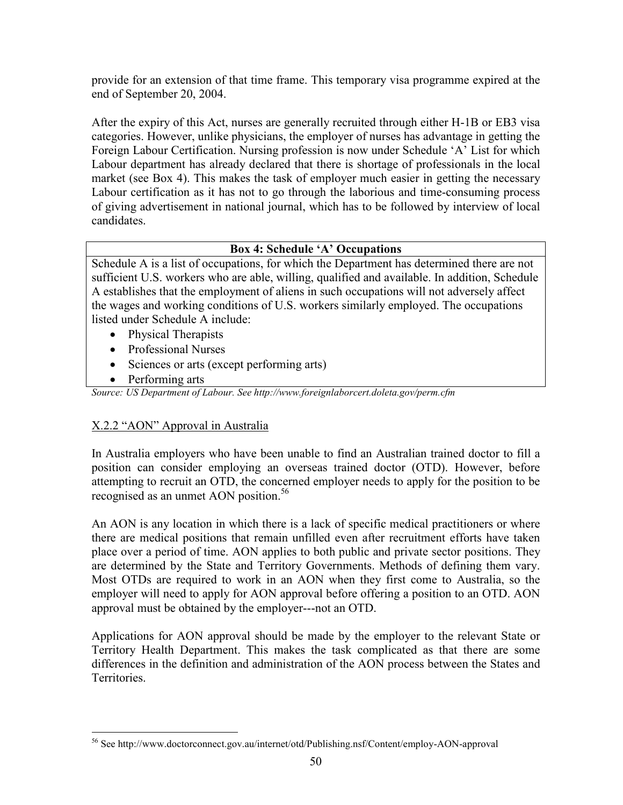provide for an extension of that time frame. This temporary visa programme expired at the end of September 20, 2004.

After the expiry of this Act, nurses are generally recruited through either H-1B or EB3 visa categories. However, unlike physicians, the employer of nurses has advantage in getting the Foreign Labour Certification. Nursing profession is now under Schedule 'A' List for which Labour department has already declared that there is shortage of professionals in the local market (see Box 4). This makes the task of employer much easier in getting the necessary Labour certification as it has not to go through the laborious and time-consuming process of giving advertisement in national journal, which has to be followed by interview of local candidates.

### Box 4: Schedule 'A' Occupations

Schedule A is a list of occupations, for which the Department has determined there are not sufficient U.S. workers who are able, willing, qualified and available. In addition, Schedule A establishes that the employment of aliens in such occupations will not adversely affect the wages and working conditions of U.S. workers similarly employed. The occupations listed under Schedule A include:

- Physical Therapists
- Professional Nurses
- Sciences or arts (except performing arts)
- Performing arts

Source: US Department of Labour. See http://www.foreignlaborcert.doleta.gov/perm.cfm

### X.2.2 "AON" Approval in Australia

In Australia employers who have been unable to find an Australian trained doctor to fill a position can consider employing an overseas trained doctor (OTD). However, before attempting to recruit an OTD, the concerned employer needs to apply for the position to be recognised as an unmet AON position.<sup>56</sup>

An AON is any location in which there is a lack of specific medical practitioners or where there are medical positions that remain unfilled even after recruitment efforts have taken place over a period of time. AON applies to both public and private sector positions. They are determined by the State and Territory Governments. Methods of defining them vary. Most OTDs are required to work in an AON when they first come to Australia, so the employer will need to apply for AON approval before offering a position to an OTD. AON approval must be obtained by the employer---not an OTD.

Applications for AON approval should be made by the employer to the relevant State or Territory Health Department. This makes the task complicated as that there are some differences in the definition and administration of the AON process between the States and Territories.

 $\overline{a}$ <sup>56</sup> See http://www.doctorconnect.gov.au/internet/otd/Publishing.nsf/Content/employ-AON-approval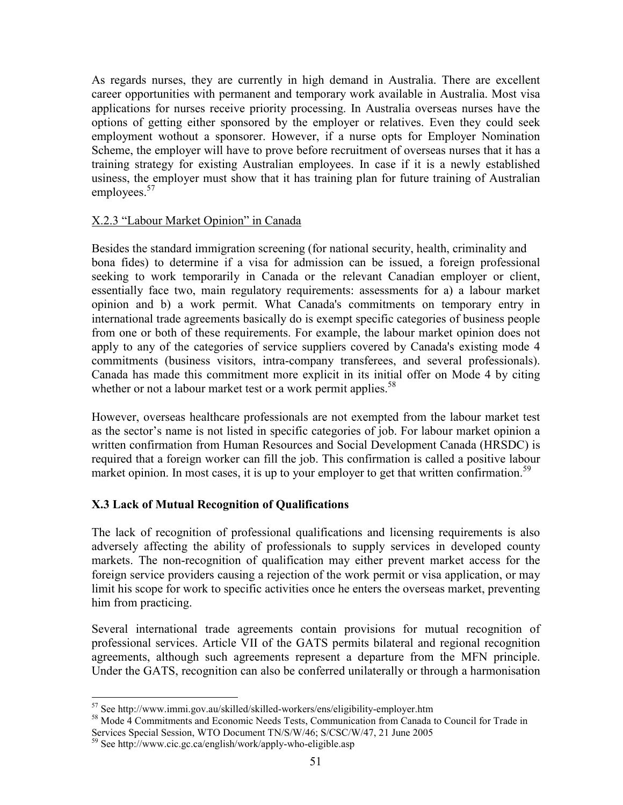As regards nurses, they are currently in high demand in Australia. There are excellent career opportunities with permanent and temporary work available in Australia. Most visa applications for nurses receive priority processing. In Australia overseas nurses have the options of getting either sponsored by the employer or relatives. Even they could seek employment wothout a sponsorer. However, if a nurse opts for Employer Nomination Scheme, the employer will have to prove before recruitment of overseas nurses that it has a training strategy for existing Australian employees. In case if it is a newly established usiness, the employer must show that it has training plan for future training of Australian employees.<sup>57</sup>

#### X.2.3 "Labour Market Opinion" in Canada

Besides the standard immigration screening (for national security, health, criminality and bona fides) to determine if a visa for admission can be issued, a foreign professional seeking to work temporarily in Canada or the relevant Canadian employer or client, essentially face two, main regulatory requirements: assessments for a) a labour market opinion and b) a work permit. What Canada's commitments on temporary entry in international trade agreements basically do is exempt specific categories of business people from one or both of these requirements. For example, the labour market opinion does not apply to any of the categories of service suppliers covered by Canada's existing mode 4 commitments (business visitors, intra-company transferees, and several professionals). Canada has made this commitment more explicit in its initial offer on Mode 4 by citing whether or not a labour market test or a work permit applies.<sup>58</sup>

However, overseas healthcare professionals are not exempted from the labour market test as the sector's name is not listed in specific categories of job. For labour market opinion a written confirmation from Human Resources and Social Development Canada (HRSDC) is required that a foreign worker can fill the job. This confirmation is called a positive labour market opinion. In most cases, it is up to your employer to get that written confirmation.<sup>59</sup>

#### X.3 Lack of Mutual Recognition of Qualifications

The lack of recognition of professional qualifications and licensing requirements is also adversely affecting the ability of professionals to supply services in developed county markets. The non-recognition of qualification may either prevent market access for the foreign service providers causing a rejection of the work permit or visa application, or may limit his scope for work to specific activities once he enters the overseas market, preventing him from practicing.

Several international trade agreements contain provisions for mutual recognition of professional services. Article VII of the GATS permits bilateral and regional recognition agreements, although such agreements represent a departure from the MFN principle. Under the GATS, recognition can also be conferred unilaterally or through a harmonisation

<sup>57</sup> See http://www.immi.gov.au/skilled/skilled-workers/ens/eligibility-employer.htm

<sup>58</sup> Mode 4 Commitments and Economic Needs Tests, Communication from Canada to Council for Trade in Services Special Session, WTO Document TN/S/W/46; S/CSC/W/47, 21 June 2005

<sup>59</sup> See http://www.cic.gc.ca/english/work/apply-who-eligible.asp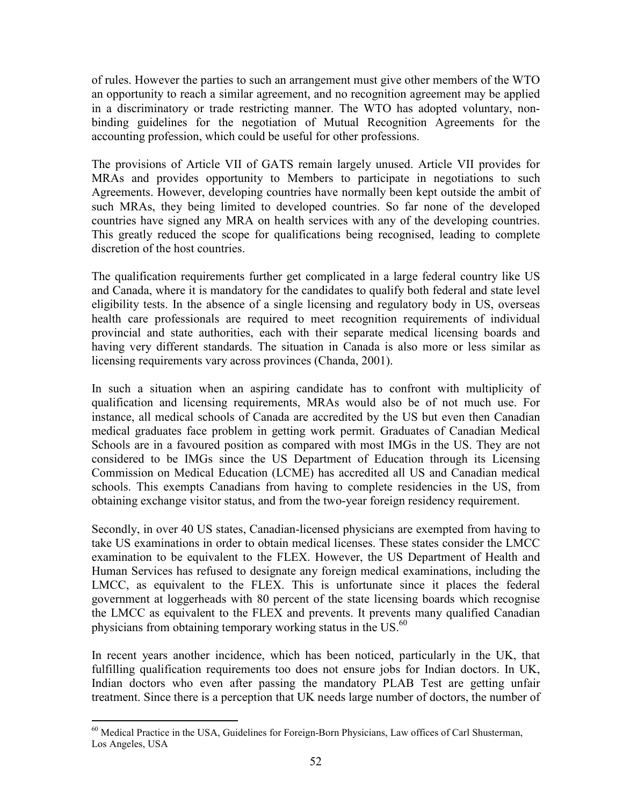of rules. However the parties to such an arrangement must give other members of the WTO an opportunity to reach a similar agreement, and no recognition agreement may be applied in a discriminatory or trade restricting manner. The WTO has adopted voluntary, nonbinding guidelines for the negotiation of Mutual Recognition Agreements for the accounting profession, which could be useful for other professions.

The provisions of Article VII of GATS remain largely unused. Article VII provides for MRAs and provides opportunity to Members to participate in negotiations to such Agreements. However, developing countries have normally been kept outside the ambit of such MRAs, they being limited to developed countries. So far none of the developed countries have signed any MRA on health services with any of the developing countries. This greatly reduced the scope for qualifications being recognised, leading to complete discretion of the host countries.

The qualification requirements further get complicated in a large federal country like US and Canada, where it is mandatory for the candidates to qualify both federal and state level eligibility tests. In the absence of a single licensing and regulatory body in US, overseas health care professionals are required to meet recognition requirements of individual provincial and state authorities, each with their separate medical licensing boards and having very different standards. The situation in Canada is also more or less similar as licensing requirements vary across provinces (Chanda, 2001).

In such a situation when an aspiring candidate has to confront with multiplicity of qualification and licensing requirements, MRAs would also be of not much use. For instance, all medical schools of Canada are accredited by the US but even then Canadian medical graduates face problem in getting work permit. Graduates of Canadian Medical Schools are in a favoured position as compared with most IMGs in the US. They are not considered to be IMGs since the US Department of Education through its Licensing Commission on Medical Education (LCME) has accredited all US and Canadian medical schools. This exempts Canadians from having to complete residencies in the US, from obtaining exchange visitor status, and from the two-year foreign residency requirement.

Secondly, in over 40 US states, Canadian-licensed physicians are exempted from having to take US examinations in order to obtain medical licenses. These states consider the LMCC examination to be equivalent to the FLEX. However, the US Department of Health and Human Services has refused to designate any foreign medical examinations, including the LMCC, as equivalent to the FLEX. This is unfortunate since it places the federal government at loggerheads with 80 percent of the state licensing boards which recognise the LMCC as equivalent to the FLEX and prevents. It prevents many qualified Canadian physicians from obtaining temporary working status in the US.<sup>60</sup>

In recent years another incidence, which has been noticed, particularly in the UK, that fulfilling qualification requirements too does not ensure jobs for Indian doctors. In UK, Indian doctors who even after passing the mandatory PLAB Test are getting unfair treatment. Since there is a perception that UK needs large number of doctors, the number of

<sup>&</sup>lt;sup>60</sup> Medical Practice in the USA, Guidelines for Foreign-Born Physicians, Law offices of Carl Shusterman, Los Angeles, USA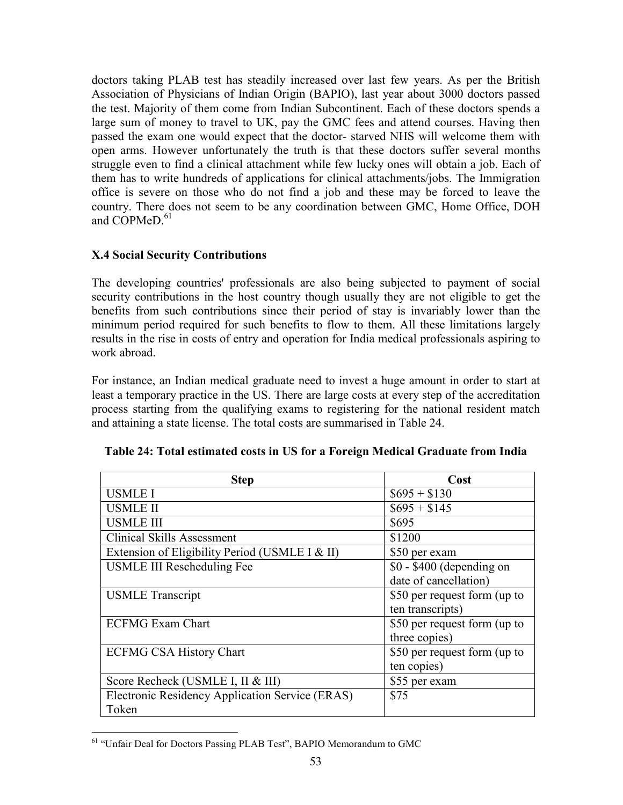doctors taking PLAB test has steadily increased over last few years. As per the British Association of Physicians of Indian Origin (BAPIO), last year about 3000 doctors passed the test. Majority of them come from Indian Subcontinent. Each of these doctors spends a large sum of money to travel to UK, pay the GMC fees and attend courses. Having then passed the exam one would expect that the doctor- starved NHS will welcome them with open arms. However unfortunately the truth is that these doctors suffer several months struggle even to find a clinical attachment while few lucky ones will obtain a job. Each of them has to write hundreds of applications for clinical attachments/jobs. The Immigration office is severe on those who do not find a job and these may be forced to leave the country. There does not seem to be any coordination between GMC, Home Office, DOH and COPMeD $61$ 

## X.4 Social Security Contributions

The developing countries' professionals are also being subjected to payment of social security contributions in the host country though usually they are not eligible to get the benefits from such contributions since their period of stay is invariably lower than the minimum period required for such benefits to flow to them. All these limitations largely results in the rise in costs of entry and operation for India medical professionals aspiring to work abroad.

For instance, an Indian medical graduate need to invest a huge amount in order to start at least a temporary practice in the US. There are large costs at every step of the accreditation process starting from the qualifying exams to registering for the national resident match and attaining a state license. The total costs are summarised in Table 24.

| <b>Step</b>                                     | Cost                         |
|-------------------------------------------------|------------------------------|
| <b>USMLE I</b>                                  | $$695 + $130$                |
| <b>USMLE II</b>                                 | $\$695 + \$145$              |
| <b>USMLE III</b>                                | \$695                        |
| <b>Clinical Skills Assessment</b>               | \$1200                       |
| Extension of Eligibility Period (USMLE I & II)  | \$50 per exam                |
| <b>USMLE III Rescheduling Fee</b>               | $$0 - $400$ (depending on    |
|                                                 | date of cancellation)        |
| <b>USMLE</b> Transcript                         | \$50 per request form (up to |
|                                                 | ten transcripts)             |
| <b>ECFMG Exam Chart</b>                         | \$50 per request form (up to |
|                                                 | three copies)                |
| <b>ECFMG CSA History Chart</b>                  | \$50 per request form (up to |
|                                                 | ten copies)                  |
| Score Recheck (USMLE I, II & III)               | \$55 per exam                |
| Electronic Residency Application Service (ERAS) | \$75                         |
| Token                                           |                              |

 $\overline{a}$ <sup>61</sup> "Unfair Deal for Doctors Passing PLAB Test", BAPIO Memorandum to GMC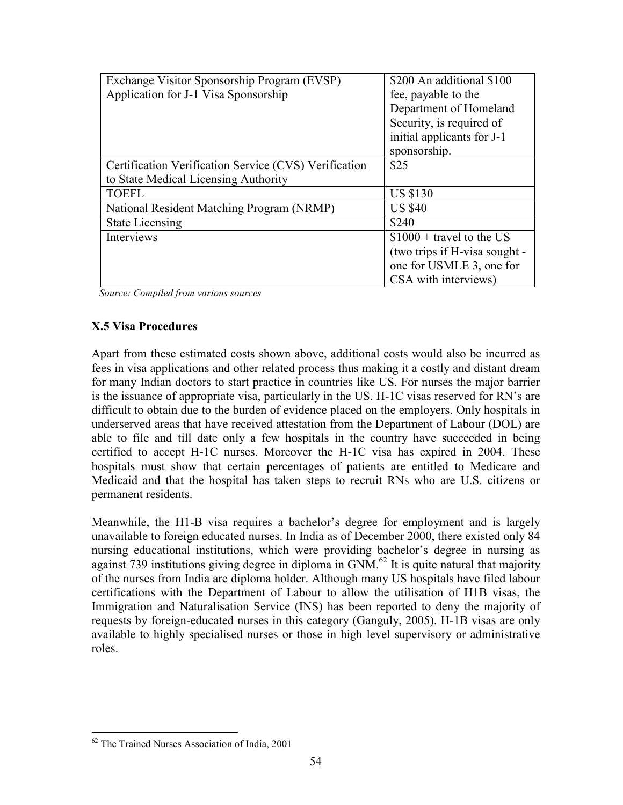| Exchange Visitor Sponsorship Program (EVSP)           | \$200 An additional \$100     |
|-------------------------------------------------------|-------------------------------|
| Application for J-1 Visa Sponsorship                  | fee, payable to the           |
|                                                       | Department of Homeland        |
|                                                       | Security, is required of      |
|                                                       | initial applicants for J-1    |
|                                                       | sponsorship.                  |
| Certification Verification Service (CVS) Verification | \$25                          |
| to State Medical Licensing Authority                  |                               |
| <b>TOEFL</b>                                          | <b>US \$130</b>               |
| National Resident Matching Program (NRMP)             | <b>US \$40</b>                |
| <b>State Licensing</b>                                | \$240                         |
| Interviews                                            | $$1000 + travel to the US$    |
|                                                       | (two trips if H-visa sought - |
|                                                       | one for USMLE 3, one for      |
|                                                       | CSA with interviews)          |

Source: Compiled from various sources

#### X.5 Visa Procedures

Apart from these estimated costs shown above, additional costs would also be incurred as fees in visa applications and other related process thus making it a costly and distant dream for many Indian doctors to start practice in countries like US. For nurses the major barrier is the issuance of appropriate visa, particularly in the US. H-1C visas reserved for RN's are difficult to obtain due to the burden of evidence placed on the employers. Only hospitals in underserved areas that have received attestation from the Department of Labour (DOL) are able to file and till date only a few hospitals in the country have succeeded in being certified to accept H-1C nurses. Moreover the H-1C visa has expired in 2004. These hospitals must show that certain percentages of patients are entitled to Medicare and Medicaid and that the hospital has taken steps to recruit RNs who are U.S. citizens or permanent residents.

Meanwhile, the H1-B visa requires a bachelor's degree for employment and is largely unavailable to foreign educated nurses. In India as of December 2000, there existed only 84 nursing educational institutions, which were providing bachelor's degree in nursing as against 739 institutions giving degree in diploma in  $GNM<sup>62</sup>$  It is quite natural that majority of the nurses from India are diploma holder. Although many US hospitals have filed labour certifications with the Department of Labour to allow the utilisation of H1B visas, the Immigration and Naturalisation Service (INS) has been reported to deny the majority of requests by foreign-educated nurses in this category (Ganguly, 2005). H-1B visas are only available to highly specialised nurses or those in high level supervisory or administrative roles.

<sup>&</sup>lt;sup>62</sup> The Trained Nurses Association of India, 2001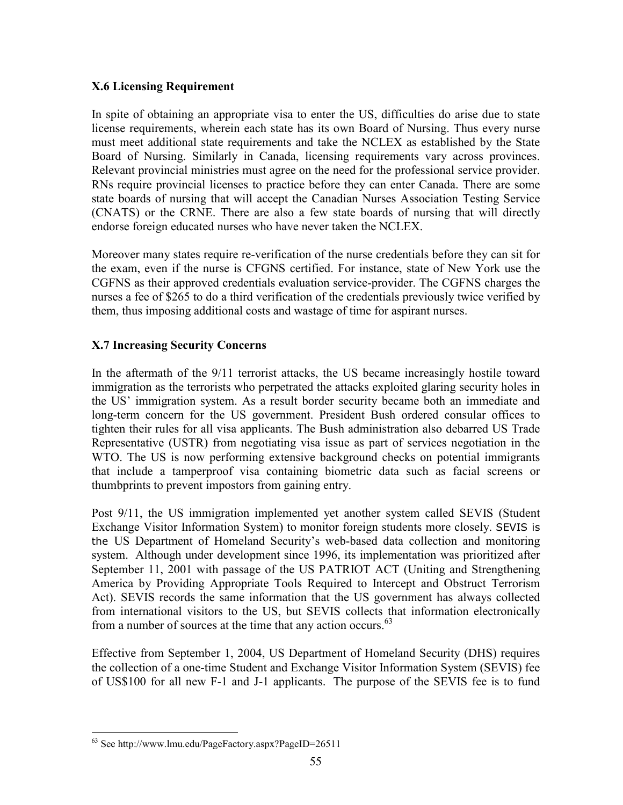## X.6 Licensing Requirement

In spite of obtaining an appropriate visa to enter the US, difficulties do arise due to state license requirements, wherein each state has its own Board of Nursing. Thus every nurse must meet additional state requirements and take the NCLEX as established by the State Board of Nursing. Similarly in Canada, licensing requirements vary across provinces. Relevant provincial ministries must agree on the need for the professional service provider. RNs require provincial licenses to practice before they can enter Canada. There are some state boards of nursing that will accept the Canadian Nurses Association Testing Service (CNATS) or the CRNE. There are also a few state boards of nursing that will directly endorse foreign educated nurses who have never taken the NCLEX.

Moreover many states require re-verification of the nurse credentials before they can sit for the exam, even if the nurse is CFGNS certified. For instance, state of New York use the CGFNS as their approved credentials evaluation service-provider. The CGFNS charges the nurses a fee of \$265 to do a third verification of the credentials previously twice verified by them, thus imposing additional costs and wastage of time for aspirant nurses.

#### X.7 Increasing Security Concerns

In the aftermath of the 9/11 terrorist attacks, the US became increasingly hostile toward immigration as the terrorists who perpetrated the attacks exploited glaring security holes in the US' immigration system. As a result border security became both an immediate and long-term concern for the US government. President Bush ordered consular offices to tighten their rules for all visa applicants. The Bush administration also debarred US Trade Representative (USTR) from negotiating visa issue as part of services negotiation in the WTO. The US is now performing extensive background checks on potential immigrants that include a tamperproof visa containing biometric data such as facial screens or thumbprints to prevent impostors from gaining entry.

Post 9/11, the US immigration implemented yet another system called SEVIS (Student Exchange Visitor Information System) to monitor foreign students more closely. SEVIS is the US Department of Homeland Security's web-based data collection and monitoring system. Although under development since 1996, its implementation was prioritized after September 11, 2001 with passage of the US PATRIOT ACT (Uniting and Strengthening America by Providing Appropriate Tools Required to Intercept and Obstruct Terrorism Act). SEVIS records the same information that the US government has always collected from international visitors to the US, but SEVIS collects that information electronically from a number of sources at the time that any action occurs.<sup>63</sup>

Effective from September 1, 2004, US Department of Homeland Security (DHS) requires the collection of a one-time Student and Exchange Visitor Information System (SEVIS) fee of US\$100 for all new F-1 and J-1 applicants. The purpose of the SEVIS fee is to fund

 $\overline{a}$ <sup>63</sup> See http://www.lmu.edu/PageFactory.aspx?PageID=26511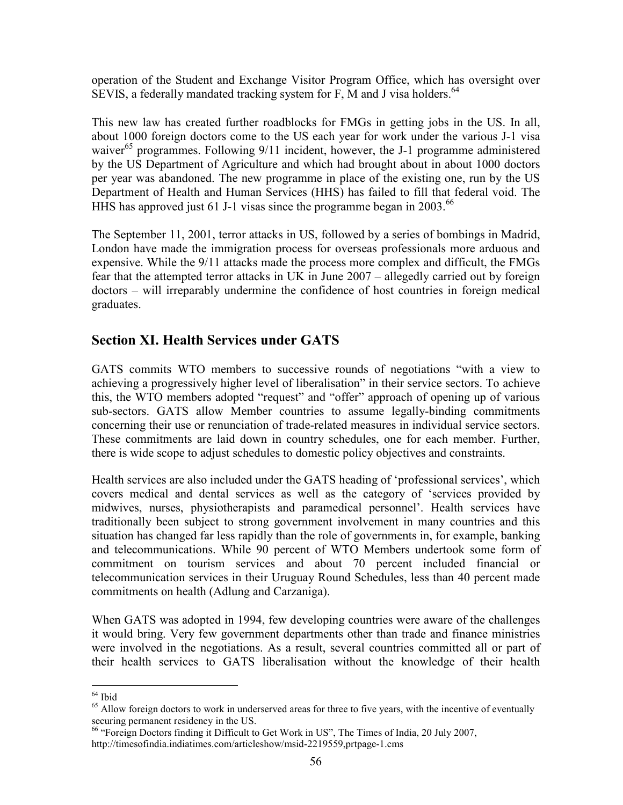operation of the Student and Exchange Visitor Program Office, which has oversight over SEVIS, a federally mandated tracking system for F, M and J visa holders.<sup>64</sup>

This new law has created further roadblocks for FMGs in getting jobs in the US. In all, about 1000 foreign doctors come to the US each year for work under the various J-1 visa waiver<sup>65</sup> programmes. Following 9/11 incident, however, the J-1 programme administered by the US Department of Agriculture and which had brought about in about 1000 doctors per year was abandoned. The new programme in place of the existing one, run by the US Department of Health and Human Services (HHS) has failed to fill that federal void. The HHS has approved just 61 J-1 visas since the programme began in 2003. $^{66}$ 

The September 11, 2001, terror attacks in US, followed by a series of bombings in Madrid, London have made the immigration process for overseas professionals more arduous and expensive. While the 9/11 attacks made the process more complex and difficult, the FMGs fear that the attempted terror attacks in UK in June 2007 – allegedly carried out by foreign doctors – will irreparably undermine the confidence of host countries in foreign medical graduates.

# Section XI. Health Services under GATS

GATS commits WTO members to successive rounds of negotiations "with a view to achieving a progressively higher level of liberalisation" in their service sectors. To achieve this, the WTO members adopted "request" and "offer" approach of opening up of various sub-sectors. GATS allow Member countries to assume legally-binding commitments concerning their use or renunciation of trade-related measures in individual service sectors. These commitments are laid down in country schedules, one for each member. Further, there is wide scope to adjust schedules to domestic policy objectives and constraints.

Health services are also included under the GATS heading of 'professional services', which covers medical and dental services as well as the category of 'services provided by midwives, nurses, physiotherapists and paramedical personnel'. Health services have traditionally been subject to strong government involvement in many countries and this situation has changed far less rapidly than the role of governments in, for example, banking and telecommunications. While 90 percent of WTO Members undertook some form of commitment on tourism services and about 70 percent included financial or telecommunication services in their Uruguay Round Schedules, less than 40 percent made commitments on health (Adlung and Carzaniga).

When GATS was adopted in 1994, few developing countries were aware of the challenges it would bring. Very few government departments other than trade and finance ministries were involved in the negotiations. As a result, several countries committed all or part of their health services to GATS liberalisation without the knowledge of their health

l <sup>64</sup> Ibid

<sup>&</sup>lt;sup>65</sup> Allow foreign doctors to work in underserved areas for three to five years, with the incentive of eventually securing permanent residency in the US.

<sup>&</sup>lt;sup>66</sup> "Foreign Doctors finding it Difficult to Get Work in US", The Times of India, 20 July 2007,

http://timesofindia.indiatimes.com/articleshow/msid-2219559,prtpage-1.cms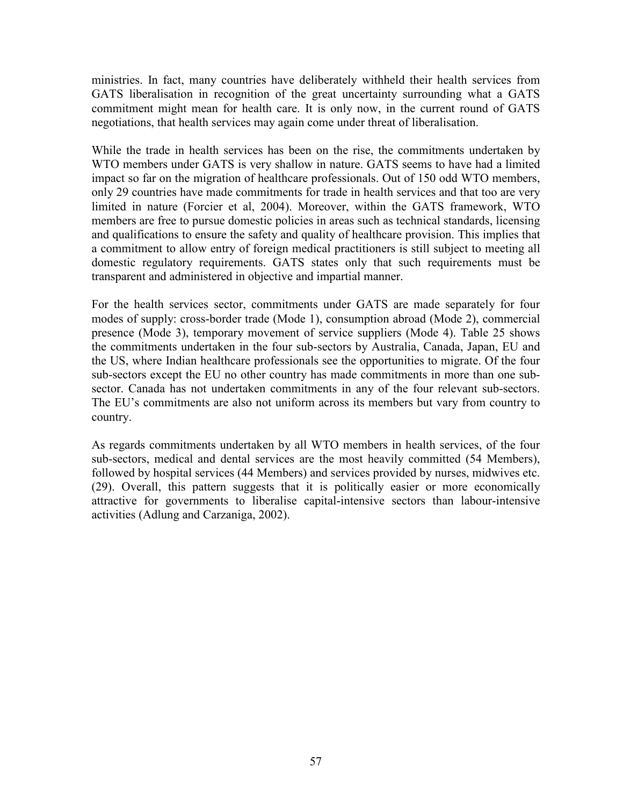ministries. In fact, many countries have deliberately withheld their health services from GATS liberalisation in recognition of the great uncertainty surrounding what a GATS commitment might mean for health care. It is only now, in the current round of GATS negotiations, that health services may again come under threat of liberalisation.

While the trade in health services has been on the rise, the commitments undertaken by WTO members under GATS is very shallow in nature. GATS seems to have had a limited impact so far on the migration of healthcare professionals. Out of 150 odd WTO members, only 29 countries have made commitments for trade in health services and that too are very limited in nature (Forcier et al, 2004). Moreover, within the GATS framework, WTO members are free to pursue domestic policies in areas such as technical standards, licensing and qualifications to ensure the safety and quality of healthcare provision. This implies that a commitment to allow entry of foreign medical practitioners is still subject to meeting all domestic regulatory requirements. GATS states only that such requirements must be transparent and administered in objective and impartial manner.

For the health services sector, commitments under GATS are made separately for four modes of supply: cross-border trade (Mode 1), consumption abroad (Mode 2), commercial presence (Mode 3), temporary movement of service suppliers (Mode 4). Table 25 shows the commitments undertaken in the four sub-sectors by Australia, Canada, Japan, EU and the US, where Indian healthcare professionals see the opportunities to migrate. Of the four sub-sectors except the EU no other country has made commitments in more than one subsector. Canada has not undertaken commitments in any of the four relevant sub-sectors. The EU's commitments are also not uniform across its members but vary from country to country.

As regards commitments undertaken by all WTO members in health services, of the four sub-sectors, medical and dental services are the most heavily committed (54 Members), followed by hospital services (44 Members) and services provided by nurses, midwives etc. (29). Overall, this pattern suggests that it is politically easier or more economically attractive for governments to liberalise capital-intensive sectors than labour-intensive activities (Adlung and Carzaniga, 2002).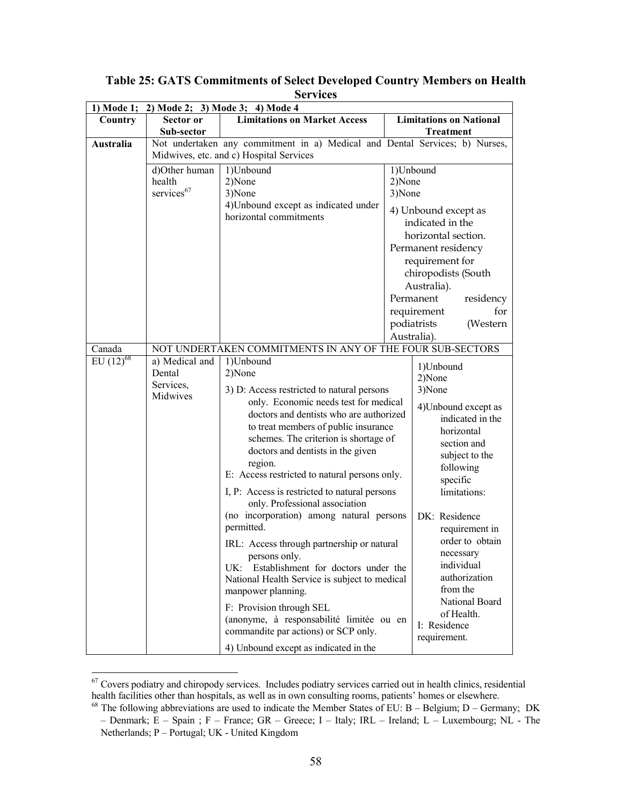| 1) Mode 1;     | 2) Mode 2; 3) Mode 3; 4) Mode 4         |                                                                                          |        |                                |
|----------------|-----------------------------------------|------------------------------------------------------------------------------------------|--------|--------------------------------|
| Country        | Sector or                               | <b>Limitations on Market Access</b>                                                      |        | <b>Limitations on National</b> |
|                | Sub-sector                              |                                                                                          |        | <b>Treatment</b>               |
| Australia      |                                         | Not undertaken any commitment in a) Medical and Dental Services; b) Nurses,              |        |                                |
|                | Midwives, etc. and c) Hospital Services |                                                                                          |        |                                |
|                | d)Other human                           | 1)Unbound                                                                                |        | 1)Unbound                      |
|                | health                                  | 2)None                                                                                   | 2)None |                                |
|                | services <sup>67</sup>                  | 3)None                                                                                   | 3)None |                                |
|                |                                         | 4) Unbound except as indicated under                                                     |        | 4) Unbound except as           |
|                |                                         | horizontal commitments                                                                   |        | indicated in the               |
|                |                                         |                                                                                          |        | horizontal section.            |
|                |                                         |                                                                                          |        | Permanent residency            |
|                |                                         |                                                                                          |        | requirement for                |
|                |                                         |                                                                                          |        | chiropodists (South            |
|                |                                         |                                                                                          |        | Australia).                    |
|                |                                         |                                                                                          |        | Permanent<br>residency         |
|                |                                         |                                                                                          |        | for<br>requirement             |
|                |                                         |                                                                                          |        | podiatrists<br>(Western        |
|                |                                         |                                                                                          |        | Australia).                    |
| Canada         |                                         | NOT UNDERTAKEN COMMITMENTS IN ANY OF THE FOUR SUB-SECTORS                                |        |                                |
| $EU (12)^{68}$ | a) Medical and                          | 1)Unbound                                                                                |        |                                |
|                | Dental                                  | 2)None                                                                                   |        | 1)Unbound                      |
|                | Services,                               |                                                                                          |        | 2)None                         |
|                | Midwives                                | 3) D: Access restricted to natural persons<br>only. Economic needs test for medical      |        | 3)None                         |
|                |                                         | doctors and dentists who are authorized                                                  |        | 4) Unbound except as           |
|                |                                         | to treat members of public insurance                                                     |        | indicated in the               |
|                |                                         | schemes. The criterion is shortage of                                                    |        | horizontal                     |
|                |                                         | doctors and dentists in the given                                                        |        | section and                    |
|                |                                         | region.                                                                                  |        | subject to the                 |
|                |                                         | E: Access restricted to natural persons only.                                            |        | following                      |
|                |                                         |                                                                                          |        | specific                       |
|                |                                         | I, P: Access is restricted to natural persons<br>only. Professional association          |        | limitations:                   |
|                |                                         | (no incorporation) among natural persons<br>DK: Residence                                |        |                                |
|                |                                         | permitted.                                                                               |        | requirement in                 |
|                |                                         |                                                                                          |        | order to obtain                |
|                |                                         | IRL: Access through partnership or natural                                               |        | necessary                      |
|                |                                         | persons only.                                                                            |        | individual                     |
|                |                                         | UK: Establishment for doctors under the<br>National Health Service is subject to medical |        | authorization                  |
|                |                                         | manpower planning.                                                                       |        | from the                       |
|                |                                         |                                                                                          |        | National Board                 |
|                |                                         | F: Provision through SEL                                                                 |        | of Health.                     |
|                |                                         | (anonyme, à responsabilité limitée ou en                                                 |        | I: Residence                   |
|                |                                         | commandite par actions) or SCP only.                                                     |        | requirement.                   |
|                |                                         | 4) Unbound except as indicated in the                                                    |        |                                |

Table 25: GATS Commitments of Select Developed Country Members on Health Services

 $67$  Covers podiatry and chiropody services. Includes podiatry services carried out in health clinics, residential health facilities other than hospitals, as well as in own consulting rooms, patients' homes or elsewhere.

 $68$  The following abbreviations are used to indicate the Member States of EU: B – Belgium; D – Germany; DK – Denmark; E – Spain ; F – France; GR – Greece; I – Italy; IRL – Ireland; L – Luxembourg; NL - The Netherlands; P – Portugal; UK - United Kingdom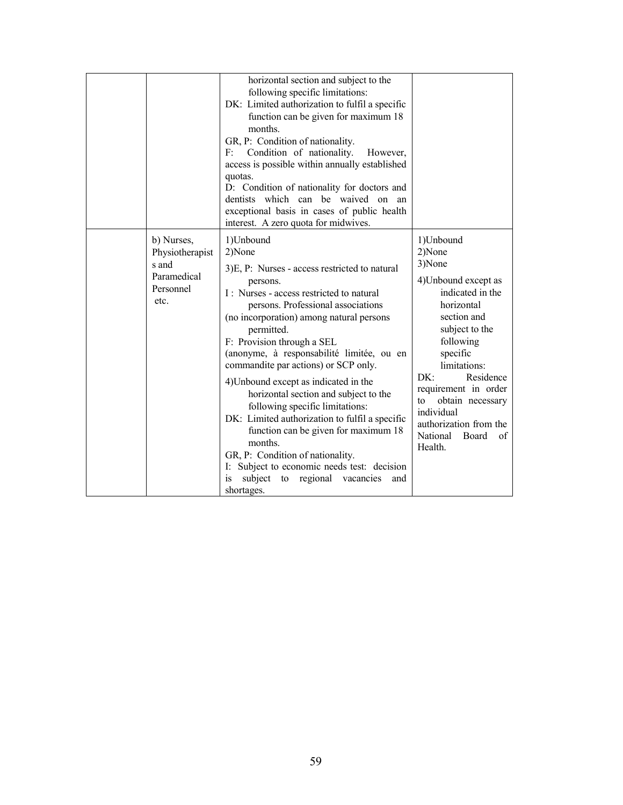|                                                                            | horizontal section and subject to the<br>following specific limitations:<br>DK: Limited authorization to fulfil a specific<br>function can be given for maximum 18<br>months.<br>GR, P: Condition of nationality.<br>Condition of nationality.<br>F:<br>However,<br>access is possible within annually established<br>quotas.<br>D: Condition of nationality for doctors and<br>dentists which can be waived on<br>an<br>exceptional basis in cases of public health<br>interest. A zero quota for midwives.                                                                                                                                                                                                                |                                                                                                                                                                                                                                                                                                                       |
|----------------------------------------------------------------------------|-----------------------------------------------------------------------------------------------------------------------------------------------------------------------------------------------------------------------------------------------------------------------------------------------------------------------------------------------------------------------------------------------------------------------------------------------------------------------------------------------------------------------------------------------------------------------------------------------------------------------------------------------------------------------------------------------------------------------------|-----------------------------------------------------------------------------------------------------------------------------------------------------------------------------------------------------------------------------------------------------------------------------------------------------------------------|
| b) Nurses,<br>Physiotherapist<br>s and<br>Paramedical<br>Personnel<br>etc. | 1)Unbound<br>2)None<br>3)E, P: Nurses - access restricted to natural<br>persons.<br>I: Nurses - access restricted to natural<br>persons. Professional associations<br>(no incorporation) among natural persons<br>permitted.<br>F: Provision through a SEL<br>(anonyme, à responsabilité limitée, ou en<br>commandite par actions) or SCP only.<br>4) Unbound except as indicated in the<br>horizontal section and subject to the<br>following specific limitations:<br>DK: Limited authorization to fulfil a specific<br>function can be given for maximum 18<br>months.<br>GR, P: Condition of nationality.<br>Subject to economic needs test: decision<br>I:<br>subject to regional vacancies<br>is<br>and<br>shortages. | 1)Unbound<br>2)None<br>3)None<br>4) Unbound except as<br>indicated in the<br>horizontal<br>section and<br>subject to the<br>following<br>specific<br>limitations:<br>DK:<br>Residence<br>requirement in order<br>to<br>obtain necessary<br>individual<br>authorization from the<br>National<br>Board<br>of<br>Health. |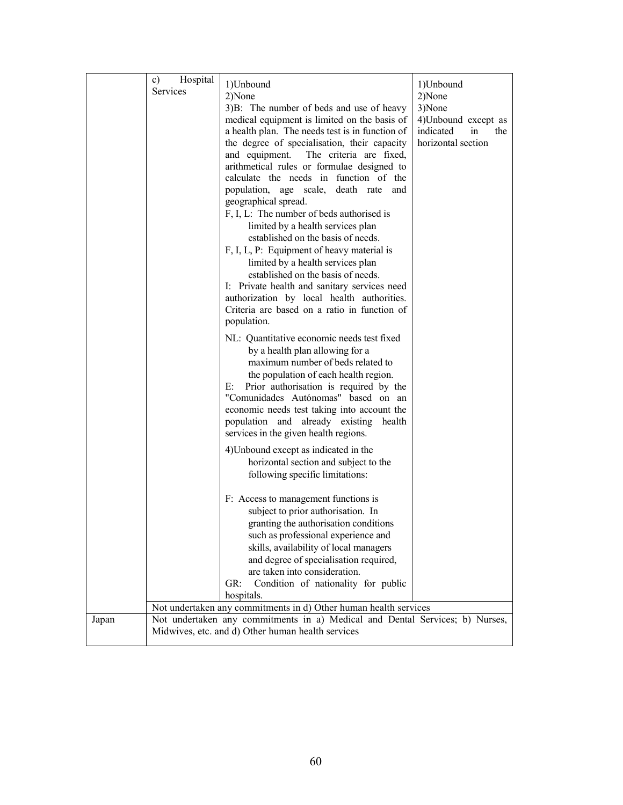|       | Hospital<br>c)<br><b>Services</b> | 1)Unbound<br>2)None<br>3)B: The number of beds and use of heavy<br>medical equipment is limited on the basis of<br>a health plan. The needs test is in function of<br>the degree of specialisation, their capacity<br>and equipment. The criteria are fixed,<br>arithmetical rules or formulae designed to<br>calculate the needs in function of the<br>population, age scale, death rate and<br>geographical spread.<br>F, I, L: The number of beds authorised is<br>limited by a health services plan<br>established on the basis of needs.<br>F, I, L, P: Equipment of heavy material is<br>limited by a health services plan<br>established on the basis of needs.<br>I: Private health and sanitary services need<br>authorization by local health authorities.<br>Criteria are based on a ratio in function of<br>population.<br>NL: Quantitative economic needs test fixed<br>by a health plan allowing for a<br>maximum number of beds related to<br>the population of each health region.<br>Prior authorisation is required by the<br>$E$ :<br>"Comunidades Autónomas" based on an<br>economic needs test taking into account the<br>population and already existing<br>health<br>services in the given health regions. | 1)Unbound<br>2)None<br>3)None<br>4) Unbound except as<br>indicated<br>in<br>the<br>horizontal section |
|-------|-----------------------------------|-----------------------------------------------------------------------------------------------------------------------------------------------------------------------------------------------------------------------------------------------------------------------------------------------------------------------------------------------------------------------------------------------------------------------------------------------------------------------------------------------------------------------------------------------------------------------------------------------------------------------------------------------------------------------------------------------------------------------------------------------------------------------------------------------------------------------------------------------------------------------------------------------------------------------------------------------------------------------------------------------------------------------------------------------------------------------------------------------------------------------------------------------------------------------------------------------------------------------------------|-------------------------------------------------------------------------------------------------------|
|       |                                   | 4) Unbound except as indicated in the<br>horizontal section and subject to the<br>following specific limitations:                                                                                                                                                                                                                                                                                                                                                                                                                                                                                                                                                                                                                                                                                                                                                                                                                                                                                                                                                                                                                                                                                                                 |                                                                                                       |
|       |                                   | F: Access to management functions is<br>subject to prior authorisation. In<br>granting the authorisation conditions<br>such as professional experience and<br>skills, availability of local managers<br>and degree of specialisation required,<br>are taken into consideration.<br>Condition of nationality for public<br>GR:<br>hospitals.                                                                                                                                                                                                                                                                                                                                                                                                                                                                                                                                                                                                                                                                                                                                                                                                                                                                                       |                                                                                                       |
| Japan |                                   | Not undertaken any commitments in d) Other human health services<br>Not undertaken any commitments in a) Medical and Dental Services; b) Nurses,                                                                                                                                                                                                                                                                                                                                                                                                                                                                                                                                                                                                                                                                                                                                                                                                                                                                                                                                                                                                                                                                                  |                                                                                                       |
|       |                                   | Midwives, etc. and d) Other human health services                                                                                                                                                                                                                                                                                                                                                                                                                                                                                                                                                                                                                                                                                                                                                                                                                                                                                                                                                                                                                                                                                                                                                                                 |                                                                                                       |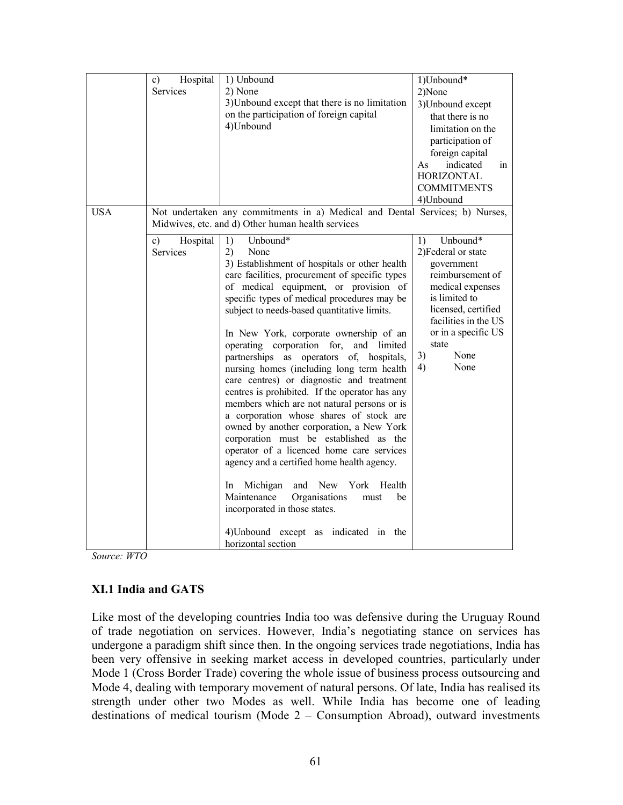|                                                                                                                                                                                                                                                                                                                                                                                                                                                                                                                                                                                                                                                                                                                                                                                                                                                                                                                                                                                                                                                                                                                                            | $\mathbf{c})$<br>Services | 1)Unbound*<br>2)None<br>3) Unbound except<br>that there is no<br>limitation on the<br>participation of<br>foreign capital<br>indicated<br>As<br>in<br><b>HORIZONTAL</b><br><b>COMMITMENTS</b><br>4)Unbound |
|--------------------------------------------------------------------------------------------------------------------------------------------------------------------------------------------------------------------------------------------------------------------------------------------------------------------------------------------------------------------------------------------------------------------------------------------------------------------------------------------------------------------------------------------------------------------------------------------------------------------------------------------------------------------------------------------------------------------------------------------------------------------------------------------------------------------------------------------------------------------------------------------------------------------------------------------------------------------------------------------------------------------------------------------------------------------------------------------------------------------------------------------|---------------------------|------------------------------------------------------------------------------------------------------------------------------------------------------------------------------------------------------------|
| Not undertaken any commitments in a) Medical and Dental Services; b) Nurses,<br><b>USA</b><br>Midwives, etc. and d) Other human health services                                                                                                                                                                                                                                                                                                                                                                                                                                                                                                                                                                                                                                                                                                                                                                                                                                                                                                                                                                                            |                           |                                                                                                                                                                                                            |
| 1)<br>Unbound*<br>Unbound*<br>1)<br>$\mathbf{c})$<br>Hospital<br>Services<br>2)<br>None<br>3) Establishment of hospitals or other health<br>government<br>care facilities, procurement of specific types<br>of medical equipment, or provision of<br>specific types of medical procedures may be<br>is limited to<br>subject to needs-based quantitative limits.<br>In New York, corporate ownership of an<br>state<br>operating corporation for, and limited<br>3)<br>None<br>partnerships as operators of,<br>hospitals.<br>4)<br>None<br>nursing homes (including long term health<br>care centres) or diagnostic and treatment<br>centres is prohibited. If the operator has any<br>members which are not natural persons or is<br>a corporation whose shares of stock are<br>owned by another corporation, a New York<br>corporation must be established as the<br>operator of a licenced home care services<br>agency and a certified home health agency.<br>New<br>Michigan<br>and<br>York<br>Health<br>In.<br>Maintenance<br>Organisations<br>be<br>must<br>incorporated in those states.<br>4) Unbound except as indicated in the |                           | 2) Federal or state<br>reimbursement of<br>medical expenses<br>licensed, certified<br>facilities in the US<br>or in a specific US                                                                          |

Source: WTO

#### XI.1 India and GATS

Like most of the developing countries India too was defensive during the Uruguay Round of trade negotiation on services. However, India's negotiating stance on services has undergone a paradigm shift since then. In the ongoing services trade negotiations, India has been very offensive in seeking market access in developed countries, particularly under Mode 1 (Cross Border Trade) covering the whole issue of business process outsourcing and Mode 4, dealing with temporary movement of natural persons. Of late, India has realised its strength under other two Modes as well. While India has become one of leading destinations of medical tourism (Mode 2 – Consumption Abroad), outward investments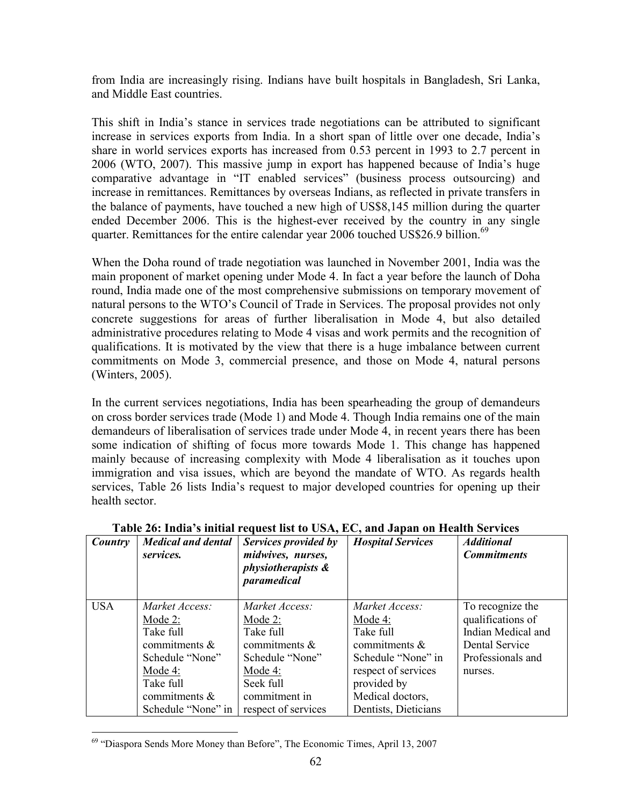from India are increasingly rising. Indians have built hospitals in Bangladesh, Sri Lanka, and Middle East countries.

This shift in India's stance in services trade negotiations can be attributed to significant increase in services exports from India. In a short span of little over one decade, India's share in world services exports has increased from 0.53 percent in 1993 to 2.7 percent in 2006 (WTO, 2007). This massive jump in export has happened because of India's huge comparative advantage in "IT enabled services" (business process outsourcing) and increase in remittances. Remittances by overseas Indians, as reflected in private transfers in the balance of payments, have touched a new high of US\$8,145 million during the quarter ended December 2006. This is the highest-ever received by the country in any single quarter. Remittances for the entire calendar year 2006 touched US\$26.9 billion.<sup>69</sup>

When the Doha round of trade negotiation was launched in November 2001, India was the main proponent of market opening under Mode 4. In fact a year before the launch of Doha round, India made one of the most comprehensive submissions on temporary movement of natural persons to the WTO's Council of Trade in Services. The proposal provides not only concrete suggestions for areas of further liberalisation in Mode 4, but also detailed administrative procedures relating to Mode 4 visas and work permits and the recognition of qualifications. It is motivated by the view that there is a huge imbalance between current commitments on Mode 3, commercial presence, and those on Mode 4, natural persons (Winters, 2005).

In the current services negotiations, India has been spearheading the group of demandeurs on cross border services trade (Mode 1) and Mode 4. Though India remains one of the main demandeurs of liberalisation of services trade under Mode 4, in recent years there has been some indication of shifting of focus more towards Mode 1. This change has happened mainly because of increasing complexity with Mode 4 liberalisation as it touches upon immigration and visa issues, which are beyond the mandate of WTO. As regards health services, Table 26 lists India's request to major developed countries for opening up their health sector.

| Country    | <b>Medical and dental</b><br>services.                                                                                                          | Services provided by<br>midwives, nurses,<br><i>physiotherapists &amp;</i><br>paramedical                                                           | <b>Hospital Services</b>                                                                                                                                              | <b>Additional</b><br><b>Commitments</b>                                                                       |
|------------|-------------------------------------------------------------------------------------------------------------------------------------------------|-----------------------------------------------------------------------------------------------------------------------------------------------------|-----------------------------------------------------------------------------------------------------------------------------------------------------------------------|---------------------------------------------------------------------------------------------------------------|
| <b>USA</b> | Market Access:<br>Mode $2$ :<br>Take full<br>commitments $\&$<br>Schedule "None"<br>Mode 4:<br>Take full<br>commitments &<br>Schedule "None" in | Market Access:<br>Mode $2$ :<br>Take full<br>commitments $\&$<br>Schedule "None"<br>Mode $4$ :<br>Seek full<br>commitment in<br>respect of services | Market Access:<br>Mode $4$ :<br>Take full<br>commitments $\&$<br>Schedule "None" in<br>respect of services<br>provided by<br>Medical doctors,<br>Dentists, Dieticians | To recognize the<br>qualifications of<br>Indian Medical and<br>Dental Service<br>Professionals and<br>nurses. |

### Table 26: India's initial request list to USA, EC, and Japan on Health Services

<sup>&</sup>lt;sup>69</sup> "Diaspora Sends More Money than Before", The Economic Times, April 13, 2007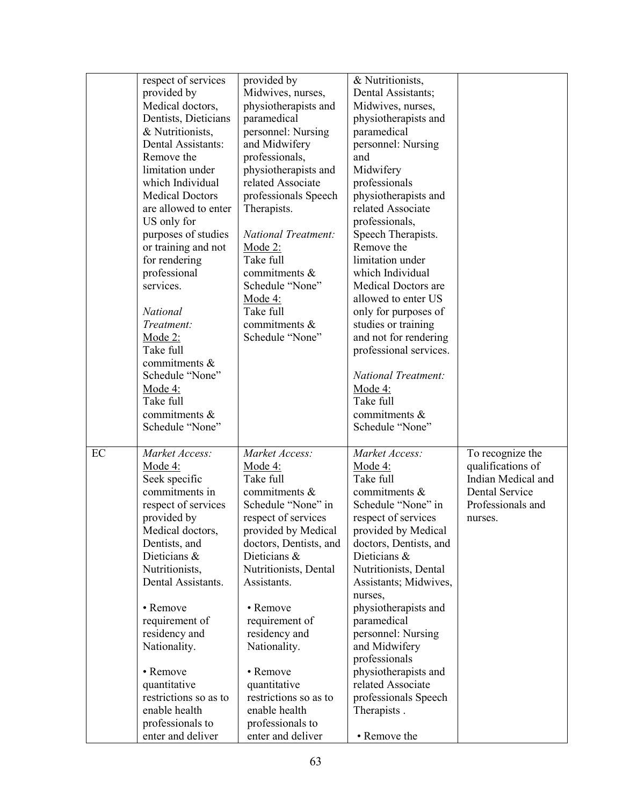|    | respect of services<br>provided by<br>Medical doctors,<br>Dentists, Dieticians<br>& Nutritionists,<br>Dental Assistants:<br>Remove the<br>limitation under<br>which Individual<br><b>Medical Doctors</b><br>are allowed to enter<br>US only for<br>purposes of studies<br>or training and not<br>for rendering<br>professional<br>services.<br>National<br>Treatment:<br>Mode 2:<br>Take full<br>commitments &<br>Schedule "None"<br><u>Mode 4:</u><br>Take full<br>commitments &<br>Schedule "None" | provided by<br>Midwives, nurses,<br>physiotherapists and<br>paramedical<br>personnel: Nursing<br>and Midwifery<br>professionals,<br>physiotherapists and<br>related Associate<br>professionals Speech<br>Therapists.<br>National Treatment:<br>Mode <sub>2:</sub><br>Take full<br>commitments &<br>Schedule "None"<br><u>Mode 4:</u><br>Take full<br>commitments &<br>Schedule "None"       | & Nutritionists,<br>Dental Assistants;<br>Midwives, nurses,<br>physiotherapists and<br>paramedical<br>personnel: Nursing<br>and<br>Midwifery<br>professionals<br>physiotherapists and<br>related Associate<br>professionals,<br>Speech Therapists.<br>Remove the<br>limitation under<br>which Individual<br>Medical Doctors are<br>allowed to enter US<br>only for purposes of<br>studies or training<br>and not for rendering<br>professional services.<br><b>National Treatment:</b><br>Mode $4$ :<br>Take full<br>commitments &<br>Schedule "None" |                                                                                                               |
|----|------------------------------------------------------------------------------------------------------------------------------------------------------------------------------------------------------------------------------------------------------------------------------------------------------------------------------------------------------------------------------------------------------------------------------------------------------------------------------------------------------|---------------------------------------------------------------------------------------------------------------------------------------------------------------------------------------------------------------------------------------------------------------------------------------------------------------------------------------------------------------------------------------------|-------------------------------------------------------------------------------------------------------------------------------------------------------------------------------------------------------------------------------------------------------------------------------------------------------------------------------------------------------------------------------------------------------------------------------------------------------------------------------------------------------------------------------------------------------|---------------------------------------------------------------------------------------------------------------|
| EC | Market Access:<br>Mode 4:<br>Seek specific<br>commitments in<br>respect of services<br>provided by<br>Medical doctors,<br>Dentists, and<br>Dieticians &<br>Nutritionists,<br>Dental Assistants.<br>• Remove<br>requirement of<br>residency and<br>Nationality.<br>• Remove<br>quantitative<br>restrictions so as to<br>enable health<br>professionals to<br>enter and deliver                                                                                                                        | Market Access:<br>Mode 4:<br>Take full<br>commitments &<br>Schedule "None" in<br>respect of services<br>provided by Medical<br>doctors, Dentists, and<br>Dieticians &<br>Nutritionists, Dental<br>Assistants.<br>• Remove<br>requirement of<br>residency and<br>Nationality.<br>• Remove<br>quantitative<br>restrictions so as to<br>enable health<br>professionals to<br>enter and deliver | Market Access:<br>Mode 4:<br>Take full<br>commitments &<br>Schedule "None" in<br>respect of services<br>provided by Medical<br>doctors, Dentists, and<br>Dieticians &<br>Nutritionists, Dental<br>Assistants; Midwives,<br>nurses,<br>physiotherapists and<br>paramedical<br>personnel: Nursing<br>and Midwifery<br>professionals<br>physiotherapists and<br>related Associate<br>professionals Speech<br>Therapists.<br>• Remove the                                                                                                                 | To recognize the<br>qualifications of<br>Indian Medical and<br>Dental Service<br>Professionals and<br>nurses. |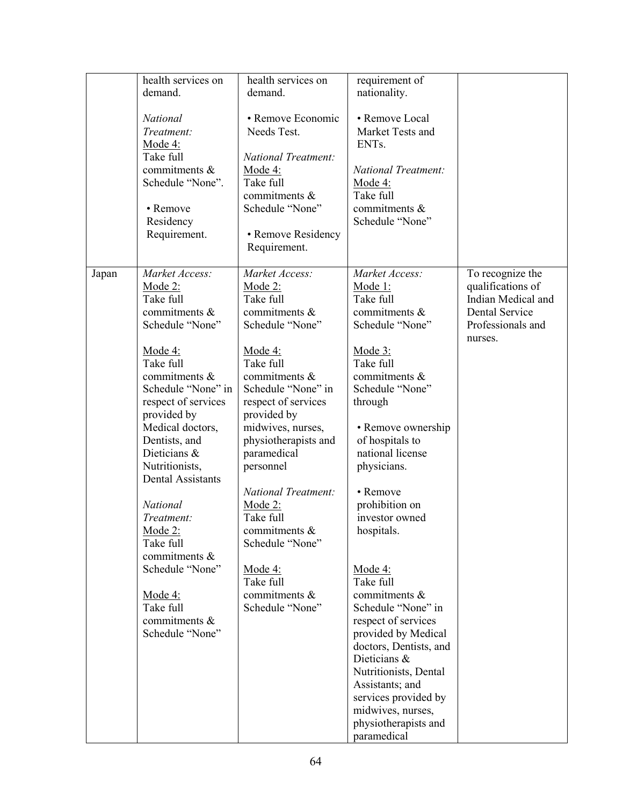|       | health services on       | health services on         | requirement of         |                    |
|-------|--------------------------|----------------------------|------------------------|--------------------|
|       | demand.                  | demand.                    | nationality.           |                    |
|       |                          |                            |                        |                    |
|       |                          |                            |                        |                    |
|       | National                 | • Remove Economic          | • Remove Local         |                    |
|       | Treatment:               | Needs Test.                | Market Tests and       |                    |
|       | <u>Mode 4:</u>           |                            | ENTs.                  |                    |
|       | Take full                | <b>National Treatment:</b> |                        |                    |
|       | commitments &            | Mode $4$ :                 | National Treatment:    |                    |
|       | Schedule "None".         | Take full                  | <u>Mode 4:</u>         |                    |
|       |                          | commitments &              | Take full              |                    |
|       | • Remove                 | Schedule "None"            | commitments &          |                    |
|       |                          |                            |                        |                    |
|       | Residency                |                            | Schedule "None"        |                    |
|       | Requirement.             | • Remove Residency         |                        |                    |
|       |                          | Requirement.               |                        |                    |
|       |                          |                            |                        |                    |
| Japan | Market Access:           | Market Access:             | Market Access:         | To recognize the   |
|       | <u>Mode 2:</u>           | Mode 2:                    | Mode 1:                | qualifications of  |
|       | Take full                | Take full                  | Take full              | Indian Medical and |
|       | commitments &            | commitments &              | commitments &          | Dental Service     |
|       |                          |                            |                        |                    |
|       | Schedule "None"          | Schedule "None"            | Schedule "None"        | Professionals and  |
|       |                          |                            |                        | nurses.            |
|       | Mode 4:                  | Mode 4:                    | Mode 3:                |                    |
|       | Take full                | Take full                  | Take full              |                    |
|       | commitments &            | commitments &              | commitments &          |                    |
|       | Schedule "None" in       | Schedule "None" in         | Schedule "None"        |                    |
|       | respect of services      | respect of services        | through                |                    |
|       | provided by              | provided by                |                        |                    |
|       |                          |                            |                        |                    |
|       | Medical doctors,         | midwives, nurses,          | • Remove ownership     |                    |
|       | Dentists, and            | physiotherapists and       | of hospitals to        |                    |
|       | Dieticians &             | paramedical                | national license       |                    |
|       | Nutritionists,           | personnel                  | physicians.            |                    |
|       | <b>Dental Assistants</b> |                            |                        |                    |
|       |                          | <b>National Treatment:</b> | • Remove               |                    |
|       | <b>National</b>          | Mode $2$ :                 | prohibition on         |                    |
|       | Treatment:               | Take full                  | investor owned         |                    |
|       | <u>Mode 2:</u>           | commitments $\&$           | hospitals.             |                    |
|       | Take full                | Schedule "None"            |                        |                    |
|       | commitments &            |                            |                        |                    |
|       |                          |                            |                        |                    |
|       | Schedule "None"          | Mode 4:                    | Mode 4:                |                    |
|       |                          | Take full                  | Take full              |                    |
|       | Mode $4$ :               | commitments &              | commitments &          |                    |
|       | Take full                | Schedule "None"            | Schedule "None" in     |                    |
|       | commitments &            |                            | respect of services    |                    |
|       | Schedule "None"          |                            | provided by Medical    |                    |
|       |                          |                            | doctors, Dentists, and |                    |
|       |                          |                            | Dieticians &           |                    |
|       |                          |                            | Nutritionists, Dental  |                    |
|       |                          |                            |                        |                    |
|       |                          |                            | Assistants; and        |                    |
|       |                          |                            | services provided by   |                    |
|       |                          |                            | midwives, nurses,      |                    |
|       |                          |                            | physiotherapists and   |                    |
|       |                          |                            | paramedical            |                    |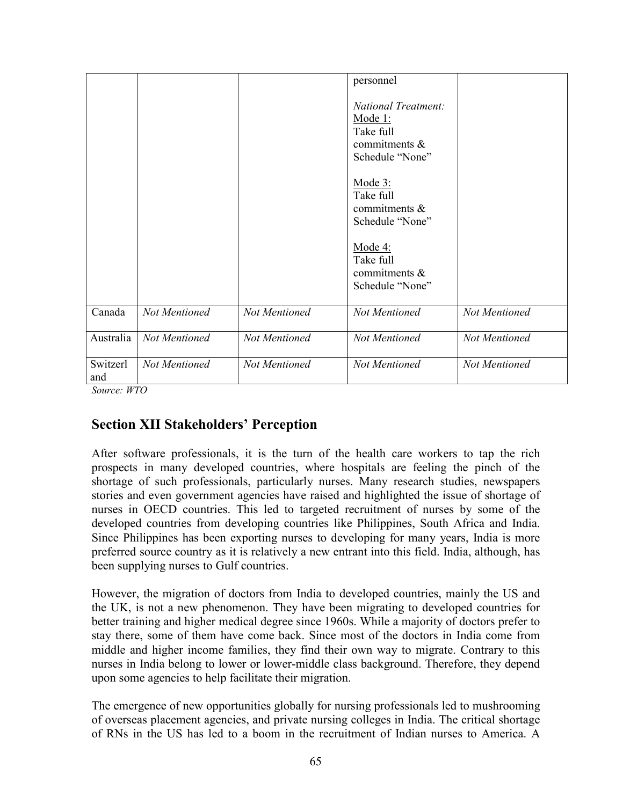|                 |               |               | personnel<br><b>National Treatment:</b><br>Mode 1:<br>Take full<br>commitments &<br>Schedule "None" |               |
|-----------------|---------------|---------------|-----------------------------------------------------------------------------------------------------|---------------|
|                 |               |               | Mode $3$ :<br>Take full<br>commitments &<br>Schedule "None"                                         |               |
|                 |               |               | Mode $4$ :<br>Take full<br>commitments &<br>Schedule "None"                                         |               |
| Canada          | Not Mentioned | Not Mentioned | Not Mentioned                                                                                       | Not Mentioned |
| Australia       | Not Mentioned | Not Mentioned | Not Mentioned                                                                                       | Not Mentioned |
| Switzerl<br>and | Not Mentioned | Not Mentioned | Not Mentioned                                                                                       | Not Mentioned |

Source: WTO

# Section XII Stakeholders' Perception

After software professionals, it is the turn of the health care workers to tap the rich prospects in many developed countries, where hospitals are feeling the pinch of the shortage of such professionals, particularly nurses. Many research studies, newspapers stories and even government agencies have raised and highlighted the issue of shortage of nurses in OECD countries. This led to targeted recruitment of nurses by some of the developed countries from developing countries like Philippines, South Africa and India. Since Philippines has been exporting nurses to developing for many years, India is more preferred source country as it is relatively a new entrant into this field. India, although, has been supplying nurses to Gulf countries.

However, the migration of doctors from India to developed countries, mainly the US and the UK, is not a new phenomenon. They have been migrating to developed countries for better training and higher medical degree since 1960s. While a majority of doctors prefer to stay there, some of them have come back. Since most of the doctors in India come from middle and higher income families, they find their own way to migrate. Contrary to this nurses in India belong to lower or lower-middle class background. Therefore, they depend upon some agencies to help facilitate their migration.

The emergence of new opportunities globally for nursing professionals led to mushrooming of overseas placement agencies, and private nursing colleges in India. The critical shortage of RNs in the US has led to a boom in the recruitment of Indian nurses to America. A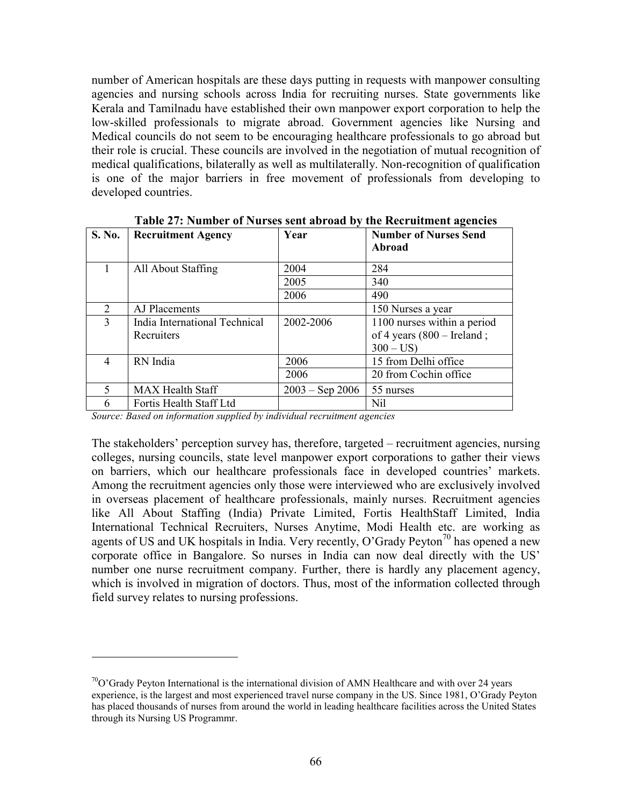number of American hospitals are these days putting in requests with manpower consulting agencies and nursing schools across India for recruiting nurses. State governments like Kerala and Tamilnadu have established their own manpower export corporation to help the low-skilled professionals to migrate abroad. Government agencies like Nursing and Medical councils do not seem to be encouraging healthcare professionals to go abroad but their role is crucial. These councils are involved in the negotiation of mutual recognition of medical qualifications, bilaterally as well as multilaterally. Non-recognition of qualification is one of the major barriers in free movement of professionals from developing to developed countries.

| <b>S. No.</b>  | <b>Recruitment Agency</b>     | Year              | <b>Number of Nurses Send</b><br>Abroad |
|----------------|-------------------------------|-------------------|----------------------------------------|
|                | All About Staffing            | 2004              | 284                                    |
|                |                               | 2005              | 340                                    |
|                |                               | 2006              | 490                                    |
| $\overline{2}$ | AJ Placements                 |                   | 150 Nurses a year                      |
| 3              | India International Technical | 2002-2006         | 1100 nurses within a period            |
|                | Recruiters                    |                   | of 4 years $(800 - I$ reland;          |
|                |                               |                   | $300 - US$                             |
| 4              | RN India                      | 2006              | 15 from Delhi office                   |
|                |                               | 2006              | 20 from Cochin office                  |
| 5              | <b>MAX Health Staff</b>       | $2003 -$ Sep 2006 | 55 nurses                              |
| 6              | Fortis Health Staff Ltd       |                   | Nil                                    |

Table 27: Number of Nurses sent abroad by the Recruitment agencies

Source: Based on information supplied by individual recruitment agencies

 $\overline{a}$ 

The stakeholders' perception survey has, therefore, targeted – recruitment agencies, nursing colleges, nursing councils, state level manpower export corporations to gather their views on barriers, which our healthcare professionals face in developed countries' markets. Among the recruitment agencies only those were interviewed who are exclusively involved in overseas placement of healthcare professionals, mainly nurses. Recruitment agencies like All About Staffing (India) Private Limited, Fortis HealthStaff Limited, India International Technical Recruiters, Nurses Anytime, Modi Health etc. are working as agents of US and UK hospitals in India. Very recently, O'Grady Peyton<sup>70</sup> has opened a new corporate office in Bangalore. So nurses in India can now deal directly with the US' number one nurse recruitment company. Further, there is hardly any placement agency, which is involved in migration of doctors. Thus, most of the information collected through field survey relates to nursing professions.

 $70^{\circ}$ O'Grady Peyton International is the international division of AMN Healthcare and with over 24 years experience, is the largest and most experienced travel nurse company in the US. Since 1981, O'Grady Peyton has placed thousands of nurses from around the world in leading healthcare facilities across the United States through its Nursing US Programmr.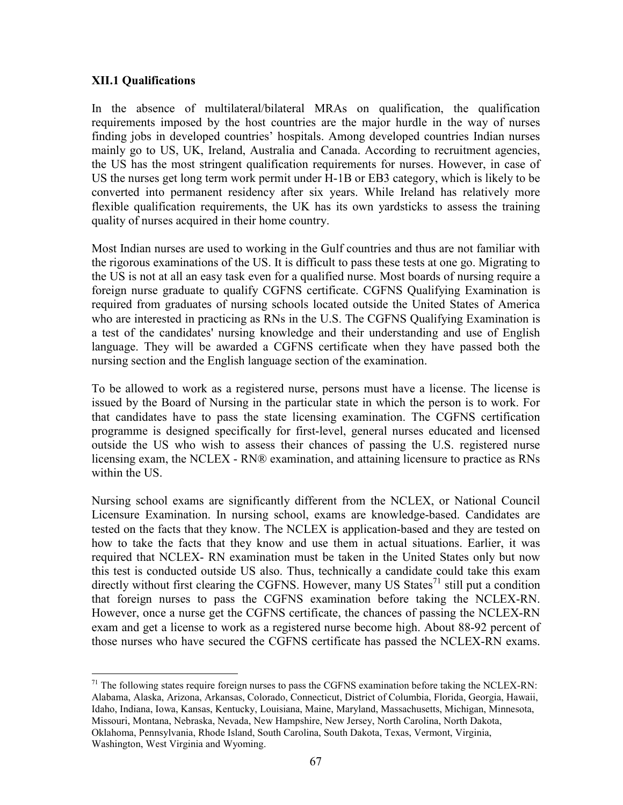#### XII.1 Qualifications

In the absence of multilateral/bilateral MRAs on qualification, the qualification requirements imposed by the host countries are the major hurdle in the way of nurses finding jobs in developed countries' hospitals. Among developed countries Indian nurses mainly go to US, UK, Ireland, Australia and Canada. According to recruitment agencies, the US has the most stringent qualification requirements for nurses. However, in case of US the nurses get long term work permit under H-1B or EB3 category, which is likely to be converted into permanent residency after six years. While Ireland has relatively more flexible qualification requirements, the UK has its own yardsticks to assess the training quality of nurses acquired in their home country.

Most Indian nurses are used to working in the Gulf countries and thus are not familiar with the rigorous examinations of the US. It is difficult to pass these tests at one go. Migrating to the US is not at all an easy task even for a qualified nurse. Most boards of nursing require a foreign nurse graduate to qualify CGFNS certificate. CGFNS Qualifying Examination is required from graduates of nursing schools located outside the United States of America who are interested in practicing as RNs in the U.S. The CGFNS Qualifying Examination is a test of the candidates' nursing knowledge and their understanding and use of English language. They will be awarded a CGFNS certificate when they have passed both the nursing section and the English language section of the examination.

To be allowed to work as a registered nurse, persons must have a license. The license is issued by the Board of Nursing in the particular state in which the person is to work. For that candidates have to pass the state licensing examination. The CGFNS certification programme is designed specifically for first-level, general nurses educated and licensed outside the US who wish to assess their chances of passing the U.S. registered nurse licensing exam, the NCLEX - RN® examination, and attaining licensure to practice as RNs within the US.

Nursing school exams are significantly different from the NCLEX, or National Council Licensure Examination. In nursing school, exams are knowledge-based. Candidates are tested on the facts that they know. The NCLEX is application-based and they are tested on how to take the facts that they know and use them in actual situations. Earlier, it was required that NCLEX- RN examination must be taken in the United States only but now this test is conducted outside US also. Thus, technically a candidate could take this exam directly without first clearing the CGFNS. However, many US States<sup>71</sup> still put a condition that foreign nurses to pass the CGFNS examination before taking the NCLEX-RN. However, once a nurse get the CGFNS certificate, the chances of passing the NCLEX-RN exam and get a license to work as a registered nurse become high. About 88-92 percent of those nurses who have secured the CGFNS certificate has passed the NCLEX-RN exams.

 $\overline{a}$  $71$  The following states require foreign nurses to pass the CGFNS examination before taking the NCLEX-RN: Alabama, Alaska, Arizona, Arkansas, Colorado, Connecticut, District of Columbia, Florida, Georgia, Hawaii, Idaho, Indiana, Iowa, Kansas, Kentucky, Louisiana, Maine, Maryland, Massachusetts, Michigan, Minnesota, Missouri, Montana, Nebraska, Nevada, New Hampshire, New Jersey, North Carolina, North Dakota, Oklahoma, Pennsylvania, Rhode Island, South Carolina, South Dakota, Texas, Vermont, Virginia, Washington, West Virginia and Wyoming.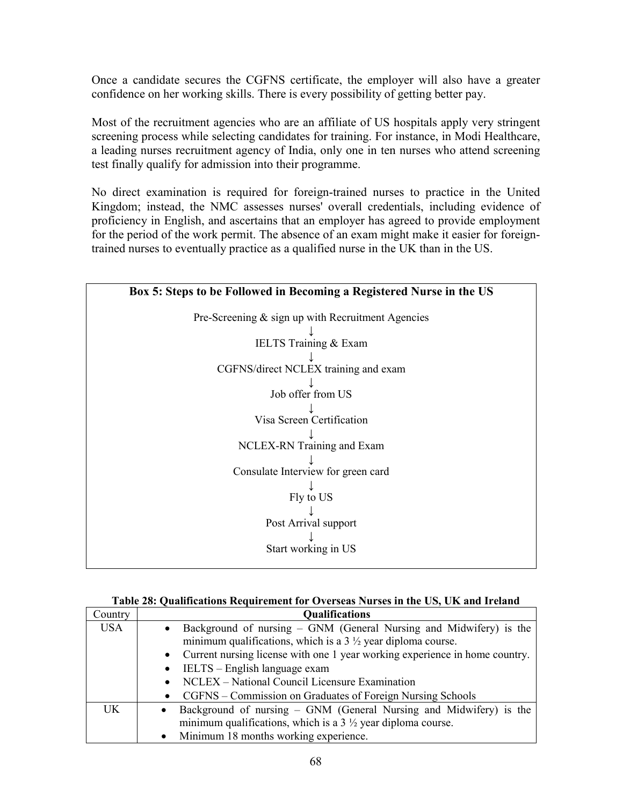Once a candidate secures the CGFNS certificate, the employer will also have a greater confidence on her working skills. There is every possibility of getting better pay.

Most of the recruitment agencies who are an affiliate of US hospitals apply very stringent screening process while selecting candidates for training. For instance, in Modi Healthcare, a leading nurses recruitment agency of India, only one in ten nurses who attend screening test finally qualify for admission into their programme.

No direct examination is required for foreign-trained nurses to practice in the United Kingdom; instead, the NMC assesses nurses' overall credentials, including evidence of proficiency in English, and ascertains that an employer has agreed to provide employment for the period of the work permit. The absence of an exam might make it easier for foreigntrained nurses to eventually practice as a qualified nurse in the UK than in the US.

| Box 5: Steps to be Followed in Becoming a Registered Nurse in the US |  |  |  |  |
|----------------------------------------------------------------------|--|--|--|--|
| Pre-Screening $\&$ sign up with Recruitment Agencies                 |  |  |  |  |
| <b>IELTS</b> Training & Exam                                         |  |  |  |  |
| CGFNS/direct NCLEX training and exam                                 |  |  |  |  |
| Job offer from US                                                    |  |  |  |  |
| Visa Screen Certification                                            |  |  |  |  |
| NCLEX-RN Training and Exam                                           |  |  |  |  |
| Consulate Interview for green card                                   |  |  |  |  |
| Fly to US                                                            |  |  |  |  |
| Post Arrival support                                                 |  |  |  |  |
| Start working in US                                                  |  |  |  |  |
|                                                                      |  |  |  |  |

| Table 28: Qualifications Requirement for Overseas Nurses in the US, UK and Ireland |  |  |
|------------------------------------------------------------------------------------|--|--|
|                                                                                    |  |  |

| Country    | <b>Qualifications</b>                                                                    |  |  |  |  |  |
|------------|------------------------------------------------------------------------------------------|--|--|--|--|--|
| <b>USA</b> | Background of nursing – GNM (General Nursing and Midwifery) is the<br>$\bullet$          |  |  |  |  |  |
|            | minimum qualifications, which is a $3\frac{1}{2}$ year diploma course.                   |  |  |  |  |  |
|            | Current nursing license with one 1 year working experience in home country.<br>$\bullet$ |  |  |  |  |  |
|            | IELTS – English language exam<br>$\bullet$                                               |  |  |  |  |  |
|            | NCLEX – National Council Licensure Examination<br>$\bullet$                              |  |  |  |  |  |
|            | CGFNS – Commission on Graduates of Foreign Nursing Schools<br>$\bullet$                  |  |  |  |  |  |
| UK         | Background of nursing – GNM (General Nursing and Midwifery) is the                       |  |  |  |  |  |
|            | minimum qualifications, which is a $3\frac{1}{2}$ year diploma course.                   |  |  |  |  |  |
|            | Minimum 18 months working experience.<br>$\bullet$                                       |  |  |  |  |  |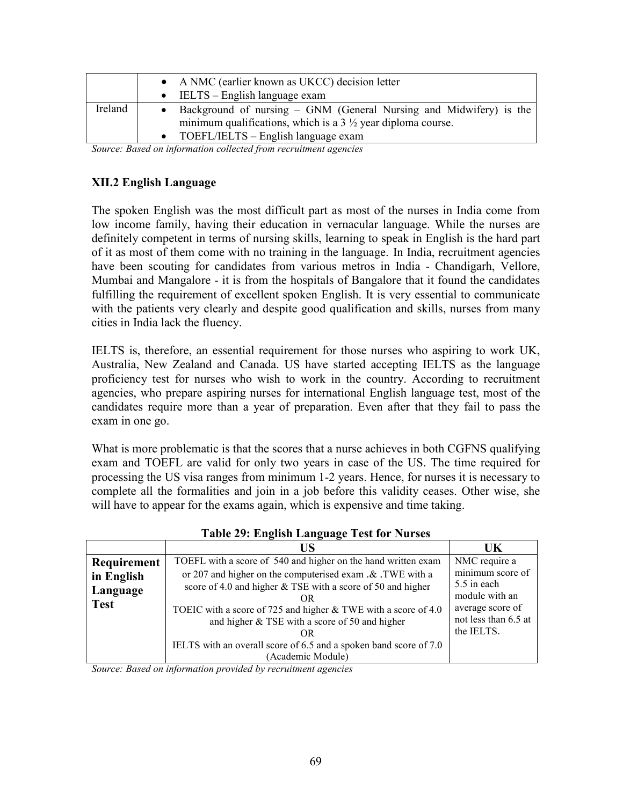|         | • A NMC (earlier known as UKCC) decision letter                                                                                              |  |  |  |  |  |
|---------|----------------------------------------------------------------------------------------------------------------------------------------------|--|--|--|--|--|
|         | $\bullet$ IELTS – English language exam                                                                                                      |  |  |  |  |  |
| Ireland | Background of nursing – GNM (General Nursing and Midwifery) is the<br>minimum qualifications, which is a $3\frac{1}{2}$ year diploma course. |  |  |  |  |  |
|         | $\bullet$ TOEFL/IELTS – English language exam                                                                                                |  |  |  |  |  |

Source: Based on information collected from recruitment agencies

#### XII.2 English Language

The spoken English was the most difficult part as most of the nurses in India come from low income family, having their education in vernacular language. While the nurses are definitely competent in terms of nursing skills, learning to speak in English is the hard part of it as most of them come with no training in the language. In India, recruitment agencies have been scouting for candidates from various metros in India - Chandigarh, Vellore, Mumbai and Mangalore - it is from the hospitals of Bangalore that it found the candidates fulfilling the requirement of excellent spoken English. It is very essential to communicate with the patients very clearly and despite good qualification and skills, nurses from many cities in India lack the fluency.

IELTS is, therefore, an essential requirement for those nurses who aspiring to work UK, Australia, New Zealand and Canada. US have started accepting IELTS as the language proficiency test for nurses who wish to work in the country. According to recruitment agencies, who prepare aspiring nurses for international English language test, most of the candidates require more than a year of preparation. Even after that they fail to pass the exam in one go.

What is more problematic is that the scores that a nurse achieves in both CGFNS qualifying exam and TOEFL are valid for only two years in case of the US. The time required for processing the US visa ranges from minimum 1-2 years. Hence, for nurses it is necessary to complete all the formalities and join in a job before this validity ceases. Other wise, she will have to appear for the exams again, which is expensive and time taking.

|             | US                                                                | UK                            |
|-------------|-------------------------------------------------------------------|-------------------------------|
| Requirement | TOEFL with a score of 540 and higher on the hand written exam     | NMC require a                 |
| in English  | or 207 and higher on the computerised exam .& .TWE with a         | minimum score of              |
| Language    | score of 4.0 and higher & TSE with a score of 50 and higher       | 5.5 in each<br>module with an |
| <b>Test</b> | OR                                                                | average score of              |
|             | TOEIC with a score of 725 and higher & TWE with a score of 4.0    | not less than 6.5 at          |
|             | and higher $&$ TSE with a score of 50 and higher<br>OR            | the IELTS.                    |
|             | IELTS with an overall score of 6.5 and a spoken band score of 7.0 |                               |
|             | (Academic Module)                                                 |                               |

Table 29: English Language Test for Nurses

Source: Based on information provided by recruitment agencies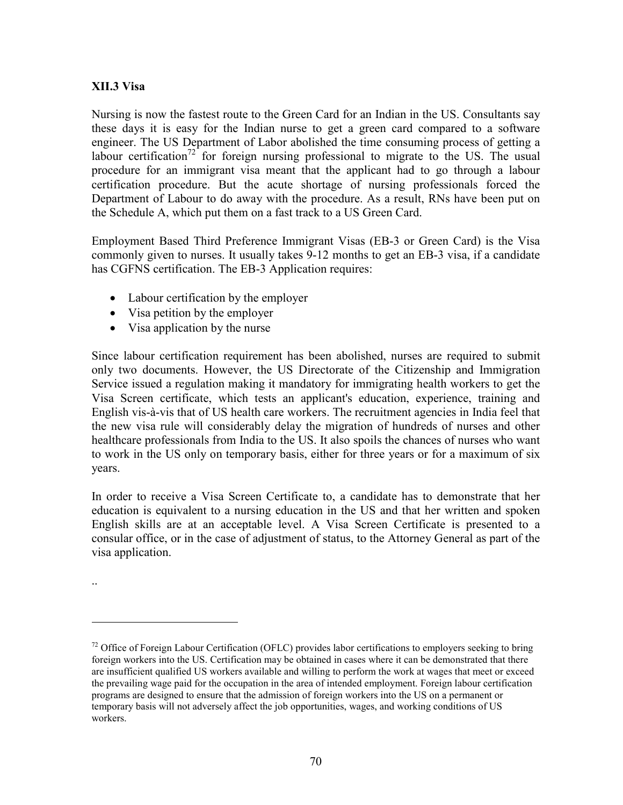#### XII.3 Visa

Nursing is now the fastest route to the Green Card for an Indian in the US. Consultants say these days it is easy for the Indian nurse to get a green card compared to a software engineer. The US Department of Labor abolished the time consuming process of getting a labour certification<sup>72</sup> for foreign nursing professional to migrate to the US. The usual procedure for an immigrant visa meant that the applicant had to go through a labour certification procedure. But the acute shortage of nursing professionals forced the Department of Labour to do away with the procedure. As a result, RNs have been put on the Schedule A, which put them on a fast track to a US Green Card.

Employment Based Third Preference Immigrant Visas (EB-3 or Green Card) is the Visa commonly given to nurses. It usually takes 9-12 months to get an EB-3 visa, if a candidate has CGFNS certification. The EB-3 Application requires:

- Labour certification by the employer
- Visa petition by the employer
- Visa application by the nurse

Since labour certification requirement has been abolished, nurses are required to submit only two documents. However, the US Directorate of the Citizenship and Immigration Service issued a regulation making it mandatory for immigrating health workers to get the Visa Screen certificate, which tests an applicant's education, experience, training and English vis-à-vis that of US health care workers. The recruitment agencies in India feel that the new visa rule will considerably delay the migration of hundreds of nurses and other healthcare professionals from India to the US. It also spoils the chances of nurses who want to work in the US only on temporary basis, either for three years or for a maximum of six years.

In order to receive a Visa Screen Certificate to, a candidate has to demonstrate that her education is equivalent to a nursing education in the US and that her written and spoken English skills are at an acceptable level. A Visa Screen Certificate is presented to a consular office, or in the case of adjustment of status, to the Attorney General as part of the visa application.

..

<sup>&</sup>lt;sup>72</sup> Office of Foreign Labour Certification (OFLC) provides labor certifications to employers seeking to bring foreign workers into the US. Certification may be obtained in cases where it can be demonstrated that there are insufficient qualified US workers available and willing to perform the work at wages that meet or exceed the prevailing wage paid for the occupation in the area of intended employment. Foreign labour certification programs are designed to ensure that the admission of foreign workers into the US on a permanent or temporary basis will not adversely affect the job opportunities, wages, and working conditions of US workers.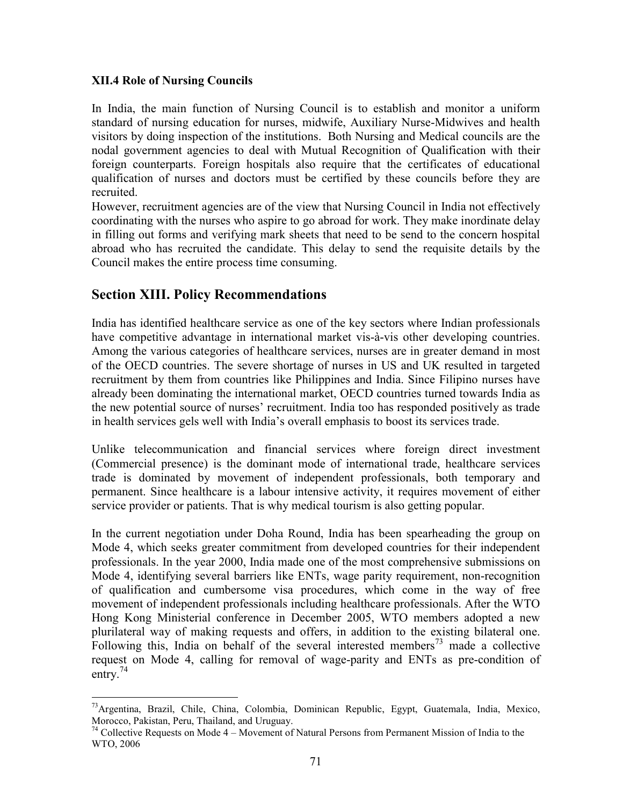#### XII.4 Role of Nursing Councils

In India, the main function of Nursing Council is to establish and monitor a uniform standard of nursing education for nurses, midwife, Auxiliary Nurse-Midwives and health visitors by doing inspection of the institutions. Both Nursing and Medical councils are the nodal government agencies to deal with Mutual Recognition of Qualification with their foreign counterparts. Foreign hospitals also require that the certificates of educational qualification of nurses and doctors must be certified by these councils before they are recruited.

However, recruitment agencies are of the view that Nursing Council in India not effectively coordinating with the nurses who aspire to go abroad for work. They make inordinate delay in filling out forms and verifying mark sheets that need to be send to the concern hospital abroad who has recruited the candidate. This delay to send the requisite details by the Council makes the entire process time consuming.

# Section XIII. Policy Recommendations

 $\overline{a}$ 

India has identified healthcare service as one of the key sectors where Indian professionals have competitive advantage in international market vis-à-vis other developing countries. Among the various categories of healthcare services, nurses are in greater demand in most of the OECD countries. The severe shortage of nurses in US and UK resulted in targeted recruitment by them from countries like Philippines and India. Since Filipino nurses have already been dominating the international market, OECD countries turned towards India as the new potential source of nurses' recruitment. India too has responded positively as trade in health services gels well with India's overall emphasis to boost its services trade.

Unlike telecommunication and financial services where foreign direct investment (Commercial presence) is the dominant mode of international trade, healthcare services trade is dominated by movement of independent professionals, both temporary and permanent. Since healthcare is a labour intensive activity, it requires movement of either service provider or patients. That is why medical tourism is also getting popular.

In the current negotiation under Doha Round, India has been spearheading the group on Mode 4, which seeks greater commitment from developed countries for their independent professionals. In the year 2000, India made one of the most comprehensive submissions on Mode 4, identifying several barriers like ENTs, wage parity requirement, non-recognition of qualification and cumbersome visa procedures, which come in the way of free movement of independent professionals including healthcare professionals. After the WTO Hong Kong Ministerial conference in December 2005, WTO members adopted a new plurilateral way of making requests and offers, in addition to the existing bilateral one. Following this, India on behalf of the several interested members<sup>73</sup> made a collective request on Mode 4, calling for removal of wage-parity and ENTs as pre-condition of entry. $74$ 

<sup>&</sup>lt;sup>73</sup>Argentina, Brazil, Chile, China, Colombia, Dominican Republic, Egypt, Guatemala, India, Mexico, Morocco, Pakistan, Peru, Thailand, and Uruguay.

 $74$  Collective Requests on Mode 4 – Movement of Natural Persons from Permanent Mission of India to the WTO, 2006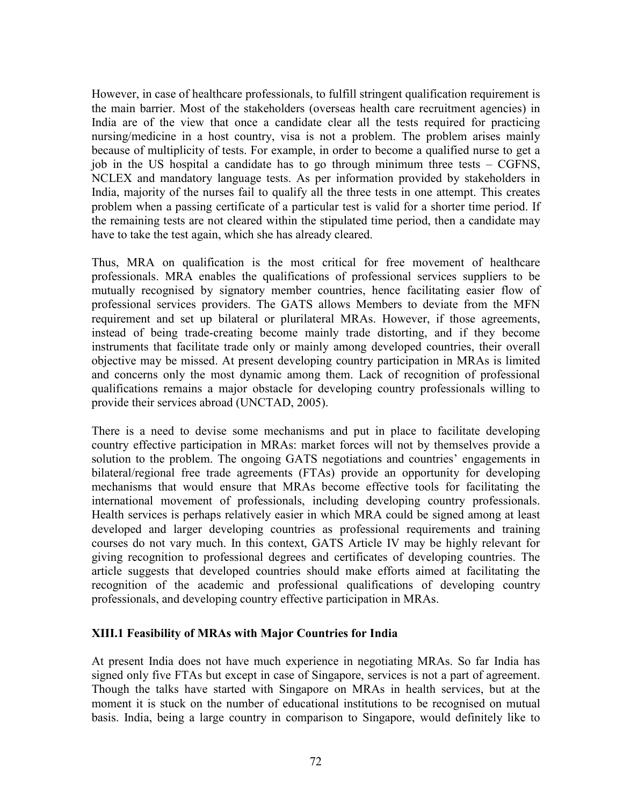However, in case of healthcare professionals, to fulfill stringent qualification requirement is the main barrier. Most of the stakeholders (overseas health care recruitment agencies) in India are of the view that once a candidate clear all the tests required for practicing nursing/medicine in a host country, visa is not a problem. The problem arises mainly because of multiplicity of tests. For example, in order to become a qualified nurse to get a job in the US hospital a candidate has to go through minimum three tests – CGFNS, NCLEX and mandatory language tests. As per information provided by stakeholders in India, majority of the nurses fail to qualify all the three tests in one attempt. This creates problem when a passing certificate of a particular test is valid for a shorter time period. If the remaining tests are not cleared within the stipulated time period, then a candidate may have to take the test again, which she has already cleared.

Thus, MRA on qualification is the most critical for free movement of healthcare professionals. MRA enables the qualifications of professional services suppliers to be mutually recognised by signatory member countries, hence facilitating easier flow of professional services providers. The GATS allows Members to deviate from the MFN requirement and set up bilateral or plurilateral MRAs. However, if those agreements, instead of being trade-creating become mainly trade distorting, and if they become instruments that facilitate trade only or mainly among developed countries, their overall objective may be missed. At present developing country participation in MRAs is limited and concerns only the most dynamic among them. Lack of recognition of professional qualifications remains a major obstacle for developing country professionals willing to provide their services abroad (UNCTAD, 2005).

There is a need to devise some mechanisms and put in place to facilitate developing country effective participation in MRAs: market forces will not by themselves provide a solution to the problem. The ongoing GATS negotiations and countries' engagements in bilateral/regional free trade agreements (FTAs) provide an opportunity for developing mechanisms that would ensure that MRAs become effective tools for facilitating the international movement of professionals, including developing country professionals. Health services is perhaps relatively easier in which MRA could be signed among at least developed and larger developing countries as professional requirements and training courses do not vary much. In this context, GATS Article IV may be highly relevant for giving recognition to professional degrees and certificates of developing countries. The article suggests that developed countries should make efforts aimed at facilitating the recognition of the academic and professional qualifications of developing country professionals, and developing country effective participation in MRAs.

#### XIII.1 Feasibility of MRAs with Major Countries for India

At present India does not have much experience in negotiating MRAs. So far India has signed only five FTAs but except in case of Singapore, services is not a part of agreement. Though the talks have started with Singapore on MRAs in health services, but at the moment it is stuck on the number of educational institutions to be recognised on mutual basis. India, being a large country in comparison to Singapore, would definitely like to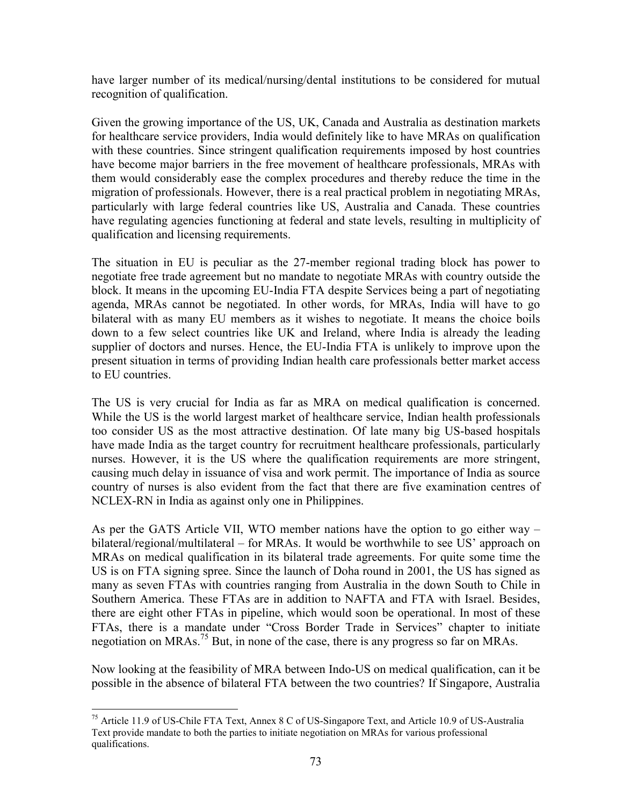have larger number of its medical/nursing/dental institutions to be considered for mutual recognition of qualification.

Given the growing importance of the US, UK, Canada and Australia as destination markets for healthcare service providers, India would definitely like to have MRAs on qualification with these countries. Since stringent qualification requirements imposed by host countries have become major barriers in the free movement of healthcare professionals, MRAs with them would considerably ease the complex procedures and thereby reduce the time in the migration of professionals. However, there is a real practical problem in negotiating MRAs, particularly with large federal countries like US, Australia and Canada. These countries have regulating agencies functioning at federal and state levels, resulting in multiplicity of qualification and licensing requirements.

The situation in EU is peculiar as the 27-member regional trading block has power to negotiate free trade agreement but no mandate to negotiate MRAs with country outside the block. It means in the upcoming EU-India FTA despite Services being a part of negotiating agenda, MRAs cannot be negotiated. In other words, for MRAs, India will have to go bilateral with as many EU members as it wishes to negotiate. It means the choice boils down to a few select countries like UK and Ireland, where India is already the leading supplier of doctors and nurses. Hence, the EU-India FTA is unlikely to improve upon the present situation in terms of providing Indian health care professionals better market access to EU countries.

The US is very crucial for India as far as MRA on medical qualification is concerned. While the US is the world largest market of healthcare service, Indian health professionals too consider US as the most attractive destination. Of late many big US-based hospitals have made India as the target country for recruitment healthcare professionals, particularly nurses. However, it is the US where the qualification requirements are more stringent, causing much delay in issuance of visa and work permit. The importance of India as source country of nurses is also evident from the fact that there are five examination centres of NCLEX-RN in India as against only one in Philippines.

As per the GATS Article VII, WTO member nations have the option to go either way – bilateral/regional/multilateral – for MRAs. It would be worthwhile to see US' approach on MRAs on medical qualification in its bilateral trade agreements. For quite some time the US is on FTA signing spree. Since the launch of Doha round in 2001, the US has signed as many as seven FTAs with countries ranging from Australia in the down South to Chile in Southern America. These FTAs are in addition to NAFTA and FTA with Israel. Besides, there are eight other FTAs in pipeline, which would soon be operational. In most of these FTAs, there is a mandate under "Cross Border Trade in Services" chapter to initiate negotiation on MRAs.<sup>75</sup> But, in none of the case, there is any progress so far on MRAs.

Now looking at the feasibility of MRA between Indo-US on medical qualification, can it be possible in the absence of bilateral FTA between the two countries? If Singapore, Australia

 $\overline{a}$ <sup>75</sup> Article 11.9 of US-Chile FTA Text, Annex 8 C of US-Singapore Text, and Article 10.9 of US-Australia Text provide mandate to both the parties to initiate negotiation on MRAs for various professional qualifications.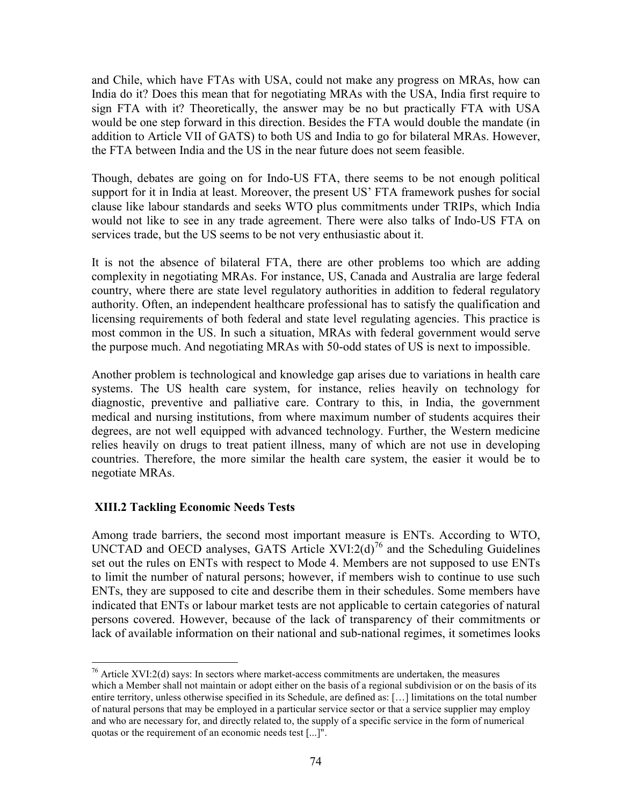and Chile, which have FTAs with USA, could not make any progress on MRAs, how can India do it? Does this mean that for negotiating MRAs with the USA, India first require to sign FTA with it? Theoretically, the answer may be no but practically FTA with USA would be one step forward in this direction. Besides the FTA would double the mandate (in addition to Article VII of GATS) to both US and India to go for bilateral MRAs. However, the FTA between India and the US in the near future does not seem feasible.

Though, debates are going on for Indo-US FTA, there seems to be not enough political support for it in India at least. Moreover, the present US' FTA framework pushes for social clause like labour standards and seeks WTO plus commitments under TRIPs, which India would not like to see in any trade agreement. There were also talks of Indo-US FTA on services trade, but the US seems to be not very enthusiastic about it.

It is not the absence of bilateral FTA, there are other problems too which are adding complexity in negotiating MRAs. For instance, US, Canada and Australia are large federal country, where there are state level regulatory authorities in addition to federal regulatory authority. Often, an independent healthcare professional has to satisfy the qualification and licensing requirements of both federal and state level regulating agencies. This practice is most common in the US. In such a situation, MRAs with federal government would serve the purpose much. And negotiating MRAs with 50-odd states of US is next to impossible.

Another problem is technological and knowledge gap arises due to variations in health care systems. The US health care system, for instance, relies heavily on technology for diagnostic, preventive and palliative care. Contrary to this, in India, the government medical and nursing institutions, from where maximum number of students acquires their degrees, are not well equipped with advanced technology. Further, the Western medicine relies heavily on drugs to treat patient illness, many of which are not use in developing countries. Therefore, the more similar the health care system, the easier it would be to negotiate MRAs.

#### XIII.2 Tackling Economic Needs Tests

Among trade barriers, the second most important measure is ENTs. According to WTO, UNCTAD and OECD analyses, GATS Article  $XVI:2(d)^{76}$  and the Scheduling Guidelines set out the rules on ENTs with respect to Mode 4. Members are not supposed to use ENTs to limit the number of natural persons; however, if members wish to continue to use such ENTs, they are supposed to cite and describe them in their schedules. Some members have indicated that ENTs or labour market tests are not applicable to certain categories of natural persons covered. However, because of the lack of transparency of their commitments or lack of available information on their national and sub-national regimes, it sometimes looks

 $\overline{a}$  $76$  Article XVI:2(d) says: In sectors where market-access commitments are undertaken, the measures which a Member shall not maintain or adopt either on the basis of a regional subdivision or on the basis of its entire territory, unless otherwise specified in its Schedule, are defined as: […] limitations on the total number of natural persons that may be employed in a particular service sector or that a service supplier may employ and who are necessary for, and directly related to, the supply of a specific service in the form of numerical quotas or the requirement of an economic needs test [...]".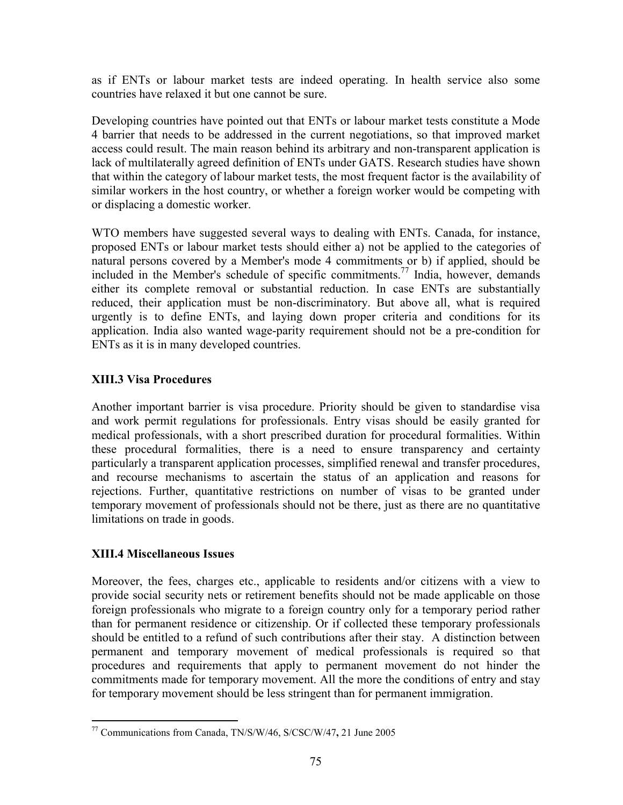as if ENTs or labour market tests are indeed operating. In health service also some countries have relaxed it but one cannot be sure.

Developing countries have pointed out that ENTs or labour market tests constitute a Mode 4 barrier that needs to be addressed in the current negotiations, so that improved market access could result. The main reason behind its arbitrary and non-transparent application is lack of multilaterally agreed definition of ENTs under GATS. Research studies have shown that within the category of labour market tests, the most frequent factor is the availability of similar workers in the host country, or whether a foreign worker would be competing with or displacing a domestic worker.

WTO members have suggested several ways to dealing with ENTs. Canada, for instance, proposed ENTs or labour market tests should either a) not be applied to the categories of natural persons covered by a Member's mode 4 commitments or b) if applied, should be included in the Member's schedule of specific commitments.<sup>77</sup> India, however, demands either its complete removal or substantial reduction. In case ENTs are substantially reduced, their application must be non-discriminatory. But above all, what is required urgently is to define ENTs, and laying down proper criteria and conditions for its application. India also wanted wage-parity requirement should not be a pre-condition for ENTs as it is in many developed countries.

## XIII.3 Visa Procedures

Another important barrier is visa procedure. Priority should be given to standardise visa and work permit regulations for professionals. Entry visas should be easily granted for medical professionals, with a short prescribed duration for procedural formalities. Within these procedural formalities, there is a need to ensure transparency and certainty particularly a transparent application processes, simplified renewal and transfer procedures, and recourse mechanisms to ascertain the status of an application and reasons for rejections. Further, quantitative restrictions on number of visas to be granted under temporary movement of professionals should not be there, just as there are no quantitative limitations on trade in goods.

# XIII.4 Miscellaneous Issues

Moreover, the fees, charges etc., applicable to residents and/or citizens with a view to provide social security nets or retirement benefits should not be made applicable on those foreign professionals who migrate to a foreign country only for a temporary period rather than for permanent residence or citizenship. Or if collected these temporary professionals should be entitled to a refund of such contributions after their stay. A distinction between permanent and temporary movement of medical professionals is required so that procedures and requirements that apply to permanent movement do not hinder the commitments made for temporary movement. All the more the conditions of entry and stay for temporary movement should be less stringent than for permanent immigration.

 $\overline{a}$ <sup>77</sup> Communications from Canada, TN/S/W/46, S/CSC/W/47, 21 June 2005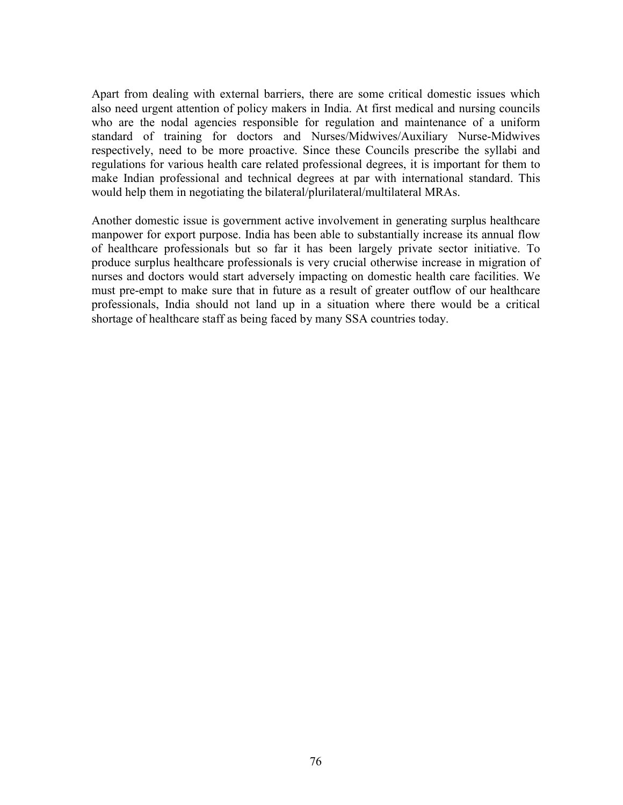Apart from dealing with external barriers, there are some critical domestic issues which also need urgent attention of policy makers in India. At first medical and nursing councils who are the nodal agencies responsible for regulation and maintenance of a uniform standard of training for doctors and Nurses/Midwives/Auxiliary Nurse-Midwives respectively, need to be more proactive. Since these Councils prescribe the syllabi and regulations for various health care related professional degrees, it is important for them to make Indian professional and technical degrees at par with international standard. This would help them in negotiating the bilateral/plurilateral/multilateral MRAs.

Another domestic issue is government active involvement in generating surplus healthcare manpower for export purpose. India has been able to substantially increase its annual flow of healthcare professionals but so far it has been largely private sector initiative. To produce surplus healthcare professionals is very crucial otherwise increase in migration of nurses and doctors would start adversely impacting on domestic health care facilities. We must pre-empt to make sure that in future as a result of greater outflow of our healthcare professionals, India should not land up in a situation where there would be a critical shortage of healthcare staff as being faced by many SSA countries today.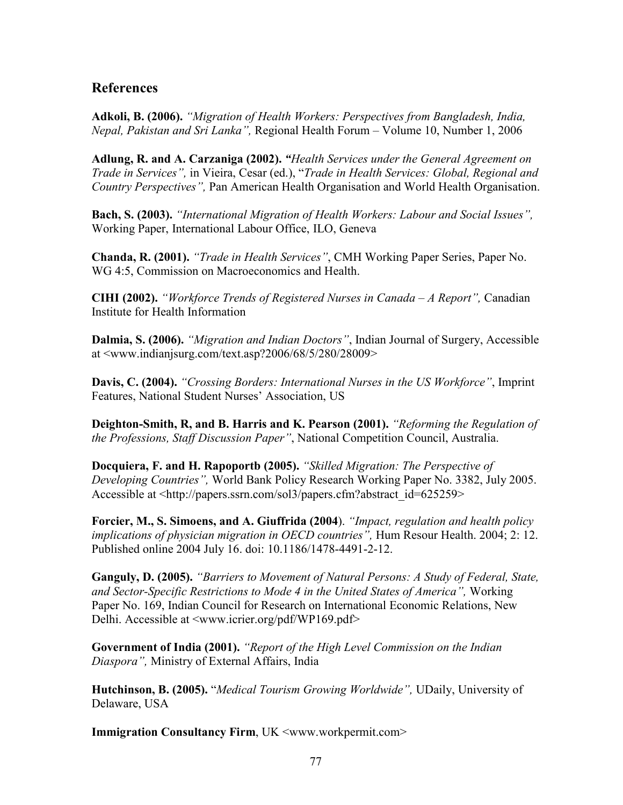# **References**

Adkoli, B. (2006). "Migration of Health Workers: Perspectives from Bangladesh, India, Nepal, Pakistan and Sri Lanka", Regional Health Forum – Volume 10, Number 1, 2006

Adlung, R. and A. Carzaniga (2002). "Health Services under the General Agreement on Trade in Services", in Vieira, Cesar (ed.), "Trade in Health Services: Global, Regional and Country Perspectives", Pan American Health Organisation and World Health Organisation.

Bach, S. (2003). "International Migration of Health Workers: Labour and Social Issues", Working Paper, International Labour Office, ILO, Geneva

Chanda, R. (2001). "Trade in Health Services", CMH Working Paper Series, Paper No. WG 4:5, Commission on Macroeconomics and Health.

CIHI (2002). "Workforce Trends of Registered Nurses in Canada – A Report", Canadian Institute for Health Information

Dalmia, S. (2006). "*Migration and Indian Doctors*", Indian Journal of Surgery, Accessible at <www.indianjsurg.com/text.asp?2006/68/5/280/28009>

Davis, C. (2004). "Crossing Borders: International Nurses in the US Workforce", Imprint Features, National Student Nurses' Association, US

Deighton-Smith, R, and B. Harris and K. Pearson (2001). "Reforming the Regulation of the Professions, Staff Discussion Paper", National Competition Council, Australia.

Docquiera, F. and H. Rapoportb (2005). "Skilled Migration: The Perspective of Developing Countries", World Bank Policy Research Working Paper No. 3382, July 2005. Accessible at <http://papers.ssrn.com/sol3/papers.cfm?abstract\_id=625259>

Forcier, M., S. Simoens, and A. Giuffrida (2004). "Impact, regulation and health policy implications of physician migration in OECD countries", Hum Resour Health. 2004; 2: 12. Published online 2004 July 16. doi: 10.1186/1478-4491-2-12.

Ganguly, D. (2005). "Barriers to Movement of Natural Persons: A Study of Federal, State, and Sector-Specific Restrictions to Mode 4 in the United States of America", Working Paper No. 169, Indian Council for Research on International Economic Relations, New Delhi. Accessible at <www.icrier.org/pdf/WP169.pdf>

Government of India (2001). "Report of the High Level Commission on the Indian Diaspora", Ministry of External Affairs, India

Hutchinson, B. (2005). "Medical Tourism Growing Worldwide", UDaily, University of Delaware, USA

Immigration Consultancy Firm, UK <www.workpermit.com>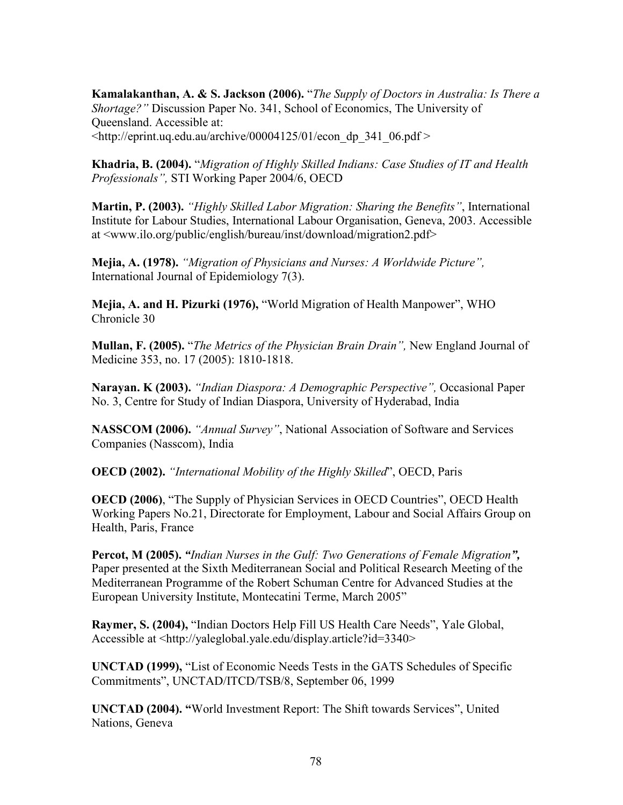Kamalakanthan, A. & S. Jackson (2006). "The Supply of Doctors in Australia: Is There a Shortage?" Discussion Paper No. 341, School of Economics, The University of Queensland. Accessible at:  $\lt$ http://eprint.uq.edu.au/archive/00004125/01/econ\_dp\_341\_06.pdf >

Khadria, B. (2004). "Migration of Highly Skilled Indians: Case Studies of IT and Health

Professionals", STI Working Paper 2004/6, OECD

Martin, P. (2003). "Highly Skilled Labor Migration: Sharing the Benefits", International Institute for Labour Studies, International Labour Organisation, Geneva, 2003. Accessible at <www.ilo.org/public/english/bureau/inst/download/migration2.pdf>

Mejia, A. (1978). "Migration of Physicians and Nurses: A Worldwide Picture", International Journal of Epidemiology 7(3).

Mejia, A. and H. Pizurki (1976), "World Migration of Health Manpower", WHO Chronicle 30

Mullan, F. (2005). "The Metrics of the Physician Brain Drain", New England Journal of Medicine 353, no. 17 (2005): 1810-1818.

Narayan. K (2003). "Indian Diaspora: A Demographic Perspective", Occasional Paper No. 3, Centre for Study of Indian Diaspora, University of Hyderabad, India

NASSCOM (2006). "Annual Survey", National Association of Software and Services Companies (Nasscom), India

OECD (2002). "International Mobility of the Highly Skilled", OECD, Paris

OECD (2006), "The Supply of Physician Services in OECD Countries", OECD Health Working Papers No.21, Directorate for Employment, Labour and Social Affairs Group on Health, Paris, France

Percot, M (2005). "Indian Nurses in the Gulf: Two Generations of Female Migration", Paper presented at the Sixth Mediterranean Social and Political Research Meeting of the Mediterranean Programme of the Robert Schuman Centre for Advanced Studies at the European University Institute, Montecatini Terme, March 2005"

Raymer, S. (2004), "Indian Doctors Help Fill US Health Care Needs", Yale Global, Accessible at <http://yaleglobal.yale.edu/display.article?id=3340>

UNCTAD (1999), "List of Economic Needs Tests in the GATS Schedules of Specific Commitments", UNCTAD/ITCD/TSB/8, September 06, 1999

UNCTAD (2004). "World Investment Report: The Shift towards Services", United Nations, Geneva